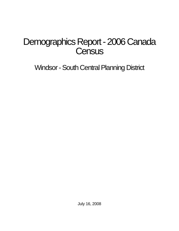# Demographics Report - 2006 Canada **Census**

Windsor - South Central Planning District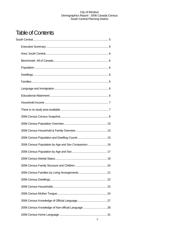## Table of Contents

| 2006 Census Population by Age and Sex Comparison 16 |  |
|-----------------------------------------------------|--|
|                                                     |  |
|                                                     |  |
|                                                     |  |
|                                                     |  |
|                                                     |  |
|                                                     |  |
|                                                     |  |
|                                                     |  |
| 2006 Census Knowledge of Non-official Language  28  |  |
|                                                     |  |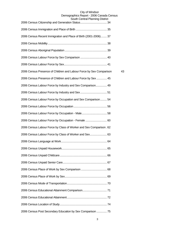## City of Windsor Demographics Report - 2006 Canada Census

| South Central Planning District                                     |    |
|---------------------------------------------------------------------|----|
|                                                                     |    |
| 2006 Census Recent Immigration and Place of Birth (2001-2006)  37   |    |
|                                                                     |    |
|                                                                     |    |
|                                                                     |    |
|                                                                     |    |
| 2006 Census Presence of Children and Labour Force by Sex Comparison | 43 |
| 2006 Census Presence of Children and Labour Force by Sex  45        |    |
| 2006 Census Labour Force by Industry and Sex Comparison 49          |    |
|                                                                     |    |
| 2006 Census Labour Force by Occupation and Sex Comparison 54        |    |
|                                                                     |    |
|                                                                     |    |
| 2006 Census Labour Force by Occupation - Female  60                 |    |
| 2006 Census Labour Force by Class of Worker and Sex Comparison. 62  |    |
| 2006 Census Labour Force by Class of Worker and Sex 63              |    |
|                                                                     |    |
|                                                                     |    |
|                                                                     |    |
|                                                                     |    |
|                                                                     |    |
|                                                                     |    |
|                                                                     |    |
|                                                                     |    |
|                                                                     |    |
|                                                                     |    |
| 2006 Census Post Secondary Education by Sex Comparison  75          |    |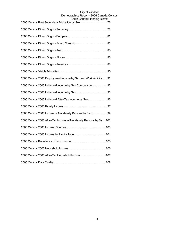| 2006 Census 2005 Employment Income by Sex and Work Activity  91    |
|--------------------------------------------------------------------|
| 2006 Census 2005 Individual Income by Sex Comparison  92           |
|                                                                    |
| 2006 Census 2005 Individual After-Tax Income by Sex  95            |
|                                                                    |
| 2006 Census 2005 Income of Non-family Persons by Sex  99           |
| 2006 Census 2005 After-Tax Income of Non-family Persons by Sex 101 |
|                                                                    |
|                                                                    |
|                                                                    |
|                                                                    |
| 2006 Census 2005 After-Tax Household Income  107                   |
|                                                                    |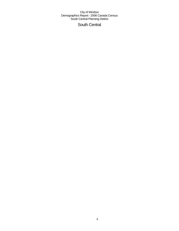## South Central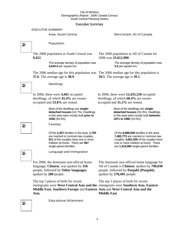## Executive Summary

## Area: South Central Benchmark: All of Canada

Population The 2006 population in South Central was **9,422**. The average density of population was **3,044.4** per square km. The 2006 median age for this population was The 2006 median age for this population is **37.6**. The average age is **38.9**. Dwellings In 2006, there were **4,461** occupied dwellings, of which **45.4%** are owneroccupied and **53.8%** are rented. Most of the dwellings are **singledetached houses** (42.7%). Dwellings in this area were mostly built **prior to 1946** (49.3%). Families Of the **2,357** families in the area, **1,793**  are married or common law couples; **911** of the couples have one or more children at home. There are **567**  single-parent families. Language and Immigration For 2006, the dominant non-official home language, **Chinese**, was spoken by **356** people, followed by **Other languages**, spoken by **280** people.

The top 3 places of birth for recent immigrants were **West Central Asia and the**  immigrants were **Southern Asia**, **Eastern Middle East**, **Southern Europe** and **Eastern Asia** and **West Central Asia and the Asia**.

The dominant non-official home language for All of Canada is **Chinese**, spoken by **790,030** people, followed by **Panjabi (Punjabi)**, spoken by **278,495** people.

The top 3 places of birth for recent **Middle East**.

Þ.

Z.

Z.

 $\overline{\mathbf{z}}$ 

The 2006 population in All of Canada for 2006 was **31,612,900**.

> The average density of population was **3.5** per square km.

**39.5**. The average age is **39.1**.

In 2006, there were **12,435,520** occupied dwellings, of which **68.4%** are owneroccupied and **31.2%** are rented.

> Most of the dwellings are **singledetached houses** (55.3%). Dwellings in this area were mostly built **between 1971 to 1980** (19.5%).

Of the **8,896,840** families in the area, **7,482,775** are married or common law couples; **4,061,930** of the couples have one or more children at home. There are **1,414,060** single-parent families.



Þ,

Educational Attainment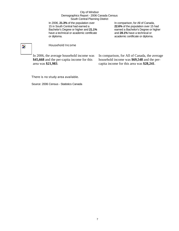In 2006, **21.3%** of the population over 15 in South Central had earned a Bachelor's Degree or higher and **21.1%** have a technical or academic certificate or diploma.

In comparison, for All of Canada, **22.6%** of the population over 15 had earned a Bachelor's Degree or higher and **28.1%** have a technical or academic certificate or diploma.

## $\overline{\phantom{a}}$

## Household Income

In 2006, the average household income was **\$45,668** and the per-capita income for this area was **\$21,983**.

In comparison, for All of Canada, the average household income was **\$69,548** and the percapita income for this area was **\$28,241**.

## There is no study area available.

Source: 2006 Census - Statistics Canada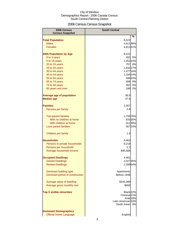## 2006 Census Census Snapshot

| 2006 Census<br><b>Census Snapshot</b> | <b>South Central</b>              |         |
|---------------------------------------|-----------------------------------|---------|
|                                       |                                   | %       |
| <b>Total Population</b>               | 9,422                             |         |
| <b>Males</b>                          | 4,611 49%                         |         |
| <b>Females</b>                        | 4,81151%                          |         |
| 2006 Population by Age                | 9,422                             |         |
| 0 to 4 years                          |                                   | 492 5%  |
| 5 to 19 years                         | 1,452 15%                         |         |
| 20 to 24 years                        |                                   | 757 8%  |
| 25 to 34 years                        | 1,642 17%                         |         |
| 35 to 44 years                        | 1,477 16%                         |         |
| 45 to 54 years                        | 1,334 14%                         |         |
| 55 to 64 years                        |                                   | 948 10% |
| 65 to 74 years                        |                                   | 606 6%  |
| 75 to 84 years                        | 497                               | 5%      |
| 85 years and over                     | 186                               | 2%      |
| <b>Average age of population</b>      | 38.9                              |         |
| <b>Median age</b>                     | 37.6                              |         |
| <b>Families</b>                       | 2,357                             |         |
| Persons per family                    | 2.8                               |         |
| <b>Two-parent families</b>            | 1,793 76%                         |         |
| With no children at home              |                                   | 83335%  |
| With children at home                 |                                   | 91139%  |
| Lone-parent families                  |                                   | 56724%  |
| Children per family                   | 1.0                               |         |
| <b>Households</b>                     | 4,463                             |         |
| Persons in private households         | 9,219                             |         |
| Persons per household                 | 2.1                               |         |
| Average household income              | \$45,668                          |         |
| <b>Occupied Dwellings</b>             | 4,461                             |         |
| <b>Owned Dwellings</b>                | 2,027 45%                         |         |
| <b>Rented Dwellings</b>               | 2,399 54%                         |         |
| Dominant building type                | Apartments                        |         |
| Dominant period of construction       | Before 1946                       |         |
| Average value of dwelling             | \$145,389                         |         |
| Average gross monthly rent            | \$693                             |         |
| <b>Top 5 visible minorities</b>       | Black <sub>22%</sub>              |         |
|                                       | Chinese <sub>21%</sub>            |         |
|                                       | Arab <sub>18%</sub>               |         |
|                                       | Latin American 10%<br>South Asian | 9%      |
| <b>Dominant Demographics</b>          |                                   |         |
| <b>Official Home Language</b>         | English                           |         |
|                                       |                                   |         |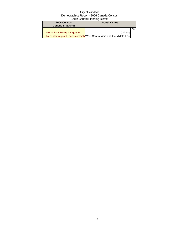| 2006 Census<br><b>Census Snapshot</b> | <b>South Central</b>                                                   |   |
|---------------------------------------|------------------------------------------------------------------------|---|
|                                       |                                                                        | % |
| Non-official Home Language            | Chinese                                                                |   |
|                                       | Recent Immigrant Places of Birth West Central Asia and the Middle East |   |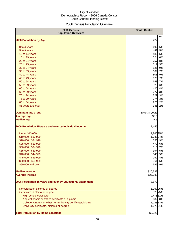## 2006 Census Population Overview

| 2006 Census<br><b>Population Overview</b>                   | <b>South Central</b> |
|-------------------------------------------------------------|----------------------|
| 2006 Population by Age                                      | %<br>9,422           |
|                                                             |                      |
| 0 to 4 years                                                | 492<br>5%            |
| 5 to 9 years                                                | 447<br>5%            |
| 10 to 14 years                                              | 480<br>5%            |
| 15 to 19 years                                              | 524<br>6%            |
| 20 to 24 years                                              | 757<br>8%            |
| 25 to 29 years                                              | 817<br>9%            |
| 30 to 34 years                                              | 825<br>9%            |
| 35 to 39 years                                              | 669<br>7%            |
| 40 to 44 years                                              | 808<br>9%            |
| 45 to 49 years                                              | 676 7%               |
| 50 to 54 years                                              | 658 7%               |
| 55 to 59 years                                              | 528<br>6%            |
| 60 to 64 years                                              | 420<br>4%            |
| 65 to 69 years                                              | 277<br>3%            |
| 70 to 74 years                                              | 329<br>3%            |
| 75 to 79 years                                              | 274<br>3%            |
| 80 to 84 years                                              | 223<br>2%            |
| 85 years and over                                           | 186<br>2%            |
| <b>Dominant age group</b>                                   | 30 to 34 years       |
| <b>Average age</b>                                          | 38.9                 |
| <b>Median age</b>                                           | 37.6                 |
| 2006 Population 15 years and over by Individual Income      | 7,456                |
| <b>Under \$10,000</b>                                       | 1,865 25%            |
| \$10,000 - \$19,999                                         | 1,78824%             |
| \$20,000 - \$24,999                                         | 656 9%               |
| \$25,000 - \$29,999                                         | 479<br>6%            |
| \$30,000 - \$34,999                                         | 518<br>7%            |
| \$35,000 - \$39,999                                         | 394<br>5%            |
| \$40,000 - \$44,999                                         | 346<br>5%            |
| \$45,000 - \$49,999                                         | 292<br>4%            |
| \$50,000 - \$59,999                                         | 361<br>5%            |
| \$60,000 and over                                           | 696<br>9%            |
| <b>Median income</b>                                        | \$20,337             |
| <b>Average income</b>                                       | \$27,082             |
| 2006 Population 15 years and over by Educational Attainment | 7,870                |
| No certificate, diploma or degree                           | 1,967 25%            |
| Certificate, diploma or degree                              | 5,929 75%            |
| <b>High school certificate</b>                              | 2,478 31%            |
| Apprenticeship or trades certificate or diploma             | 632 8%               |
| College, CEGEP or other non-university certificate/diploma  | 1,028 13%            |
| University certificate, diploma or degree                   | 1,679 21%            |
| <b>Total Population by Home Language</b>                    | \$9,322              |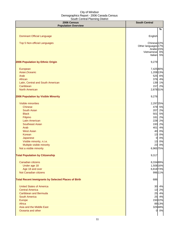| 2006 Census<br><b>Population Overview</b>                  | <b>South Central</b>   |
|------------------------------------------------------------|------------------------|
|                                                            | %                      |
|                                                            |                        |
| <b>Dominant Official Language</b>                          | English                |
| Top 5 Non-official Languages                               | Chinese <sub>22%</sub> |
|                                                            | Other languages 17%    |
|                                                            | Arabic 15%             |
|                                                            | Vietnamese 6%          |
|                                                            | Italian 5%             |
| 2006 Population by Ethnic Origin                           | 9,279                  |
| European                                                   | 7,425 80%              |
| Asian, Oceanic                                             | 1,208 13%              |
| Arab                                                       | 525 6%                 |
| African                                                    | 376 4%                 |
| Latin, Central and South American                          | 139 1%                 |
| Caribbean                                                  | 157 2%                 |
| <b>North American</b>                                      | 2,878 31%              |
|                                                            |                        |
| 2006 Population by Visible Minority                        | 9,276                  |
| <b>Visible minorities</b>                                  | 2,297 25%              |
| <b>Chinese</b>                                             | 479 5%                 |
| <b>South Asian</b>                                         | 207 2%                 |
| <b>Black</b>                                               | 501<br>5%              |
| Filipino                                                   | 2%<br>181              |
| <b>Latin American</b>                                      | 228<br>2%              |
| <b>Southeast Asian</b>                                     | 193<br>2%              |
| Arab                                                       | 401<br>4%              |
| <b>West Asian</b>                                          | 0%<br>40               |
| Korean                                                     | 13<br>0%               |
| Japanese                                                   | 0%<br>$\overline{0}$   |
| Visible minority, n.i.e.                                   | 0%<br>13               |
| Multiple visible minority                                  | 23<br>0%               |
| Not a visible minority                                     | 6,965 75%              |
| <b>Total Population by Citizenship</b>                     | 9,317                  |
| Canadian citizens                                          | 8,334 89%              |
| Under age 18                                               | 1,508 16%              |
| Age 18 and over                                            | 6,818 73%              |
| Not Canadian citizens                                      | 996 11%                |
|                                                            |                        |
| <b>Total Recent Immigrants by Selected Places of Birth</b> | 686                    |
| <b>United States of America</b>                            | 30 4%                  |
| <b>Central America</b>                                     | 13 2%                  |
| <b>Caribbean and Bermuda</b>                               | 25 4%                  |
| <b>South America</b>                                       | 25 4%                  |
| Europe                                                     | 150 22%                |
| Africa                                                     | 89 13%                 |
| Asia and the Middle East                                   | 32948%                 |
| Oceania and other                                          | 0 0%                   |
|                                                            |                        |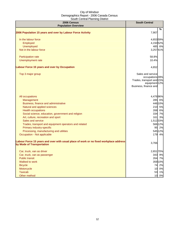| 2006 Census<br><b>Population Overview</b>                                                                          | <b>South Central</b>                 |
|--------------------------------------------------------------------------------------------------------------------|--------------------------------------|
|                                                                                                                    | %                                    |
| 2006 Population 15 years and over by Labour Force Activity                                                         | 7,907                                |
| In the labour force                                                                                                | 4,65359%                             |
| Employed                                                                                                           | 4,150 52%                            |
| Unemployed                                                                                                         | 485 6%                               |
| Not in the labour force                                                                                            | 3,25741%                             |
| Participation rate                                                                                                 | 58.8%                                |
| Unemployment rate                                                                                                  | 10.4%                                |
| Labour Force 15 years and over by Occupation                                                                       | 4,652                                |
| Top 3 major group                                                                                                  | Sales and service<br>occupations 39% |
|                                                                                                                    | Trades, transport and 15%            |
|                                                                                                                    | equipment 12%                        |
|                                                                                                                    | Business, finance and                |
| All occupations                                                                                                    | 4,47696%                             |
| Management                                                                                                         | 285 6%                               |
| Business, finance and administrative                                                                               | 446 10%                              |
| Natural and applied sciences                                                                                       | 210 5%                               |
| <b>Health occupations</b>                                                                                          | 268 6%                               |
| Social science, education, government and religion                                                                 | 334 7%                               |
| Art, culture, recreation and sport                                                                                 | 161 3%                               |
| Sales and service                                                                                                  | 1,512 33%                            |
| Trades, transport and equipment operators and related                                                              | 566 12%                              |
| Primary industry-specific                                                                                          | 95 2%                                |
| Processing, manufacturing and utilities                                                                            | 545 12%                              |
| Occupation - Not applicable                                                                                        | 179 4%                               |
| Labour Force 15 years and over with usual place of work or no fixed workplace address<br>by Mode of Transportation | 3,766                                |
| Car, truck, van as driver                                                                                          | 2,651 70%                            |
| Car, truck, van as passenger                                                                                       | 343 9%                               |
| <b>Public transit</b>                                                                                              | 264 7%                               |
| Walked to work                                                                                                     | 359 10%                              |
| <b>Bicycle</b>                                                                                                     | 74 2%                                |
| Motorcycle                                                                                                         | 10 0%                                |
| <b>Taxicab</b>                                                                                                     | 53 1%                                |
| Other method                                                                                                       | 10 0%                                |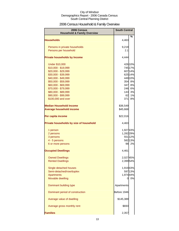## 2006 Census Household & Family Overview

| <b>2006 Census</b><br><b>Household &amp; Family Overview</b> | <b>South Central</b> |         |
|--------------------------------------------------------------|----------------------|---------|
| <b>Households</b>                                            | 4,463                | $\%$    |
|                                                              |                      |         |
| Persons in private households                                | 9,219                |         |
| Persons per household                                        | 2.1                  |         |
| <b>Private households by Income</b>                          | 4,444                |         |
| <b>Under \$10,000</b>                                        |                      | 426 10% |
| \$10,000 - \$19,999                                          |                      | 745 17% |
| \$20,000 - \$29,999                                          |                      | 607 14% |
| \$30,000 - \$39,999                                          |                      | 625 14% |
| \$40,000 - \$49,999                                          |                      | 449 10% |
| \$50,000 - \$59,999                                          |                      | 354 8%  |
| \$60,000 - \$69,999                                          | 347                  | 8%      |
| \$70,000 - \$79,999                                          | 246                  | 6%      |
| \$80,000 - \$89,999                                          | 143                  | 3%      |
| \$90,000 - \$99,999                                          | 62                   | 1%      |
| \$100,000 and over                                           | 371                  | 8%      |
| <b>Median Household Income</b>                               | \$36,549             |         |
| <b>Average household income</b>                              | \$45,668             |         |
| Per capita income                                            | \$22,016             |         |
| Private households by size of household                      | 4,463                |         |
| 1 person                                                     | 1,92743%             |         |
| 2 persons                                                    | 1,282 29%            |         |
| 3 persons                                                    |                      | 551 12% |
| 4 - 5 persons                                                |                      | 582 13% |
| 6 or more persons                                            |                      | 98 2%   |
|                                                              |                      |         |
| <b>Occupied Dwellings</b>                                    | 4,461                |         |
| <b>Owned Dwellings</b>                                       | 2,02745%             |         |
| <b>Rented Dwellings</b>                                      | 2,39954%             |         |
| Single detached houses                                       | 1,919 43%            |         |
| Semi-detached/row/duplex                                     |                      | 597 13% |
| <b>Apartments</b>                                            | 1,974 44%            |         |
| Movable dwelling                                             | 01                   | 0%      |
| Dominant building type                                       | Apartments           |         |
| Dominant period of construction                              | Before 1946          |         |
| Average value of dwelling                                    | \$145,389            |         |
| Average gross monthly rent                                   | \$693                |         |
| <b>Families</b>                                              | 2,357                |         |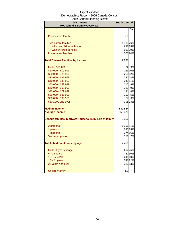| 2006 Census<br><b>Household &amp; Family Overview</b>   | <b>South Central</b> |                  |
|---------------------------------------------------------|----------------------|------------------|
|                                                         |                      | %                |
|                                                         |                      |                  |
| Persons per family                                      | 2.8                  |                  |
|                                                         |                      |                  |
| <b>Two-parent families</b><br>With no children at home  | 1,793 76%            |                  |
| With children at home                                   |                      | 83335%<br>91139% |
| Lone-parent families                                    |                      | 56724%           |
|                                                         |                      |                  |
| <b>Total Census Families by Income</b>                  | 2,297                |                  |
| <b>Under \$10,000</b>                                   | 72                   | 3%               |
| \$10,000 - \$19,999                                     |                      | 229 10%          |
| \$20,000 - \$29,999                                     |                      | 268 12%          |
| \$30,000 - \$39,999                                     |                      | 322 14%          |
| \$40,000 - \$49,999                                     |                      | 243 11%          |
| \$50,000 - \$59,999                                     |                      | 217 9%           |
| \$60,000 - \$69,999                                     | 212                  | 9%               |
| \$70,000 - \$79,999                                     | 191                  | 8%               |
| \$80,000 - \$89,999                                     | 107                  | 5%               |
| \$90,000 - \$99,999                                     | 77                   | 3%               |
| \$100,000 and over                                      |                      | 308 13%          |
| <b>Median income</b>                                    | \$49,554             |                  |
| <b>Average income</b>                                   | \$58,470             |                  |
| Census families in private households by size of family | 2,357                |                  |
| 2 persons                                               | 1,20051%             |                  |
| 3 persons                                               |                      | 585 25%          |
| 4 persons                                               |                      | 374 16%          |
| 5 or more persons                                       |                      | 156 7%           |
| Total children at home by age                           | 2,458                |                  |
|                                                         |                      |                  |
| Under 6 years of age                                    |                      | 61425%           |
| 6 - 14 years                                            |                      | 73730%           |
| 15 - 17 years                                           |                      | 245 10%          |
| 18 - 24 years                                           |                      | 546 22%          |
| 25 years and over                                       |                      | 313 13%          |
| Children/family                                         | 1.0                  |                  |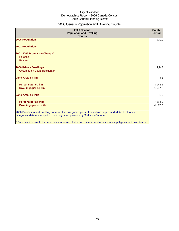## 2006 Census Population and Dwelling Counts

| 2006 Census<br><b>Population and Dwelling</b><br><b>Counts</b>                                                                                                                           | <b>South</b><br><b>Central</b> |
|------------------------------------------------------------------------------------------------------------------------------------------------------------------------------------------|--------------------------------|
| 2006 Population                                                                                                                                                                          | 9,420                          |
| 2001 Population*                                                                                                                                                                         |                                |
| 2001-2006 Population Change*<br>Persons<br>Percent                                                                                                                                       |                                |
| 2006 Private Dwellings<br>Occupied by Usual Residents*                                                                                                                                   | 4,943                          |
| Land Area, sq km                                                                                                                                                                         | 3.1                            |
| Persons per sq km<br><b>Dwellings per sq km</b>                                                                                                                                          | 3,044.4<br>1,597.5             |
| <b>Land Area, sq mile</b>                                                                                                                                                                | 1.2                            |
| Persons per sq mile<br><b>Dwellings per sq mile</b>                                                                                                                                      | 7,884.9<br>4,137.5             |
| 2006 Population and dwelling counts in this category represent actual (unsuppressed) data. In all other<br>categories, data are subject to rounding or suppression by Statistics Canada. |                                |
| * Data is not available for dissemination areas, blocks and user-defined areas (circles, polygons and drive-times)                                                                       |                                |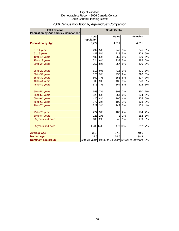| 2006 Census<br>Population by Age and Sex Comparison | <b>South Central</b>              |           |              |           |                                                     |         |
|-----------------------------------------------------|-----------------------------------|-----------|--------------|-----------|-----------------------------------------------------|---------|
|                                                     | <b>Total</b><br><b>Population</b> |           | <b>Males</b> |           | <b>Females</b>                                      |         |
| <b>Population by Age</b>                            | 9,422                             |           | 4,611        |           | 4,811                                               |         |
| 0 to 4 years                                        | 492                               | 5%        | 247          | 5%        | 245                                                 | 5%      |
| 5 to 9 years                                        | 447                               | <b>5%</b> | 218          | 5%        | 229                                                 | 5%      |
| 10 to 14 years                                      | 480                               | 5%        | 250          | 5%        | 230                                                 | 5%      |
| 15 to 19 years                                      | 524                               | 6%        | 239          | <b>5%</b> | 285                                                 | 6%      |
| 20 to 24 years                                      | 757                               | 8%        | 357          | 8%        | 400                                                 | 8%      |
| 25 to 29 years                                      | 817                               | 9%        | 416          | 9%        | 401                                                 | 8%      |
| 30 to 34 years                                      | 825                               | 9%        | 435          | 9%        | 390                                                 | 8%      |
| 35 to 39 years                                      | 669                               | 7%        | 353          | 8%        | 317                                                 | 7%      |
| 40 to 44 years                                      | 808                               | 9%        | 430          | 9%        | 378                                                 | 8%      |
| 45 to 49 years                                      | 676                               | 7%        | 364          | 8%        | 312                                                 | 6%      |
| 50 to 54 years                                      | 658                               | 7%        | 308          | 7%        | 350                                                 | 7%      |
| 55 to 59 years                                      | 528                               | 6%        | 264          | 6%        | 264                                                 | 5%      |
| 60 to 64 years                                      | 420                               | 4%        | 195          | 4%        | 225                                                 | 5%      |
| 65 to 69 years                                      | 277                               | 3%        | 109          | 2%        | 168                                                 | 3%      |
| 70 to 74 years                                      | 329                               | 3%        | 149          | 3%        | 179                                                 | 4%      |
| 75 to 79 years                                      | 274                               | 3%        | 100          | 2%        | 174                                                 | 4%      |
| 80 to 84 years                                      | 223                               | 2%        | 72           | 2%        | 152                                                 | 3%      |
| 85 years and over                                   | 186                               | 2%        | 46           | 1%        | 139                                                 | 3%      |
| 65 years and over                                   | 1,289 14%                         |           |              | 477 10%   |                                                     | 812 17% |
| <b>Average age</b>                                  | 38.9                              |           | 37.2         |           | 40.6                                                |         |
| <b>Median age</b>                                   | 37.6                              |           | 36.6         |           | 38.8                                                |         |
| Dominant age group                                  |                                   |           |              |           | 30 to 34 years 9% 30 to 34 years 10% 25 to 29 years | 8%      |

## 2006 Census Population by Age and Sex Comparison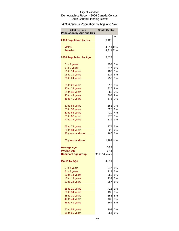## 2006 Census Population by Age and Sex

| 2006 Census<br><b>Population by Age and Sex</b> | <b>South Central</b> |           |
|-------------------------------------------------|----------------------|-----------|
|                                                 |                      | ℅         |
| <b>2006 Population by Sex</b>                   | 9,422                |           |
| <b>Males</b>                                    | 4,611 49%            |           |
| <b>Females</b>                                  | 4,81151%             |           |
|                                                 |                      |           |
| <b>2006 Population by Age</b>                   | 9,422                |           |
| 0 to 4 years                                    | 492                  | 5%        |
| 5 to 9 years                                    | 447                  | 5%        |
| 10 to 14 years                                  | 480                  | 5%        |
| 15 to 19 years                                  | 524                  | <b>6%</b> |
| 20 to 24 years                                  | 757                  | 8%        |
| 25 to 29 years                                  | 817                  | 9%        |
| 30 to 34 years                                  | 825                  | 9%        |
| 35 to 39 years                                  | 669                  | 7%        |
| 40 to 44 years                                  | 808                  | 9%        |
| 45 to 49 years                                  | 676                  | 7%        |
| 50 to 54 years                                  | 658                  | 7%        |
| 55 to 59 years                                  | 528                  | 6%        |
| 60 to 64 years                                  | 420                  | 4%        |
| 65 to 69 years                                  | 277                  | 3%        |
| 70 to 74 years                                  | 329                  | 3%        |
| 75 to 79 years                                  |                      | 274 3%    |
| 80 to 84 years                                  | 223                  | 2%        |
| 85 years and over                               | 186                  | 2%        |
| 65 years and over                               | 1,289 14%            |           |
| Average age                                     | 38.9                 |           |
| <b>Median age</b>                               | 37.6                 |           |
| <b>Dominant age group</b>                       | 30 to 34 years       |           |
| <b>Males by Age</b>                             | 4,611                |           |
| 0 to 4 years                                    | 247                  | 5%        |
| 5 to 9 years                                    | 218                  | 5%        |
| 10 to 14 years                                  | 250                  | 5%        |
| 15 to 19 years                                  | 239                  | 5%        |
| 20 to 24 years                                  | 357                  | 8%        |
| 25 to 29 years                                  | 416                  | 9%        |
| 30 to 34 years                                  | 435                  | 9%        |
| 35 to 39 years                                  | 353                  | 8%        |
| 40 to 44 years                                  | 430                  | 9%        |
| 45 to 49 years                                  | 364                  | 8%        |
| 50 to 54 years                                  | 308                  | 7%        |
| 55 to 59 years                                  | 264                  | 6%        |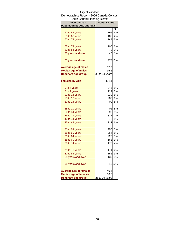| South Central Planning District  |                      |           |  |
|----------------------------------|----------------------|-----------|--|
| 2006 Census                      | <b>South Central</b> |           |  |
| <b>Population by Age and Sex</b> |                      |           |  |
|                                  |                      | %         |  |
| 60 to 64 years                   | 195                  | 4%        |  |
| 65 to 69 years                   | 109                  | 2%        |  |
| 70 to 74 years                   | 149                  | 3%        |  |
| 75 to 79 years                   | 100                  | 2%        |  |
| 80 to 84 years                   | 72                   | 2%        |  |
| 85 years and over                | 46                   | 1%        |  |
| 65 years and over                |                      | 477 10%   |  |
| <b>Average age of males</b>      | 37.2                 |           |  |
| <b>Median age of males</b>       | 36.6                 |           |  |
| <b>Dominant age group</b>        | 30 to 34 years       |           |  |
| <b>Females by Age</b>            | 4,811                |           |  |
| 0 to 4 years                     | 245                  | 5%        |  |
| 5 to 9 years                     | 229                  | 5%        |  |
| 10 to 14 years                   | 230                  | 5%        |  |
| 15 to 19 years                   | 285                  | 6%        |  |
| 20 to 24 years                   | 400                  | <b>8%</b> |  |
| 25 to 29 years                   | 401                  | 8%        |  |
| 30 to 34 years                   | 390                  | 8%        |  |
| 35 to 39 years                   | 317                  | 7%        |  |
| 40 to 44 years                   | 378                  | 8%        |  |
| 45 to 49 years                   | 312                  | <b>6%</b> |  |
| 50 to 54 years                   | 350                  | 7%        |  |
| 55 to 59 years                   | 264                  | 5%        |  |
| 60 to 64 years                   | 225                  | 5%        |  |
| 65 to 69 years                   | 168                  | 3%        |  |
| 70 to 74 years                   | 179                  | 4%        |  |
| 75 to 79 years                   | 174                  | 4%        |  |
| 80 to 84 years                   | 152                  | 3%        |  |
| 85 years and over                | 139                  | 3%        |  |
| 65 years and over                |                      | 812 17%   |  |
| <b>Average age of females</b>    | 40.6                 |           |  |
| <b>Median age of females</b>     | 38.8                 |           |  |
| <b>Dominant age group</b>        | 25 to 29 years       |           |  |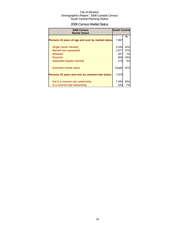## 2006 Census Marital Status

| 2006 Census<br><b>Marital Status</b>               | <b>South Central</b> |     |
|----------------------------------------------------|----------------------|-----|
| Persons 15 years of age and over by marital status | 7,997                | %   |
| Single (never married)                             | 3,349                | 42% |
| Married (not separated)                            | 2,977                | 37% |
| Widowed                                            | 567                  | 7%  |
| <b>Divorced</b>                                    | 809                  | 10% |
| Separated (legally married)                        | 279                  | 3%  |
| Dominant marital status                            | Single               | 42% |
| Persons 15 years and over by common-law status     | 7,979                |     |
| Not in a common-law relationship                   | 7,392                | 93% |
| In a common-law relationship                       | 593                  | 7%l |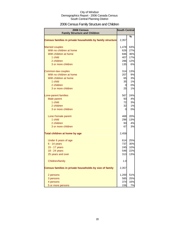## 2006 Census Family Structure and Children

| 2006 Census<br><b>Family Structure and Children</b>       | <b>South Central</b> |      |
|-----------------------------------------------------------|----------------------|------|
|                                                           |                      | $\%$ |
| Census families in private households by family structure | 2,357                |      |
| <b>Married couples</b>                                    | 1,478                | 63%  |
| With no children at home                                  | 626                  | 27%  |
| With children at home                                     | 846                  | 36%  |
| 1 child                                                   | 407                  | 17%  |
| 2 children                                                | 286                  | 12%  |
| 3 or more children                                        | 135                  | 6%   |
| Common-law couples                                        | 314                  | 13%  |
| With no children at home                                  | 207                  | 9%   |
| With children at home                                     | 65                   | 3%   |
| 1 child                                                   | 35                   | 1%   |
| 2 children                                                | $\overline{0}$       | 0%   |
| 3 or more children                                        | 25                   | 1%   |
| Lone-parent families                                      | 567                  | 24%  |
| Male parent                                               | 93                   | 4%   |
| 1 child                                                   | 72                   | 3%   |
| 2 children                                                | 32                   | 1%   |
| 3 or more children                                        | 0                    | 0%   |
| Lone Female parent                                        | 468                  | 20%  |
| 1 child                                                   | 296                  | 13%  |
| 2 children                                                | 93                   | 4%   |
| 3 or more children                                        | 67                   | 3%   |
| Total children at home by age                             | 2,458                |      |
| Under 6 years of age                                      | 614                  | 25%  |
| $6 - 14$ years                                            | 737                  | 30%  |
| 15 - 17 years                                             | 245                  | 10%  |
| 18 - 24 years                                             | 546                  | 22%  |
| 25 years and over                                         | 313                  | 13%  |
| Children/family                                           | 1.0                  |      |
| Census families in private households by size of family   | 2,357                |      |
| 2 persons                                                 | 1,200                | 51%  |
| 3 persons                                                 | 585                  | 25%  |
| 4 persons                                                 | 374                  | 16%  |
| 5 or more persons                                         | 156                  | 7%   |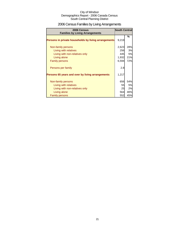## 2006 Census Families by Living Arrangements

| 2006 Census<br><b>Families by Living Arrangements</b> | <b>South Central</b> |     |
|-------------------------------------------------------|----------------------|-----|
|                                                       |                      | %   |
| Persons in private households by living arrangements  | 9,219                |     |
| Non-family persons                                    | 2,623                | 28% |
| Living with relatives                                 | 256                  | 3%  |
| Living with non-relatives only                        | 445                  | 5%  |
| Living alone                                          | 1,932                | 21% |
| <b>Family persons</b>                                 | 6,594                | 72% |
| Persons per family                                    | 2.8                  |     |
| Persons 65 years and over by living arrangements      | 1,217                |     |
| Non-family persons                                    | 656                  | 54% |
| Living with relatives                                 | 55                   | 5%  |
| Living with non-relatives only                        | 25                   | 2%  |
| Living alone                                          | 564                  | 46% |
| <b>Family persons</b>                                 | 552                  | 45% |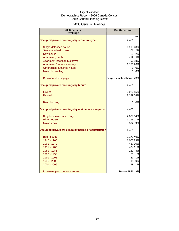## 2006 Census Dwellings

| 2006 Census<br><b>Dwellings</b>                      | <b>South Central</b>      |         |
|------------------------------------------------------|---------------------------|---------|
|                                                      |                           | %       |
| Occupied private dwellings by structure type         | 4,461                     |         |
| Single-detached house                                | 1,91943%                  |         |
| Semi-detached house                                  | 106                       | 2%      |
| Row house                                            | 68                        | 2%      |
| Apartment, duplex                                    | 419                       | 9%      |
| Apartment less than 5 storeys                        |                           | 799 18% |
| Apartment 5 or more storeys                          | 1,175 26%                 |         |
| Other single-attached house                          | 5 <sub>l</sub>            | 0%      |
| Movable dwelling                                     | 0                         | 0%      |
| Dominant dwelling type                               | Single-detached house 43% |         |
| Occupied private dwellings by tenure                 | 4,461                     |         |
| Owned                                                | 2,027 45%                 |         |
| Rented                                               | 2,399 54%                 |         |
| <b>Band housing</b>                                  | 0                         | 0%      |
| Occupied private dwellings by maintenance required   | 4,461                     |         |
| Regular maintenance only                             | 2,837 64%                 |         |
| Minor repairs                                        | 1,195 27%                 |         |
| <b>Major repairs</b>                                 | 392                       | 9%      |
| Occupied private dwellings by period of construction | 4,461                     |         |
| Before 1946                                          | 2,17749%                  |         |
| 1946 - 1960                                          | 1,007 23%                 |         |
| 1961 - 1970                                          |                           | 457 10% |
| 1971 - 1980                                          |                           | 484 11% |
| 1981 - 1985                                          | 122                       | 3%      |
| 1986 - 1990                                          | 55                        | 1%      |
| 1991 - 1995                                          | 53                        | 1%      |
| 1996 - 2000                                          | 15                        | 0%      |
| 2001 - 2006                                          | 48                        | 1%      |
| Dominant period of construction                      | Before 1946 49%           |         |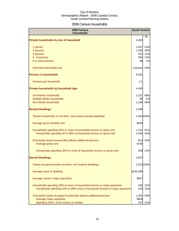## 2006 Census Households

| 2006 Census<br><b>Households</b>                                          | <b>South Central</b> |            |
|---------------------------------------------------------------------------|----------------------|------------|
| Private households by size of household                                   | 4,463                | %          |
| 1 person                                                                  | 1,927                | 43%        |
| 2 persons                                                                 | 1,282                | 29%        |
| 3 persons                                                                 | 551                  | 12%        |
| 4 - 5 persons                                                             | 582                  | 13%        |
| 6 or more persons                                                         | 98                   | 2%         |
| Dominant household size                                                   | 1 person             | 43%        |
| <b>Persons in households</b>                                              | 9,281                |            |
| Persons per household                                                     | 2.1                  |            |
| Private households by household type                                      | 4,450                |            |
| One-family households                                                     | 2,151                | 48%        |
| Multiple-family households                                                | 99                   | 2%         |
| Non-family households                                                     | 2,186                | 49%        |
| <b>Rented Dwellings</b>                                                   | 2,399                |            |
| Tenant households in non-farm, non-reserve private dwellings              |                      | 2,402 100% |
| Average gross monthly rent                                                | \$693                |            |
| Households spending 30% or more of household income on gross rent         | 1,231                | 51%        |
| Households spending 30 to 99% of household income on gross rent           | 1,026                | 43%        |
| One-family tenant households without additional persons                   | 814                  | 34%        |
| Average gross rent                                                        | \$738                |            |
| Households spending 30% or more of household income on gross rent         | 358                  | 15%        |
| <b>Owned Dwellings</b>                                                    | 2,027                |            |
| Owner-occupied private non-farm, non-reserve dwellings                    |                      | 2,022 100% |
| Average value of dwelling                                                 | \$145,389            |            |
| Average owner's major payments                                            | \$847                |            |
| Households spending 30% or more of household income on major payments     | 425                  | 21%        |
| Households spending 30% to 99% more of household income on major payments | 378                  | 19%        |
| One-family owner-occupied households without additional persons           | 1,202                | 59%        |
| Average major payments                                                    | \$906                |            |
| Spending 30%+ of hh income on shelter                                     | 237                  | 12%        |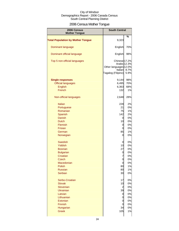## 2006 Census Mother Tongue

| 2006 Census<br><b>Mother Tongue</b>      | <b>South Central</b>                                                                           |              |
|------------------------------------------|------------------------------------------------------------------------------------------------|--------------|
|                                          |                                                                                                | %            |
| <b>Total Population by Mother Tongue</b> | 9,323                                                                                          |              |
| Dominant language                        | English                                                                                        | 70%          |
| Dominant official language               | English                                                                                        | 98%          |
| Top 5 non-official languages             | Chinese 17.2%<br>Arabic 12.3%<br>Other languages 12.0%<br><b>Italian</b><br>Tagalog (Filipino) | 8.7%<br>5.9% |
| <b>Single responses</b>                  | 9,144                                                                                          | 98%          |
| <b>Official languages</b>                | 6,495                                                                                          | 70%          |
| <b>English</b>                           | 6,363                                                                                          | 68%          |
| French                                   | 132                                                                                            | 1%           |
| Non-official languages                   | 2,648                                                                                          | 28%          |
| Italian                                  | 228                                                                                            | 2%           |
| Portuguese                               | 21                                                                                             | 0%           |
| Romanian                                 | 75                                                                                             | 1%           |
| Spanish                                  | 142                                                                                            | 2%           |
| <b>Danish</b>                            | 0                                                                                              | 0%           |
| <b>Dutch</b>                             | 10                                                                                             | 0%           |
| Flemish                                  | 0                                                                                              | 0%           |
| Frisian                                  | 0                                                                                              | 0%           |
| German                                   | 85                                                                                             | 1%           |
| Norwegian                                | 0                                                                                              | 0%           |
| <b>Swedish</b>                           | 0                                                                                              | 0%           |
| <b>Yiddish</b>                           | 10                                                                                             | 0%           |
| <b>Bosnian</b>                           | 27                                                                                             | 0%           |
| <b>Bulgarian</b>                         | 0                                                                                              | 0%           |
| Croatian                                 | 7                                                                                              | 0%           |
| <b>Czech</b>                             | <sub>U</sub>                                                                                   | 0%           |
| Macedonian                               | $\mathbf 0$                                                                                    | 0%           |
| <b>Polish</b>                            | 80                                                                                             | 1%           |
| <b>Russian</b>                           | 80                                                                                             | 1%           |
| <b>Serbian</b>                           | 30                                                                                             | 0%           |
| Serbo-Croatian                           | 17                                                                                             | 0%           |
| <b>Slovak</b>                            | 10                                                                                             | 0%           |
| Slovenian                                | $\overline{c}$                                                                                 | 0%           |
| <b>Ukrainian</b>                         | 39                                                                                             | 0%           |
| Latvian                                  | $\mathbf 0$                                                                                    | 0%           |
| Lithuanian                               | 0                                                                                              | 0%           |
| Estonian                                 | 0                                                                                              | 0%           |
| Finnish                                  | 0                                                                                              | 0%           |
| Hungarian                                | 34                                                                                             | 0%           |
| <b>Greek</b>                             | 105                                                                                            | 1%           |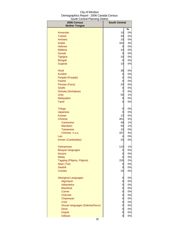| 2006 Census<br><b>Mother Tongue</b> | <b>South Central</b> |      |
|-------------------------------------|----------------------|------|
|                                     |                      | $\%$ |
| Armenian                            | 10                   | 0%   |
| <b>Turkish</b>                      | 30                   | 0%   |
| Amharic                             | 10                   | 0%   |
| Arabic                              | 324                  | 3%   |
| <b>Hebrew</b>                       | 0                    | 0%   |
| <b>Maltese</b>                      | 10                   | 0%   |
| Somali                              | 0                    | 0%   |
| Tigrigna                            | 10                   | 0%   |
| <b>Bengali</b>                      | 0                    | 0%   |
| Gujarati                            | 10                   | 0%   |
| Hindi                               | 38                   | 0%   |
| <b>Kurdish</b>                      | 0                    | 0%   |
| Panjabi (Punjabi)                   | 5                    | 0%   |
| Pashto                              | 0                    | 0%   |
| Persian (Farsi)                     | 20                   | 0%   |
| Sindhi                              | 0                    | 0%   |
| Sinhala (Sinhalese)                 | 7                    | 0%   |
| Urdu                                | 55                   | 1%   |
| Malayalam                           | 0                    | 0%   |
| Tamil                               | 0                    | 0%   |
| <b>Telugu</b>                       | 0                    | 0%   |
| Japanese                            | 0                    | 0%   |
| Korean                              | 13                   | 0%   |
| <b>Chinese</b>                      | 451                  | 5%   |
| Cantonese                           | 49                   | 1%   |
| <b>Mandarin</b>                     | 55                   | 1%   |
| Taiwanese                           | 10                   | 0%   |
| Chinese, n.o.s.                     | 337                  | 4%   |
| Lao                                 | 4                    | 0%   |
| Khmer (Cambodian)                   | 25                   | 0%   |
| Vietnamese                          | 110                  | 1%   |
| <b>Bisayan languages</b>            | 0                    | 0%   |
| <b>Ilocano</b>                      | 0                    | 0%   |
| <b>Malay</b>                        | 0                    | 0%   |
| Tagalog (Pilipino, Filipino)        | 155                  | 2%   |
| Akan (Twi)                          | 0                    | 0%   |
| <b>Swahili</b>                      | 0                    | 0%   |
| <b>Creoles</b>                      | 25                   | 0%   |
| <b>Aboriginal Languages</b>         | 0                    | 0%   |
| Algonquin                           | 0                    | 0%   |
| Atikamekw                           | 0                    | 0%   |
| <b>Blackfoot</b>                    | 0                    | 0%   |
| Carrier                             | 0                    | 0%   |
| Chilcotin                           | 0                    | 0%   |
| Chipewyan                           | 0                    | 0%   |
| <b>Cree</b>                         | 0                    | 0%   |
| Siouan languages (Dakota/Sioux)     | 0                    | 0%   |
| Dene                                | 0                    | 0%   |
| <b>Dogrib</b><br>Gitksan            | 0                    | 0%   |
|                                     | $\overline{0}$       | 0%   |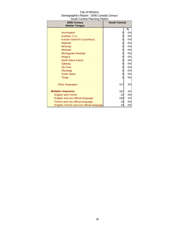| City of Windsor                          |
|------------------------------------------|
| Demographics Report - 2006 Canada Census |
| South Central Planning District          |

| <u>ooddi oorida i lammig Diodiod</u><br>2006 Census | <b>South Central</b> |    |
|-----------------------------------------------------|----------------------|----|
| <b>Mother Tongue</b>                                |                      |    |
|                                                     |                      | %  |
| Inuinnagtun                                         | 0                    | 0% |
| Inuktitut, n.i.e.                                   | 0                    | 0% |
| Kutchin-Gwich'in (Loucheux)                         | 0                    | 0% |
| <b>Malecite</b>                                     | 0                    | 0% |
| Mi'kmag                                             | 0                    | 0% |
| <b>Mohawk</b>                                       | 0                    | 0% |
| Montagnais-Naskapi                                  | 0                    | 0% |
| Nisga'a                                             | 0                    | 0% |
| North Slave (Hare)                                  | 0                    | 0% |
| Ojibway                                             | 0                    | 0% |
| Oji-Cree                                            | 0                    | 0% |
| Shuswap                                             | 0                    | 0% |
| <b>South Slave</b>                                  | 0                    | 0% |
| <b>Tlingit</b>                                      | 0                    | 0% |
| Other languages                                     | 317                  | 3% |
| <b>Multiple responses</b>                           | 187                  | 2% |
| <b>English and French</b>                           | 22                   | 0% |
| English and non-official language                   | 160                  | 2% |
| French and non-official language                    | 10                   | 0% |
| English, French and non-official language           | 10                   | 0% |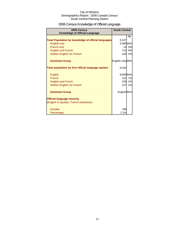## 2006 Census Knowledge of Official Language

| 2006 Census<br><b>Knowledge of Official Language</b>       | <b>South Central</b> |        |
|------------------------------------------------------------|----------------------|--------|
|                                                            |                      | %      |
| <b>Total Population by knowledge of official languages</b> | 9,327                |        |
| <b>English only</b>                                        | 8,386 90%            |        |
| French only                                                | 10                   | 0%     |
| <b>English and French</b>                                  | 715 <b>I</b>         | 8%     |
| Neither English nor French                                 | 244                  | 3%     |
| <b>Dominant Group</b>                                      | English only 90%     |        |
| Total population by first official language spoken         | 9,342                |        |
| English                                                    | 8,80994%             |        |
| French                                                     | 123 <sub>l</sub>     | 1%     |
| <b>English and French</b>                                  |                      | 159 2% |
| Neither English nor French                                 | 227                  | 2%     |
| <b>Dominant Group</b>                                      | English 95%          |        |
| <b>Official language minority</b>                          |                      |        |
| (English in Quebec, French elsewhere)                      |                      |        |
| <b>Number</b>                                              | 198                  |        |
| Percentage                                                 | 2.1%                 |        |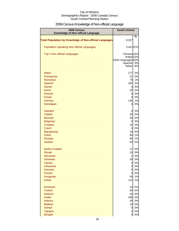## 2006 Census Knowledge of Non-official Language

| 2006 Census<br>Knowledge of Non-official Language              | <b>South Central</b>             |          |
|----------------------------------------------------------------|----------------------------------|----------|
|                                                                |                                  | %        |
| <b>Total Population by Knowledge of Non-official Languages</b> | 9,327                            |          |
| <b>Population Speaking Non-official Languages</b>              | 3,421 37%                        |          |
| <b>Top 5 Non-official Languages</b>                            | Chinese <sub>14%</sub>           |          |
|                                                                | Arabic 13%                       |          |
|                                                                | Other languages 10%<br>Spanish   | 9%       |
|                                                                | Italian                          | 8%       |
|                                                                |                                  |          |
| <b>Italian</b>                                                 | 277                              | 3%       |
| Portuguese                                                     | 21                               | 0%       |
| Romanian                                                       | 75                               | 1%       |
| Spanish                                                        | 293                              | 3%       |
| <b>Danish</b>                                                  | $\overline{O}$                   | 0%       |
| <b>Dutch</b>                                                   | 20                               | 0%       |
| Flemish                                                        | $\overline{0}$                   | 0%       |
| Frisian<br>German                                              | 0<br>135                         | 0%<br>1% |
| Norwegian                                                      | $\overline{0}$                   | 0%       |
|                                                                |                                  |          |
| <b>Swedish</b>                                                 | $\overline{0}$                   | 0%       |
| <b>Yiddish</b>                                                 | 30                               | 0%       |
| <b>Bosnian</b>                                                 | 30                               | 0%       |
| <b>Bulgarian</b>                                               | $\overline{0}$                   | 0%       |
| Croatian                                                       | 10                               | 0%       |
| <b>Czech</b>                                                   | $\overline{0}$                   | 0%       |
| Macedonian                                                     | 10                               | 0%       |
| <b>Polish</b>                                                  | 80                               | 1%       |
| <b>Russian</b><br><b>Serbian</b>                               | 93<br>20                         | 1%<br>0% |
|                                                                |                                  |          |
| Serbo-Croatian                                                 | 17                               | 0%       |
| <b>Slovak</b>                                                  | 15                               | 0%       |
| Slovenian                                                      | $\overline{a}$                   | 0%       |
| Ukrainian                                                      | 35                               | 0%       |
| Latvian<br>Lithuanian                                          | $\overline{0}$<br>$\overline{0}$ | 0%<br>0% |
| Estonian                                                       | $\overline{0}$                   | 0%       |
| Finnish                                                        | 0                                | 0%       |
| Hungarian                                                      | 56                               | 1%       |
| <b>Greek</b>                                                   | 113                              | 1%       |
| Armenian                                                       | 10                               | 0%       |
| <b>Turkish</b>                                                 | 30                               | 0%       |
| Amharic                                                        | 45                               | 0%       |
| Arabic                                                         | 439                              | 5%       |
| <b>Hebrew</b>                                                  | 45                               | 0%       |
| <b>Maltese</b>                                                 | 10                               | 0%       |
| Somali                                                         | $\overline{0}$                   | 0%       |
| Tigrigna                                                       | 0                                | 0%       |
| Bengali                                                        | 0                                | 0%       |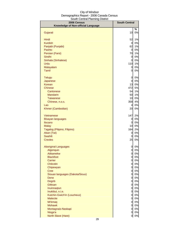| 2006 Census<br>Knowledge of Non-official Language | <b>South Central</b>         |          |
|---------------------------------------------------|------------------------------|----------|
|                                                   |                              | %        |
| Gujarati                                          | 10                           | 0%       |
|                                                   |                              |          |
| Hindi                                             | 52                           | 1%       |
| <b>Kurdish</b>                                    | <sub>0</sub>                 | 0%       |
| Panjabi (Punjabi)                                 | 62                           | 1%       |
| Pashto                                            | $\overline{0}$               | 0%       |
| Persian (Farsi)                                   | 70                           | 1%       |
| Sindhi                                            | $\overline{0}$               | 0%       |
| Sinhala (Sinhalese)                               | $\overline{0}$               | 0%       |
| Urdu                                              | 110                          | 1%       |
| Malayalam                                         | $\overline{0}$               | 0%       |
| <b>Tamil</b>                                      | 0                            | 0%       |
| <b>Telugu</b>                                     | 0                            | 0%       |
| Japanese                                          | $\overline{0}$               | 0%       |
| Korean                                            | 13                           | 0%       |
| <b>Chinese</b>                                    | 472                          | 5%       |
| Cantonese                                         | 54                           | 1%       |
| <b>Mandarin</b>                                   | 50                           | 1%       |
| <b>Taiwanese</b>                                  | 10                           | 0%       |
| Chinese, n.o.s.                                   | 358                          | 4%       |
| Lao                                               | 4                            | 0%       |
| Khmer (Cambodian)                                 | 20                           | 0%       |
| <b>Vietnamese</b>                                 | 147                          | 2%       |
| <b>Bisayan languages</b>                          | 0                            | 0%       |
| Ilocano                                           | 0                            | 0%       |
| <b>Malay</b>                                      | 10                           | 0%       |
| Tagalog (Pilipino, Filipino)                      | 164                          | 2%       |
| Akan (Twi)                                        | 0                            | 0%       |
| <b>Swahili</b>                                    | 0                            | 0%       |
| <b>Creoles</b>                                    | 25                           | 0%       |
| <b>Aboriginal Languages</b>                       | 0                            | 0%       |
| Algonquin                                         | $\overline{0}$               | 0%       |
| Atikamekw                                         | $\overline{0}$               | 0%       |
| <b>Blackfoot</b>                                  | $\overline{0}$               | 0%       |
| Carrier                                           | $\overline{0}$               | 0%       |
| Chilcotin                                         | $\overline{0}$               | 0%       |
| Chipewyan                                         | $\overline{0}$               | 0%       |
| Cree                                              | $\overline{0}$               | 0%       |
| Siouan languages (Dakota/Sioux)                   | $\overline{0}$               | 0%<br>0% |
| Dene<br><b>Dogrib</b>                             | <sub>0</sub><br><sub>0</sub> | 0%       |
| Gitksan                                           | <sub>0</sub>                 | 0%       |
| Inuinnaqtun                                       | $\overline{0}$               | 0%       |
| Inuktitut, n.i.e.                                 | $\overline{0}$               | 0%       |
| Kutchin-Gwich'in (Loucheux)                       | $\overline{0}$               | 0%       |
| <b>Malecite</b>                                   | $\overline{0}$               | 0%       |
| Mi'kmaq                                           | $\overline{0}$               | 0%       |
| <b>Mohawk</b>                                     | $\overline{O}$               | 0%       |
| Montagnais-Naskapi                                | 0                            | 0%       |
| Nisga'a                                           | 0                            | 0%       |
| North Slave (Hare)                                | $\overline{0}$               | $0\%$    |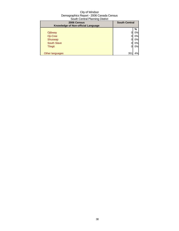| 2006 Census<br>Knowledge of Non-official Language | <b>South Central</b> |    |
|---------------------------------------------------|----------------------|----|
|                                                   |                      | %  |
| Ojibway                                           |                      | 0% |
| Oji-Cree                                          |                      | 0% |
| Shuswap                                           |                      | 0% |
| <b>South Slave</b>                                |                      | 0% |
| <b>Tlingit</b>                                    | 0                    | 0% |
|                                                   |                      |    |
| Other languages                                   | 35 <sup>1</sup>      | 4% |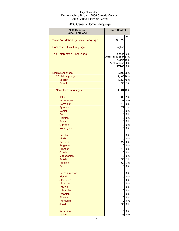## 2006 Census Home Language

| 2006 Census<br><b>Home Language</b>      | <b>South Central</b>                                                                 |          |
|------------------------------------------|--------------------------------------------------------------------------------------|----------|
|                                          |                                                                                      | %        |
| <b>Total Population by Home Language</b> | \$9,322                                                                              |          |
| <b>Dominant Official Language</b>        | English                                                                              |          |
| Top 5 Non-official Languages             | Chinese <sub>22%</sub><br>Other languages 17%<br>Arabic 15%<br>Vietnamese<br>Italian | 6%<br>5% |
| Single responses                         | 9,10798%                                                                             |          |
| <b>Official languages</b>                | 7,400 79%                                                                            |          |
| English                                  | 7,350 79%                                                                            |          |
| French                                   | 50                                                                                   | 1%       |
| Non-official languages                   | 1,681 18%                                                                            |          |
| <b>Italian</b>                           | 80                                                                                   | 1%       |
| Portuguese                               | 21                                                                                   | 0%       |
| Romanian                                 | 10                                                                                   | 0%       |
| Spanish                                  | 79                                                                                   | 1%       |
| Danish                                   | 0                                                                                    | 0%       |
| <b>Dutch</b>                             | $\overline{O}$                                                                       | 0%       |
| Flemish                                  | $\overline{O}$                                                                       | 0%       |
| <b>Frisian</b>                           | $\overline{0}$                                                                       | 0%       |
| German                                   | $\overline{0}$                                                                       | 0%       |
| Norwegian                                | $\overline{0}$                                                                       | 0%       |
| <b>Swedish</b>                           | $\overline{O}$                                                                       | 0%       |
| Yiddish                                  | $\mathbf 0$                                                                          | 0%       |
| <b>Bosnian</b>                           | 27                                                                                   | 0%       |
| <b>Bulgarian</b>                         | $\overline{0}$                                                                       | 0%       |
| Croatian                                 | 10                                                                                   | 0%       |
| Czech                                    | 0                                                                                    | 0%       |
| Macedonian                               | 0                                                                                    | 0%       |
| Polish                                   | 55                                                                                   | 1%       |
| <b>Russian</b>                           | 60                                                                                   | 1%       |
| Serbian                                  | 0                                                                                    | 0%       |
| Serbo-Croatian                           | 0                                                                                    | 0%       |
| <b>Slovak</b>                            | $\overline{O}$                                                                       | 0%       |
| Slovenian                                | $\mathbf 0$                                                                          | 0%       |
| <b>Ukrainian</b>                         | $\overline{4}$                                                                       | 0%       |
| Latvian                                  | $\mathbf 0$                                                                          | 0%       |
| Lithuanian                               | $\overline{O}$                                                                       | 0%       |
| Estonian                                 | 0                                                                                    | 0%       |
| Finnish                                  | 0                                                                                    | 0%       |
| Hungarian                                | $\overline{a}$                                                                       | 0%       |
| <b>Greek</b>                             | 38                                                                                   | 0%       |
| Armenian                                 | 0                                                                                    | 0%       |
| <b>Turkish</b>                           | 35                                                                                   | 0%       |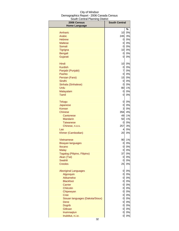| %<br>0%<br>Amharic<br>10<br>245<br>3%<br>Arabic<br>0%<br><b>Hebrew</b><br>0<br>0%<br><b>Maltese</b><br>0<br>$0\%$<br>Somali<br>0<br>10<br>0%<br>Tigrigna<br>$0\%$<br>Bengali<br>0<br>Gujarati<br>0%<br>0<br>Hindi<br>10<br>0%<br><b>Kurdish</b><br>0<br>7<br>Panjabi (Punjabi)<br>Pashto<br>0<br>15<br>Persian (Farsi)<br>Sindhi<br>$\overline{0}$<br>Sinhala (Sinhalese)<br>0<br>Urdu<br>80<br>Malayalam<br>0<br>Tamil<br>0%<br>0<br>0%<br><b>Telugu</b><br>0<br>0%<br>0<br>Japanese<br>$\overline{3}$<br>0%<br><b>Korean</b><br>356<br>4%<br>Chinese<br>1%<br>49<br>Cantonese<br>50<br>$1\%$<br><b>Mandarin</b><br>0%<br><b>Taiwanese</b><br>0<br>257<br>3%<br>Chinese, n.o.s.<br>0%<br>4<br>Lao<br>20<br>0%<br>Khmer (Cambodian)<br>90<br>Vietnamese<br><b>Bisayan languages</b><br>0<br>Ilocano<br>0%<br>0<br>0<br>0%<br><b>Malay</b><br>0%<br>37<br>Tagalog (Pilipino, Filipino)<br>0%<br>Akan (Twi)<br>0<br><b>Swahili</b><br>0%<br>0<br><b>Creoles</b><br>0%<br>25<br>0%<br><b>Aboriginal Languages</b><br>0<br>0%<br>Algonquin<br>0<br>Atikamekw<br>0%<br>0<br>$\overline{O}$<br>0%<br><b>Blackfoot</b><br>$\overline{O}$<br>0%<br>Carrier<br>$\overline{O}$<br>$0\%$<br>Chilcotin<br>$\overline{0}$<br>0%<br>Chipewyan<br>$\overline{0}$<br>0%<br><b>Cree</b><br>0%<br>Siouan languages (Dakota/Sioux)<br>$\overline{a}$<br>Dene<br><sub>0</sub><br>$\overline{0}$<br><b>Dogrib</b><br>Gitksan<br>0<br>Inuinnaqtun<br>0 | 2006 Census          | <b>South Central</b> |  |
|----------------------------------------------------------------------------------------------------------------------------------------------------------------------------------------------------------------------------------------------------------------------------------------------------------------------------------------------------------------------------------------------------------------------------------------------------------------------------------------------------------------------------------------------------------------------------------------------------------------------------------------------------------------------------------------------------------------------------------------------------------------------------------------------------------------------------------------------------------------------------------------------------------------------------------------------------------------------------------------------------------------------------------------------------------------------------------------------------------------------------------------------------------------------------------------------------------------------------------------------------------------------------------------------------------------------------------------------------------------------------------------------------------------------------------|----------------------|----------------------|--|
|                                                                                                                                                                                                                                                                                                                                                                                                                                                                                                                                                                                                                                                                                                                                                                                                                                                                                                                                                                                                                                                                                                                                                                                                                                                                                                                                                                                                                                  | <b>Home Language</b> |                      |  |
|                                                                                                                                                                                                                                                                                                                                                                                                                                                                                                                                                                                                                                                                                                                                                                                                                                                                                                                                                                                                                                                                                                                                                                                                                                                                                                                                                                                                                                  |                      |                      |  |
|                                                                                                                                                                                                                                                                                                                                                                                                                                                                                                                                                                                                                                                                                                                                                                                                                                                                                                                                                                                                                                                                                                                                                                                                                                                                                                                                                                                                                                  |                      |                      |  |
|                                                                                                                                                                                                                                                                                                                                                                                                                                                                                                                                                                                                                                                                                                                                                                                                                                                                                                                                                                                                                                                                                                                                                                                                                                                                                                                                                                                                                                  |                      |                      |  |
|                                                                                                                                                                                                                                                                                                                                                                                                                                                                                                                                                                                                                                                                                                                                                                                                                                                                                                                                                                                                                                                                                                                                                                                                                                                                                                                                                                                                                                  |                      |                      |  |
|                                                                                                                                                                                                                                                                                                                                                                                                                                                                                                                                                                                                                                                                                                                                                                                                                                                                                                                                                                                                                                                                                                                                                                                                                                                                                                                                                                                                                                  |                      |                      |  |
|                                                                                                                                                                                                                                                                                                                                                                                                                                                                                                                                                                                                                                                                                                                                                                                                                                                                                                                                                                                                                                                                                                                                                                                                                                                                                                                                                                                                                                  |                      |                      |  |
|                                                                                                                                                                                                                                                                                                                                                                                                                                                                                                                                                                                                                                                                                                                                                                                                                                                                                                                                                                                                                                                                                                                                                                                                                                                                                                                                                                                                                                  |                      |                      |  |
|                                                                                                                                                                                                                                                                                                                                                                                                                                                                                                                                                                                                                                                                                                                                                                                                                                                                                                                                                                                                                                                                                                                                                                                                                                                                                                                                                                                                                                  |                      |                      |  |
| $0\%$<br>$0\%$                                                                                                                                                                                                                                                                                                                                                                                                                                                                                                                                                                                                                                                                                                                                                                                                                                                                                                                                                                                                                                                                                                                                                                                                                                                                                                                                                                                                                   |                      |                      |  |
|                                                                                                                                                                                                                                                                                                                                                                                                                                                                                                                                                                                                                                                                                                                                                                                                                                                                                                                                                                                                                                                                                                                                                                                                                                                                                                                                                                                                                                  |                      |                      |  |
| $0\%$<br>$0\%$<br>$0\%$<br>$0\%$                                                                                                                                                                                                                                                                                                                                                                                                                                                                                                                                                                                                                                                                                                                                                                                                                                                                                                                                                                                                                                                                                                                                                                                                                                                                                                                                                                                                 |                      |                      |  |
|                                                                                                                                                                                                                                                                                                                                                                                                                                                                                                                                                                                                                                                                                                                                                                                                                                                                                                                                                                                                                                                                                                                                                                                                                                                                                                                                                                                                                                  |                      |                      |  |
|                                                                                                                                                                                                                                                                                                                                                                                                                                                                                                                                                                                                                                                                                                                                                                                                                                                                                                                                                                                                                                                                                                                                                                                                                                                                                                                                                                                                                                  |                      |                      |  |
|                                                                                                                                                                                                                                                                                                                                                                                                                                                                                                                                                                                                                                                                                                                                                                                                                                                                                                                                                                                                                                                                                                                                                                                                                                                                                                                                                                                                                                  |                      |                      |  |
| 1%<br>0%                                                                                                                                                                                                                                                                                                                                                                                                                                                                                                                                                                                                                                                                                                                                                                                                                                                                                                                                                                                                                                                                                                                                                                                                                                                                                                                                                                                                                         |                      |                      |  |
|                                                                                                                                                                                                                                                                                                                                                                                                                                                                                                                                                                                                                                                                                                                                                                                                                                                                                                                                                                                                                                                                                                                                                                                                                                                                                                                                                                                                                                  |                      |                      |  |
|                                                                                                                                                                                                                                                                                                                                                                                                                                                                                                                                                                                                                                                                                                                                                                                                                                                                                                                                                                                                                                                                                                                                                                                                                                                                                                                                                                                                                                  |                      |                      |  |
|                                                                                                                                                                                                                                                                                                                                                                                                                                                                                                                                                                                                                                                                                                                                                                                                                                                                                                                                                                                                                                                                                                                                                                                                                                                                                                                                                                                                                                  |                      |                      |  |
|                                                                                                                                                                                                                                                                                                                                                                                                                                                                                                                                                                                                                                                                                                                                                                                                                                                                                                                                                                                                                                                                                                                                                                                                                                                                                                                                                                                                                                  |                      |                      |  |
|                                                                                                                                                                                                                                                                                                                                                                                                                                                                                                                                                                                                                                                                                                                                                                                                                                                                                                                                                                                                                                                                                                                                                                                                                                                                                                                                                                                                                                  |                      |                      |  |
|                                                                                                                                                                                                                                                                                                                                                                                                                                                                                                                                                                                                                                                                                                                                                                                                                                                                                                                                                                                                                                                                                                                                                                                                                                                                                                                                                                                                                                  |                      |                      |  |
| $1\%$<br>0%<br>$0\%$<br>0%<br>$0\%$<br>0%<br>$0\%$                                                                                                                                                                                                                                                                                                                                                                                                                                                                                                                                                                                                                                                                                                                                                                                                                                                                                                                                                                                                                                                                                                                                                                                                                                                                                                                                                                               |                      |                      |  |
|                                                                                                                                                                                                                                                                                                                                                                                                                                                                                                                                                                                                                                                                                                                                                                                                                                                                                                                                                                                                                                                                                                                                                                                                                                                                                                                                                                                                                                  |                      |                      |  |
|                                                                                                                                                                                                                                                                                                                                                                                                                                                                                                                                                                                                                                                                                                                                                                                                                                                                                                                                                                                                                                                                                                                                                                                                                                                                                                                                                                                                                                  |                      |                      |  |
|                                                                                                                                                                                                                                                                                                                                                                                                                                                                                                                                                                                                                                                                                                                                                                                                                                                                                                                                                                                                                                                                                                                                                                                                                                                                                                                                                                                                                                  |                      |                      |  |
|                                                                                                                                                                                                                                                                                                                                                                                                                                                                                                                                                                                                                                                                                                                                                                                                                                                                                                                                                                                                                                                                                                                                                                                                                                                                                                                                                                                                                                  |                      |                      |  |
|                                                                                                                                                                                                                                                                                                                                                                                                                                                                                                                                                                                                                                                                                                                                                                                                                                                                                                                                                                                                                                                                                                                                                                                                                                                                                                                                                                                                                                  |                      |                      |  |
|                                                                                                                                                                                                                                                                                                                                                                                                                                                                                                                                                                                                                                                                                                                                                                                                                                                                                                                                                                                                                                                                                                                                                                                                                                                                                                                                                                                                                                  |                      |                      |  |
|                                                                                                                                                                                                                                                                                                                                                                                                                                                                                                                                                                                                                                                                                                                                                                                                                                                                                                                                                                                                                                                                                                                                                                                                                                                                                                                                                                                                                                  |                      |                      |  |
|                                                                                                                                                                                                                                                                                                                                                                                                                                                                                                                                                                                                                                                                                                                                                                                                                                                                                                                                                                                                                                                                                                                                                                                                                                                                                                                                                                                                                                  |                      |                      |  |
|                                                                                                                                                                                                                                                                                                                                                                                                                                                                                                                                                                                                                                                                                                                                                                                                                                                                                                                                                                                                                                                                                                                                                                                                                                                                                                                                                                                                                                  |                      |                      |  |
|                                                                                                                                                                                                                                                                                                                                                                                                                                                                                                                                                                                                                                                                                                                                                                                                                                                                                                                                                                                                                                                                                                                                                                                                                                                                                                                                                                                                                                  |                      |                      |  |
|                                                                                                                                                                                                                                                                                                                                                                                                                                                                                                                                                                                                                                                                                                                                                                                                                                                                                                                                                                                                                                                                                                                                                                                                                                                                                                                                                                                                                                  |                      |                      |  |
|                                                                                                                                                                                                                                                                                                                                                                                                                                                                                                                                                                                                                                                                                                                                                                                                                                                                                                                                                                                                                                                                                                                                                                                                                                                                                                                                                                                                                                  |                      |                      |  |
|                                                                                                                                                                                                                                                                                                                                                                                                                                                                                                                                                                                                                                                                                                                                                                                                                                                                                                                                                                                                                                                                                                                                                                                                                                                                                                                                                                                                                                  |                      |                      |  |
|                                                                                                                                                                                                                                                                                                                                                                                                                                                                                                                                                                                                                                                                                                                                                                                                                                                                                                                                                                                                                                                                                                                                                                                                                                                                                                                                                                                                                                  |                      |                      |  |
|                                                                                                                                                                                                                                                                                                                                                                                                                                                                                                                                                                                                                                                                                                                                                                                                                                                                                                                                                                                                                                                                                                                                                                                                                                                                                                                                                                                                                                  |                      |                      |  |
|                                                                                                                                                                                                                                                                                                                                                                                                                                                                                                                                                                                                                                                                                                                                                                                                                                                                                                                                                                                                                                                                                                                                                                                                                                                                                                                                                                                                                                  |                      |                      |  |
|                                                                                                                                                                                                                                                                                                                                                                                                                                                                                                                                                                                                                                                                                                                                                                                                                                                                                                                                                                                                                                                                                                                                                                                                                                                                                                                                                                                                                                  |                      |                      |  |
|                                                                                                                                                                                                                                                                                                                                                                                                                                                                                                                                                                                                                                                                                                                                                                                                                                                                                                                                                                                                                                                                                                                                                                                                                                                                                                                                                                                                                                  |                      |                      |  |
|                                                                                                                                                                                                                                                                                                                                                                                                                                                                                                                                                                                                                                                                                                                                                                                                                                                                                                                                                                                                                                                                                                                                                                                                                                                                                                                                                                                                                                  |                      |                      |  |
|                                                                                                                                                                                                                                                                                                                                                                                                                                                                                                                                                                                                                                                                                                                                                                                                                                                                                                                                                                                                                                                                                                                                                                                                                                                                                                                                                                                                                                  |                      |                      |  |
|                                                                                                                                                                                                                                                                                                                                                                                                                                                                                                                                                                                                                                                                                                                                                                                                                                                                                                                                                                                                                                                                                                                                                                                                                                                                                                                                                                                                                                  |                      |                      |  |
|                                                                                                                                                                                                                                                                                                                                                                                                                                                                                                                                                                                                                                                                                                                                                                                                                                                                                                                                                                                                                                                                                                                                                                                                                                                                                                                                                                                                                                  |                      |                      |  |
|                                                                                                                                                                                                                                                                                                                                                                                                                                                                                                                                                                                                                                                                                                                                                                                                                                                                                                                                                                                                                                                                                                                                                                                                                                                                                                                                                                                                                                  |                      |                      |  |
|                                                                                                                                                                                                                                                                                                                                                                                                                                                                                                                                                                                                                                                                                                                                                                                                                                                                                                                                                                                                                                                                                                                                                                                                                                                                                                                                                                                                                                  |                      |                      |  |
|                                                                                                                                                                                                                                                                                                                                                                                                                                                                                                                                                                                                                                                                                                                                                                                                                                                                                                                                                                                                                                                                                                                                                                                                                                                                                                                                                                                                                                  |                      |                      |  |
|                                                                                                                                                                                                                                                                                                                                                                                                                                                                                                                                                                                                                                                                                                                                                                                                                                                                                                                                                                                                                                                                                                                                                                                                                                                                                                                                                                                                                                  |                      |                      |  |
|                                                                                                                                                                                                                                                                                                                                                                                                                                                                                                                                                                                                                                                                                                                                                                                                                                                                                                                                                                                                                                                                                                                                                                                                                                                                                                                                                                                                                                  |                      |                      |  |
|                                                                                                                                                                                                                                                                                                                                                                                                                                                                                                                                                                                                                                                                                                                                                                                                                                                                                                                                                                                                                                                                                                                                                                                                                                                                                                                                                                                                                                  | Inuktitut, n.i.e.    | 0                    |  |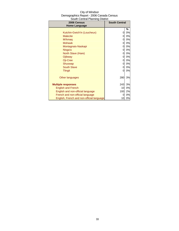| 2006 Census                               | <b>South Central</b> |    |
|-------------------------------------------|----------------------|----|
| <b>Home Language</b>                      |                      |    |
|                                           |                      | %  |
| Kutchin-Gwich'in (Loucheux)               | 0                    | 0% |
| <b>Malecite</b>                           | 0                    | 0% |
| Mi'kmaq                                   | 0                    | 0% |
| <b>Mohawk</b>                             | 0                    | 0% |
| Montagnais-Naskapi                        | 0                    | 0% |
| Nisga'a                                   | 0                    | 0% |
| North Slave (Hare)                        | 0                    | 0% |
| Ojibway                                   | 0                    | 0% |
| Oji-Cree                                  | 0                    | 0% |
| Shuswap                                   | 0                    | 0% |
| <b>South Slave</b>                        | 0                    | 0% |
| <b>Tlingit</b>                            | 0                    | 0% |
|                                           |                      |    |
| Other languages                           | 280                  | 3% |
|                                           |                      |    |
| <b>Multiple responses</b>                 | 243                  | 3% |
| <b>English and French</b>                 | 10                   | 0% |
| English and non-official language         | 193                  | 2% |
| French and non-official language          | 0                    | 0% |
| English, French and non-official language | 10                   | 0% |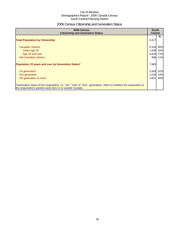## 2006 Census Citizenship and Generation Status

| 2006 Census<br><b>Citizenship and Generation Status</b>                                                                                                                       |                | <b>South</b><br><b>Central</b> |  |
|-------------------------------------------------------------------------------------------------------------------------------------------------------------------------------|----------------|--------------------------------|--|
| <b>Total Population by Citizenship</b>                                                                                                                                        | 9,317          | %                              |  |
| Canadian citizens                                                                                                                                                             | 8,334          | 89%                            |  |
| Under age 18<br>Age 18 and over                                                                                                                                               | 1,508<br>6,818 | 16%<br>73%                     |  |
| Not Canadian citizens                                                                                                                                                         | 996            | 11%                            |  |
| Population 15 years and over by Generation Status*                                                                                                                            |                | 7,960                          |  |
| 1st generation                                                                                                                                                                | 2,563          | 32%                            |  |
| 2nd generation                                                                                                                                                                | 1,519          | 19%                            |  |
| 3rd generation or more                                                                                                                                                        | 3,821          | 48%                            |  |
| *Generation status of the respondent, i.e. "1st", "2nd" or "3rd+" generation, refers to whether the respondent or<br>the respondent's parents were born in or outside Canada. |                |                                |  |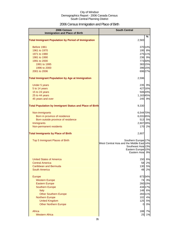## 2006 Census Immigration and Place of Birth

| 2006 Census<br><b>Immigration and Place of Birth</b>           | <b>South Central</b>                                                                                                                                  |  |
|----------------------------------------------------------------|-------------------------------------------------------------------------------------------------------------------------------------------------------|--|
| <b>Total Immigrant Population by Period of Immigration</b>     | $\frac{9}{6}$<br>2,583                                                                                                                                |  |
|                                                                |                                                                                                                                                       |  |
| Before 1961<br>1961 to 1970                                    | 37014%<br>195 8%                                                                                                                                      |  |
| 1971 to 1980                                                   | 275 11%                                                                                                                                               |  |
| 1981 to 1990                                                   | 236 9%                                                                                                                                                |  |
| 1991 to 2000                                                   | 77330%                                                                                                                                                |  |
| 1991 to 1995                                                   | 383 15%                                                                                                                                               |  |
| 1996 to 2000                                                   | 396 15%                                                                                                                                               |  |
| 2001 to 2006                                                   | 69627%                                                                                                                                                |  |
| <b>Total Immigrant Population by Age at Immigration</b>        | 2,596                                                                                                                                                 |  |
| <b>Under 5 years</b>                                           | 235<br>9%                                                                                                                                             |  |
| 5 to 14 years                                                  | 427 16%                                                                                                                                               |  |
| 15 to 24 years                                                 | 506 20%                                                                                                                                               |  |
| 25 to 44 years                                                 | 1,16345%                                                                                                                                              |  |
| 45 years and over                                              | 245<br>9%                                                                                                                                             |  |
| <b>Total Population by Immigrant Status and Place of Birth</b> | 9,330                                                                                                                                                 |  |
| Non-immigrants                                                 | 6,544 70%                                                                                                                                             |  |
| Born in province of residence                                  | 6,031 65%                                                                                                                                             |  |
| Born outside province of residence                             | 513 5%                                                                                                                                                |  |
| Immigrants                                                     | 2,607 28%                                                                                                                                             |  |
| Non-permanent residents                                        | 170 2%                                                                                                                                                |  |
| <b>Total Immigrants by Place of Birth</b>                      | 2,607                                                                                                                                                 |  |
| Top 5 Immigrant Places of Birth                                | Southern Europe <sup>17%</sup><br>West Central Asia and the Middle East 14%<br>Southeast Asia 13%<br>Eastern Europe <sup>10%</sup><br>Eastern Asia 9% |  |
| <b>United States of America</b>                                | 150<br>6%                                                                                                                                             |  |
| <b>Central America</b>                                         | 2%<br>58                                                                                                                                              |  |
| Caribbean and Bermuda                                          | 5%<br>130                                                                                                                                             |  |
| South America                                                  | 2%<br>48                                                                                                                                              |  |
| Europe                                                         | 87334%                                                                                                                                                |  |
| <b>Western Europe</b>                                          | 3%<br>74                                                                                                                                              |  |
| <b>Eastern Europe</b>                                          | 260 10%                                                                                                                                               |  |
| <b>Southern Europe</b>                                         | 434 17%                                                                                                                                               |  |
| <b>Italy</b>                                                   | 6%<br>148                                                                                                                                             |  |
| <b>Other Southern Europe</b>                                   | 283 11%                                                                                                                                               |  |
| <b>Northern Europe</b>                                         | 4%<br>102<br>125<br>5%                                                                                                                                |  |
| <b>United Kingdom</b><br><b>Other Northern Europe</b>          | 0%<br>$\overline{0}$                                                                                                                                  |  |
| Africa                                                         | 7%                                                                                                                                                    |  |
| <b>Western Africa</b>                                          | 188<br>25<br>1%                                                                                                                                       |  |
|                                                                |                                                                                                                                                       |  |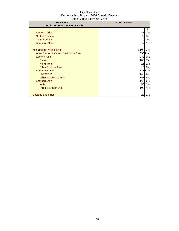| 2006 Census                           | <b>South Central</b> |         |
|---------------------------------------|----------------------|---------|
| <b>Immigration and Place of Birth</b> |                      |         |
|                                       |                      | %       |
| <b>Eastern Africa</b>                 | 87                   | 3%      |
| <b>Northern Africa</b>                | 75                   | 3%      |
| <b>Central Africa</b>                 | 0                    | 0%      |
| <b>Southern Africa</b>                | 17                   | 1%      |
|                                       |                      |         |
| Asia and the Middle East              | 1,10843%             |         |
| West Central Asia and the Middle East |                      | 358 14% |
| Eastern Asia                          | 239                  | 9%      |
| China                                 | 186                  | 7%      |
| Hong Kong                             | 25                   | 1%      |
| <b>Other Eastern Asia</b>             | 13                   | 0%      |
| Southeast Asia                        |                      | 335 13% |
| <b>Philippines</b>                    | 145                  | 6%      |
| <b>Other Southeast Asia</b>           | 151                  | 6%      |
| <b>Southern Asia</b>                  | 163                  | 6%      |
| India                                 | 50                   | 2%      |
| <b>Other Southern Asia</b>            | 103                  | 4%      |
|                                       |                      |         |
| Oceania and other                     | 20                   | 1%      |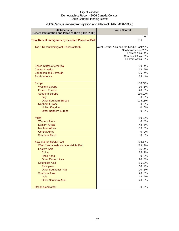| <b>2006 Census</b>                                         | <b>South Central</b>                      |          |
|------------------------------------------------------------|-------------------------------------------|----------|
| Recent Immigration and Place of Birth (2001-2006)          |                                           | %        |
| <b>Total Recent Immigrants by Selected Places of Birth</b> | 686                                       |          |
| Top 5 Recent Immigrant Places of Birth                     | West Central Asia and the Middle East 20% |          |
|                                                            | Southern Europe <sup>20%</sup>            |          |
|                                                            | Eastern Asia 14%<br>Southeast Asia 13%    |          |
|                                                            | Eastern Africa 6%                         |          |
|                                                            |                                           |          |
| <b>United States of America</b>                            | 30                                        | 4%       |
| <b>Central America</b>                                     | 13                                        | 2%       |
| <b>Caribbean and Bermuda</b>                               | 25                                        | 4%       |
| <b>South America</b>                                       | 25                                        | 4%       |
|                                                            |                                           |          |
| Europe                                                     |                                           | 150 22%  |
| <b>Western Europe</b><br><b>Eastern Europe</b>             | 10<br>20                                  | 1%<br>3% |
| <b>Southern Europe</b>                                     |                                           | 130 19%  |
| Italy                                                      | 0                                         | 0%       |
| <b>Other Southern Europe</b>                               |                                           | 125 18%  |
| <b>Northern Europe</b>                                     | $\mathbf 0$                               | 0%       |
| <b>United Kingdom</b>                                      | $\overline{0}$                            | 0%       |
| <b>Other Northern Europe</b>                               | 0                                         | 0%       |
|                                                            |                                           |          |
| Africa                                                     |                                           | 8913%    |
| <b>Western Africa</b>                                      | $\overline{0}$                            | 0%       |
| <b>Eastern Africa</b>                                      | 42                                        | 6%       |
| <b>Northern Africa</b>                                     | 36                                        | 5%       |
| <b>Central Africa</b>                                      | $\overline{0}$                            | 0%       |
| <b>Southern Africa</b>                                     | 0                                         | 0%       |
| Asia and the Middle East                                   |                                           | 32948%   |
| West Central Asia and the Middle East                      |                                           | 133 19%  |
| Eastern Asia                                               |                                           | 95 14%   |
| China                                                      |                                           | 7511%    |
| <b>Hong Kong</b>                                           | 0                                         | 0%       |
| <b>Other Eastern Asia</b>                                  | 20                                        | 3%       |
| <b>Southeast Asia</b>                                      |                                           | 8512%    |
| Philippines                                                | 60                                        | 9%       |
| <b>Other Southeast Asia</b>                                | 20                                        | 3%       |
| <b>Southern Asia</b>                                       | 20                                        | 3%       |
| India                                                      | 13                                        | 2%       |
| <b>Other Southern Asia</b>                                 | 20                                        | 3%       |
| Oceania and other                                          | 0                                         | 0%       |
|                                                            |                                           |          |

## 2006 Census Recent Immigration and Place of Birth (2001-2006)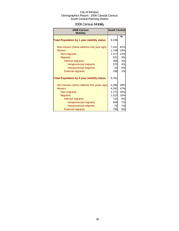## 2006 Census Mobility

| 2006 Census<br><b>Mobility</b>                    |       | <b>South Central</b> |  |  |
|---------------------------------------------------|-------|----------------------|--|--|
|                                                   |       | %                    |  |  |
| <b>Total Population by 1 year mobility status</b> | 9,199 |                      |  |  |
| Non-movers (same address one year ago)            | 7,441 | 81%                  |  |  |
| <b>Movers</b>                                     | 1,749 | 19%                  |  |  |
| Non-migrants                                      | 1,217 | 13%                  |  |  |
| <b>Migrants</b>                                   | 531   | 6%                   |  |  |
| Internal migrants                                 | 358   | 4%                   |  |  |
| Intraprovincial migrants                          | 375   | 4%                   |  |  |
| Interprovincial migrants                          | 24    | 0%                   |  |  |
| <b>External migrants</b>                          | 188   | 2%                   |  |  |
| <b>Total Population by 5 year mobility status</b> | 8,791 |                      |  |  |
| Non-movers (same address five years ago)          | 4,498 | 49%                  |  |  |
| <b>Movers</b>                                     | 4,282 | 47%                  |  |  |
| Non-migrants                                      | 2,772 | 30%                  |  |  |
| <b>Migrants</b>                                   | 1,515 | 16%                  |  |  |
| Internal migrants                                 | 732   | <b>8%</b>            |  |  |
| Intraprovincial migrants                          | 649   | 7%                   |  |  |
| Interprovincial migrants                          | 76    | 1%                   |  |  |
| <b>External migrants</b>                          | 758   | 8%                   |  |  |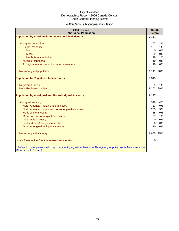# 2006 Census Aboriginal Population

| 2006 Census<br><b>Aboriginal Population</b>                                                                                                                                                                                                                                                 | <b>South</b><br><b>Central</b>                                         |                                              |
|---------------------------------------------------------------------------------------------------------------------------------------------------------------------------------------------------------------------------------------------------------------------------------------------|------------------------------------------------------------------------|----------------------------------------------|
| Population by Aboriginal* and non-Aboriginal Identity                                                                                                                                                                                                                                       | 9,337                                                                  |                                              |
| Aboriginal population<br><b>Single Response</b><br><b>Inuit</b>                                                                                                                                                                                                                             | 167<br>137<br>$\overline{0}$                                           | 2%<br>1%<br>0%                               |
| <b>Metis</b>                                                                                                                                                                                                                                                                                | 39                                                                     | 0%                                           |
| North American Indian                                                                                                                                                                                                                                                                       | 99                                                                     | 1%                                           |
| Multiple responses                                                                                                                                                                                                                                                                          | 10                                                                     | 0%                                           |
| Aboriginal responses not included elsewhere                                                                                                                                                                                                                                                 | 10                                                                     | 0%                                           |
| Non-Aboriginal population                                                                                                                                                                                                                                                                   | 9,141                                                                  | 98%                                          |
| <b>Population by Registered Indian Status</b>                                                                                                                                                                                                                                               | 9,315                                                                  |                                              |
| <b>Registered Indian</b>                                                                                                                                                                                                                                                                    | 69                                                                     | 1%                                           |
| Not a Registered Indian                                                                                                                                                                                                                                                                     | 9,253                                                                  | 99%                                          |
| <b>Population by Aboriginal and Non-Aboriginal Ancestry</b>                                                                                                                                                                                                                                 | 9,277                                                                  |                                              |
| Aboriginal ancestry<br>North American Indian single ancestry<br>North American Indian and non-Aboriginal ancestries<br>Métis single ancestry<br>Métis and non-Aboriginal ancestries<br>Inuit single ancestry<br>Inuit and non-Aboriginal ancestries<br>Other Aboriginal multiple ancestries | 399<br>33<br>285<br>15<br>57<br>$\overline{0}$<br>$\overline{0}$<br>10 | 4%<br>0%<br>3%<br>0%<br>1%<br>0%<br>0%<br>0% |
| Non-Aboriginal ancestry                                                                                                                                                                                                                                                                     | 8,855                                                                  | 95%                                          |
| Indian Reservation DAs that refused enumeration                                                                                                                                                                                                                                             | $\Omega$                                                               |                                              |
| * Refers to those persons who reported identifying with at least one Aboriginal group, i.e. North American Indian,<br>Métis or Inuit (Eskimo).                                                                                                                                              |                                                                        |                                              |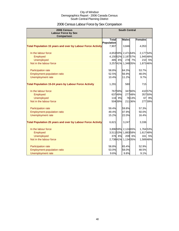## 2006 Census Labour Force by Sex Comparison

| 2006 Census<br><b>Labour Force by Sex</b>                          | <b>South Central</b> |         |                   |         |                |        |
|--------------------------------------------------------------------|----------------------|---------|-------------------|---------|----------------|--------|
| <b>Comparison</b>                                                  |                      |         |                   |         |                |        |
|                                                                    | <b>Total</b>         |         | <b>Males</b>      |         | <b>Females</b> |        |
|                                                                    | Population           |         |                   |         |                |        |
| <b>Total Population 15 years and over by Labour Force Activity</b> | 7,907                |         | 3,846             |         | 4,053          |        |
| In the labour force                                                |                      |         | 4,65359% 2,47164% |         | 2,17754%       |        |
| Employed                                                           |                      |         | 4,15052% 2,18757% |         | 1,945 48%      |        |
| <b>Unemployed</b>                                                  | 485                  | 6%      |                   | 278 7%  | 210            | 5%     |
| Not in the labour force                                            |                      |         | 3,25741% 1,34835% |         | 1,87346%       |        |
| Participation rate                                                 | 58.8%                |         | 64.3%             |         | 53.7%          |        |
| Employment-population ratio                                        | 52.5%                |         | 56.9%             |         | 48.0%          |        |
| Unemployment rate                                                  | 10.4%                |         | 11.2%             |         | 9.7%           |        |
| <b>Total Population 15-24 years by Labour Force Activity</b>       | 1,291                |         | 580               |         | 715            |        |
| In the labour force                                                |                      | 76759%  |                   | 347 60% |                | 41057% |
| Employed                                                           |                      | 63749%  |                   | 27748%  |                | 35750% |
| <b>Unemployed</b>                                                  |                      | 116 9%  |                   | 76 13%  | 67             | 9%     |
| Not in the labour force                                            |                      | 504 39% |                   | 21136%  |                | 27739% |
| Participation rate                                                 | 59.4%                |         | 59.8%             |         | 57.3%          |        |
| Employment-population ratio                                        | 49.4%                |         | 47.9%             |         | 50.0%          |        |
| Unemployment rate                                                  | 15.2%                |         | 22.0%             |         | 16.4%          |        |
| <b>Total Population 25 years and over by Labour Force Activity</b> | 6,621                |         | 3,247             |         | 3,336          |        |
| In the labour force                                                |                      |         | 3,89659% 2,12465% |         | 1,764 53%      |        |
| Employed                                                           |                      |         | 3,51153% 1,88358% |         | 1,61748%       |        |
| <b>Unemployed</b>                                                  |                      | 376 6%  |                   | 209 6%  | 161            | 5%     |
| Not in the labour force                                            |                      |         | 2,73841% 1,13435% |         | 1,589 48%      |        |
| Participation rate                                                 | 58.8%                |         | 65.4%             |         | 52.9%          |        |
| <b>Employment-population ratio</b>                                 | 53.0%                |         | 58.0%             |         | 48.5%          |        |
| Unemployment rate                                                  | 9.6%                 |         | 9.8%              |         | 9.1%           |        |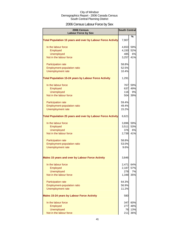## 2006 Census Labour Force by Sex

| 2006 Census<br><b>Labour Force by Sex</b>                          | <b>South Central</b> |      |
|--------------------------------------------------------------------|----------------------|------|
|                                                                    |                      | $\%$ |
| <b>Total Population 15 years and over by Labour Force Activity</b> | 7,907                |      |
| In the labour force                                                | 4,653                | 59%  |
| Employed                                                           | 4,150                | 52%  |
| <b>Unemployed</b>                                                  | 485                  | 6%   |
| Not in the labour force                                            | 3,257                | 41%  |
| Participation rate                                                 | 58.8%                |      |
| Employment-population ratio                                        | 52.5%                |      |
| Unemployment rate                                                  | 10.4%                |      |
| <b>Total Population 15-24 years by Labour Force Activity</b>       | 1,291                |      |
| In the labour force                                                | 767                  | 59%  |
| Employed                                                           | 637                  | 49%  |
| <b>Unemployed</b>                                                  | 116                  | 9%   |
| Not in the labour force                                            | 504                  | 39%  |
| Participation rate                                                 | 59.4%                |      |
| <b>Employment-population ratio</b>                                 | 49.4%                |      |
| <b>Unemployment rate</b>                                           | 15.2%                |      |
| <b>Total Population 25 years and over by Labour Force Activity</b> | 6,621                |      |
| In the labour force                                                | 3,896                | 59%  |
| Employed                                                           | 3,511                | 53%  |
| <b>Unemployed</b>                                                  | 376                  | 6%   |
| Not in the labour force                                            | 2,738                | 41%  |
| Participation rate                                                 | 58.8%                |      |
| Employment-population ratio                                        | 53.0%                |      |
| Unemployment rate                                                  | 9.6%                 |      |
| <b>Males 15 years and over by Labour Force Activity</b>            | 3,846                |      |
| In the labour force                                                | 2,471                | 64%  |
| Employed                                                           | 2,187                | 57%  |
| <b>Unemployed</b>                                                  | 278                  | 7%   |
| Not in the labour force                                            | 1,348                | 35%  |
| Participation rate                                                 | 64.3%                |      |
| Employment-population ratio                                        | 56.9%                |      |
| Unemployment rate                                                  | 11.2%                |      |
| <b>Males 15-24 years by Labour Force Activity</b>                  | 580                  |      |
| In the labour force                                                | 347                  | 60%  |
| Employed                                                           | 277                  | 48%  |
| <b>Unemployed</b>                                                  | 76                   | 13%  |
| Not in the labour force                                            | 211                  | 36%  |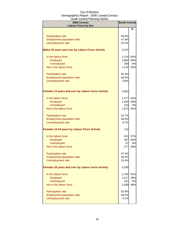| <b>2006 Census</b><br><b>Labour Force by Sex</b>          | <b>South Central</b> |            |
|-----------------------------------------------------------|----------------------|------------|
|                                                           |                      | %          |
| <b>Participation rate</b>                                 | 59.8%                |            |
| Employment-population ratio                               | 47.9%                |            |
| Unemployment rate                                         | 22.0%                |            |
|                                                           |                      |            |
| Males 25 years and over by Labour Force Activity          | 3,247                |            |
| In the labour force                                       | 2,124                | 65%        |
| Employed                                                  | 1,883                | 58%        |
| Unemployed                                                | 209                  | 6%         |
| Not in the labour force                                   | 1,134                | 35%        |
| Participation rate                                        | 65.4%                |            |
| Employment-population ratio                               | 58.0%                |            |
| <b>Unemployment rate</b>                                  | 9.8%                 |            |
|                                                           |                      |            |
| <b>Females 15 years and over by Labour Force Activity</b> | 4,053                |            |
| In the labour force                                       | 2,177                | 54%        |
| Employed                                                  | 1,945                | 48%        |
| <b>Unemployed</b>                                         | 210                  | 5%         |
| Not in the labour force                                   | 1,873                | 46%        |
| <b>Participation rate</b>                                 | 53.7%                |            |
| Employment-population ratio                               | 48.0%                |            |
| <b>Unemployment rate</b>                                  | 9.7%                 |            |
| <b>Females 15-24 years by Labour Force Activity</b>       | 715                  |            |
| In the labour force                                       |                      |            |
|                                                           | 410I                 | 57%<br>50% |
| Employed<br><b>Unemployed</b>                             | 357<br>67            | 9%         |
| Not in the labour force                                   | 277                  | 39%        |
|                                                           |                      |            |
| <b>Participation rate</b>                                 | 57.3%                |            |
| Employment-population ratio                               | 50.0%                |            |
| <b>Unemployment rate</b>                                  | 16.4%                |            |
| Females 25 years and over by Labour Force Activity        | 3,336                |            |
| In the labour force                                       | 1,764                | 53%        |
| Employed                                                  | 1,617                | 48%        |
| <b>Unemployed</b>                                         | 161                  | 5%         |
| Not in the labour force                                   | 1,589                | 48%        |
| Participation rate                                        | 52.9%                |            |
| Employment-population ratio                               | 48.5%                |            |
| <b>Unemployment rate</b>                                  | 9.1%                 |            |
|                                                           |                      |            |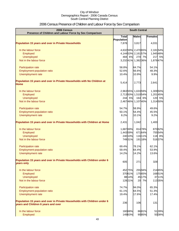## 2006 Census Presence of Children and Labour Force by Sex Comparison

| 2006 Census<br>Presence of Children and Labour Force by Sex Comparison                                          | <b>South Central</b> |         |                     |         |           |
|-----------------------------------------------------------------------------------------------------------------|----------------------|---------|---------------------|---------|-----------|
|                                                                                                                 | <b>Total</b>         |         | <b>Males</b>        |         | Females   |
|                                                                                                                 | Population           |         |                     |         |           |
| <b>Population 15 years and over in Private Households</b>                                                       | 7,878                |         | 3,817               |         | 4,031     |
| In the labour force                                                                                             |                      |         | 4,63259% 2,470 65%  |         | 2,18154%  |
| Employed                                                                                                        |                      |         | 4,14453% 2,16157%   |         | 1,945 48% |
| <b>Unemployed</b>                                                                                               |                      | 484 6%  |                     | 270 7%  | 217 5%    |
| Not in the labour force                                                                                         |                      |         | 3,23241% 1,38236%   |         | 1,87847%  |
|                                                                                                                 | 58.8%                |         | 64.7%               |         | 54.1%     |
| Participation rate                                                                                              | 52.6%                |         | 56.6%               |         | 48.3%     |
| Employment-population ratio<br>Unemployment rate                                                                | 10.4%                |         | 10.9%               |         | 9.9%      |
|                                                                                                                 |                      |         |                     |         |           |
| Population 15 years and over in Private Households with No Children at<br><b>Home</b>                           | 5,414                |         | 2,773               |         | 2,641     |
| In the labour force                                                                                             |                      |         | 2,96355% 1,63359%   |         | 1,309 50% |
| Employed                                                                                                        |                      |         | 2,713 50% 1,510 54% |         | 1,20145%  |
| <b>Unemployed</b>                                                                                               |                      | 244 5%  |                     | 164 6%  | 120 5%    |
| Not in the labour force                                                                                         |                      |         | 2,46746% 1,10740%   |         | 1,314 50% |
|                                                                                                                 |                      |         |                     |         |           |
| Participation rate                                                                                              | 54.7%                |         | 58.9%               |         | 49.6%     |
| Employment-population ratio                                                                                     | 50.1%                |         | 54.4%               |         | 45.5%     |
| Unemployment rate                                                                                               | 8.2%                 |         | 10.1%               |         | 9.2%      |
| Population 15 years and over in Private Households with Children at Home                                        | 2,431                |         | 1,042               |         | 1,400     |
| In the labour force                                                                                             | 1,687 69%            |         |                     | 81478%  | 87062%    |
| Employed                                                                                                        | 1,44359%             |         |                     | 671 64% | 75554%    |
| <b>Unemployed</b>                                                                                               |                      | 240 10% |                     | 11611%  | 118 8%    |
| Not in the labour force                                                                                         |                      | 74931%  |                     | 191 18% | 51637%    |
| Participation rate                                                                                              | 69.4%                |         | 78.1%               |         | 62.1%     |
| Employment-population ratio                                                                                     | 59.4%                |         | 64.4%               |         | 53.9%     |
| <b>Unemployment rate</b>                                                                                        | 14.2%                |         | 14.2%               |         | 13.6%     |
| Population 15 years and over in Private Households with Children under 6<br>years only                          | 605                  |         | 271                 |         | 328       |
|                                                                                                                 |                      |         |                     |         |           |
| In the labour force                                                                                             |                      | 452 75% |                     | 25594%  | 214 65%   |
| Employed                                                                                                        |                      | 37061%  |                     | 17565%  | 16851%    |
| <b>Unemployed</b>                                                                                               |                      | 88 14%  |                     | 4517%   | 3711%     |
| Not in the labour force                                                                                         |                      | 12821%  |                     | 20 7%   | 11335%    |
| Participation rate                                                                                              | 74.7%                |         | 94.0%               |         | 65.3%     |
| Employment-population ratio                                                                                     | 61.1%                |         | 64.5%               |         | 51.3%     |
| Unemployment rate                                                                                               | 19.4%                |         | 17.6%               |         | 17.4%     |
| Population 15 years and over in Private Households with Children under 6<br>years and Children 6 years and over | 236                  |         | 106                 |         | 131       |
| In the labour force                                                                                             |                      | 16068%  |                     | 8681%   | 5139%     |
| Employed                                                                                                        |                      | 14963%  |                     | 9085%   | 5038%     |
|                                                                                                                 |                      |         |                     |         |           |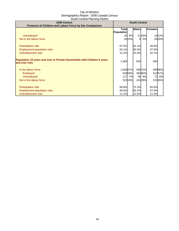| 2006 Census<br>Presence of Children and Labour Force by Sex Comparison                    | <b>South Central</b> |        |              |        |         |        |
|-------------------------------------------------------------------------------------------|----------------------|--------|--------------|--------|---------|--------|
|                                                                                           | Totall<br>Population |        | <b>Males</b> |        | Females |        |
| Unemployed                                                                                |                      | 20 8%  |              | 2120%  |         | 16 12% |
| Not in the labour force                                                                   |                      | 5523%  | $\Omega$     | 0%     |         | 6550%  |
| Participation rate                                                                        | 67.5%                |        | 81.1%        |        | 38.9%   |        |
| Employment-population ratio                                                               | 63.1%                |        | 85.0%        |        | 37.9%   |        |
| Unemployment rate                                                                         | 12.2%                |        | 24.4%        |        | 32.1%   |        |
| Population 15 years and over in Private Households with Children 6 years<br>and over only | 1,563                |        | 634          |        | 900     |        |
| In the labour force                                                                       | 1,045 67%            |        |              | 45872% | 590 66% |        |
| Employed                                                                                  |                      | 91859% |              | 38260% | 51357%  |        |
| <b>Unemployed</b>                                                                         |                      | 117 7% | 58           | 9%     | 72      | 8%     |
| Not in the labour force                                                                   |                      | 51533% |              | 18129% | 31535%  |        |
| <b>Participation rate</b>                                                                 | 66.8%                |        | 72.3%        |        | 65.6%   |        |
| Employment-population ratio                                                               | 58.8%                |        | 60.2%        |        | 57.0%   |        |
| Unemployment rate                                                                         | 11.2%                |        | 12.6%        |        | 12.2%   |        |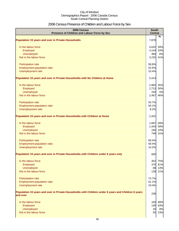## 2006 Census Presence of Children and Labour Force by Sex

| 2006 Census<br>Presence of Children and Labour Force by Sex                                                     | <b>South</b><br><b>Central</b> |           |
|-----------------------------------------------------------------------------------------------------------------|--------------------------------|-----------|
|                                                                                                                 |                                | $\%$      |
| <b>Population 15 years and over in Private Households</b>                                                       | 7,878                          |           |
| In the labour force                                                                                             | 4,632                          | 59%       |
| Employed                                                                                                        | 4,144                          | 53%       |
| <b>Unemployed</b>                                                                                               | 484                            | 6%        |
| Not in the labour force                                                                                         | 3,232                          | 41%       |
| Participation rate                                                                                              | 58.8%                          |           |
| Employment-population ratio                                                                                     | 52.6%                          |           |
| Unemployment rate                                                                                               | 10.4%                          |           |
| Population 15 years and over in Private Households with No Children at Home                                     | 5,414                          |           |
| In the labour force                                                                                             | 2,963                          | 55%       |
| Employed                                                                                                        | 2,713                          | 50%       |
| Unemployed                                                                                                      | 244                            | 5%        |
| Not in the labour force                                                                                         | 2,467                          | 46%       |
| Participation rate                                                                                              | 54.7%                          |           |
| Employment-population ratio                                                                                     | 50.1%                          |           |
| Unemployment rate                                                                                               | 8.2%                           |           |
| Population 15 years and over in Private Households with Children at Home                                        | 2,431                          |           |
| In the labour force                                                                                             | 1,687                          | 69%       |
| Employed                                                                                                        | 1,443                          | 59%       |
| Unemployed                                                                                                      | 240                            | 10%       |
| Not in the labour force                                                                                         | 749                            | 31%       |
| Participation rate                                                                                              | 69.4%                          |           |
| Employment-population ratio                                                                                     | 59.4%                          |           |
| Unemployment rate                                                                                               | 14.2%                          |           |
| Population 15 years and over in Private Households with Children under 6 years only                             | 605                            |           |
| In the labour force                                                                                             | 452                            | 75%       |
| Employed                                                                                                        | 370                            | 61%       |
| Unemployed                                                                                                      | 88                             | 14%       |
| Not in the labour force                                                                                         | 128                            | 21%       |
| Participation rate                                                                                              | 74.7%                          |           |
| Employment-population ratio                                                                                     | 61.1%                          |           |
| Unemployment rate                                                                                               | 19.4%                          |           |
| Population 15 years and over in Private Households with Children under 6 years and Children 6 years<br>and over | 236                            |           |
|                                                                                                                 |                                |           |
| In the labour force                                                                                             | 160<br>149                     | 68%       |
| Employed<br>Unemployed                                                                                          | 20                             | 63%<br>8% |
| Not in the labour force                                                                                         | 55                             | 23%       |
|                                                                                                                 |                                |           |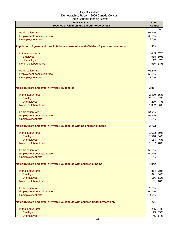| $\frac{1}{2}$<br>2006 Census                                                           | <b>South</b>   |               |
|----------------------------------------------------------------------------------------|----------------|---------------|
| Presence of Children and Labour Force by Sex                                           | <b>Central</b> |               |
| Participation rate                                                                     | 67.5%          | $\frac{9}{6}$ |
| Employment-population ratio                                                            | 63.1%          |               |
| Unemployment rate                                                                      | 12.2%          |               |
|                                                                                        |                |               |
| Population 15 years and over in Private Households with Children 6 years and over only | 1,563          |               |
| In the labour force                                                                    | 1,045          | 67%           |
| Employed                                                                               | 918            | 59%           |
| Unemployed                                                                             | 117            | 7%            |
| Not in the labour force                                                                | 515            | 33%           |
| Participation rate                                                                     | 66.8%          |               |
| Employment-population ratio                                                            | 58.8%          |               |
| Unemployment rate                                                                      | 11.2%          |               |
| <b>Males 15 years and over in Private Households</b>                                   | 3,817          |               |
| In the labour force                                                                    | 2,470          | 65%           |
| Employed                                                                               | 2,161          | 57%           |
| Unemployed                                                                             | 270            | 7%            |
| Not in the labour force                                                                | 1,382          | 36%           |
| Participation rate                                                                     | 64.7%          |               |
| Employment-population ratio                                                            | 56.6%          |               |
| Unemployment rate                                                                      | 10.9%          |               |
| Males 15 years and over in Private Households with no children at home                 | 2,773          |               |
| In the labour force                                                                    | 1,633          | 59%           |
| Employed                                                                               | 1,510          | 54%           |
| Unemployed                                                                             | 164            | 6%            |
| Not in the labour force                                                                | 1,107          | 40%           |
| <b>Participation rate</b>                                                              | 58.9%          |               |
| Employment-population ratio                                                            | 54.4%          |               |
| Unemployment rate                                                                      | 10.1%          |               |
| Males 15 years and over in Private Households with children at home                    | 1,042          |               |
| In the labour force                                                                    | 814            | 78%           |
| Employed                                                                               | 671            | 64%           |
| Unemployed                                                                             | 116            | 11%           |
| Not in the labour force                                                                | 191            | 18%           |
| Participation rate                                                                     | 78.1%          |               |
| Employment-population ratio                                                            | 64.4%          |               |
| Unemployment rate                                                                      | 14.2%          |               |
| Males 15 years and over in Private Households with children under 6 years only         | 271            |               |
| In the labour force                                                                    |                | 255 94%       |
| Employed                                                                               | 175            | 65%           |
| Unemployed                                                                             | 45             | 17%           |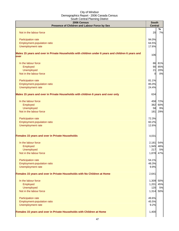| 2006 Census<br>Presence of Children and Labour Force by Sex                                                | <b>South</b><br><b>Central</b> |     |
|------------------------------------------------------------------------------------------------------------|--------------------------------|-----|
|                                                                                                            |                                | %   |
| Not in the labour force                                                                                    | 20                             | 7%  |
| Participation rate                                                                                         | 94.0%                          |     |
| Employment-population ratio                                                                                | 64.5%                          |     |
| Unemployment rate                                                                                          | 17.6%                          |     |
| Males 15 years and over in Private Households with children under 6 years and children 6 years and<br>over | 106                            |     |
|                                                                                                            |                                |     |
| In the labour force                                                                                        | 86                             | 81% |
| Employed                                                                                                   | 90                             | 85% |
| Unemployed                                                                                                 | 21                             | 20% |
| Not in the labour force                                                                                    | $\overline{0}$                 | 0%  |
| Participation rate                                                                                         | 81.1%                          |     |
| Employment-population ratio                                                                                | 85.0%                          |     |
| Unemployment rate                                                                                          | 24.4%                          |     |
| Males 15 years and over in Private Households with children 6 years and over only                          | 634                            |     |
| In the labour force                                                                                        | 458                            | 72% |
| Employed                                                                                                   | 382                            | 60% |
| <b>Unemployed</b>                                                                                          | 58                             | 9%  |
| Not in the labour force                                                                                    | 181                            | 29% |
|                                                                                                            |                                |     |
| Participation rate                                                                                         | 72.3%                          |     |
| Employment-population ratio                                                                                | 60.2%                          |     |
| Unemployment rate                                                                                          | 12.6%                          |     |
| Females 15 years and over in Private Households                                                            | 4,031                          |     |
| In the labour force                                                                                        | 2,181                          | 54% |
| Employed                                                                                                   | 1,945                          | 48% |
| <b>Unemployed</b>                                                                                          | 217                            | 5%  |
| Not in the labour force                                                                                    | 1,878                          | 47% |
|                                                                                                            |                                |     |
| Participation rate<br>Employment-population ratio                                                          | 54.1%<br>48.3%                 |     |
| Unemployment rate                                                                                          | 9.9%                           |     |
|                                                                                                            |                                |     |
| Females 15 years and over in Private Households with No Children at Home                                   | 2,641                          |     |
| In the labour force                                                                                        | 1,309                          | 50% |
| Employed                                                                                                   | 1,201                          | 45% |
| Unemployed                                                                                                 | 120                            | 5%  |
| Not in the labour force                                                                                    | 1,314                          | 50% |
| Participation rate                                                                                         | 49.6%                          |     |
| Employment-population ratio                                                                                | 45.5%                          |     |
| Unemployment rate                                                                                          | 9.2%                           |     |
| Females 15 years and over in Private Households with Children at Home                                      | 1,400                          |     |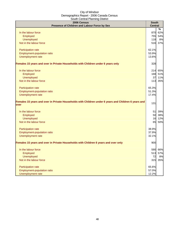| <del>---------------</del><br>2006 Census<br>Presence of Children and Labour Force by Sex                    | <b>South</b><br><b>Central</b> |         |
|--------------------------------------------------------------------------------------------------------------|--------------------------------|---------|
|                                                                                                              |                                | %       |
| In the labour force                                                                                          | 870                            | 62%     |
| Employed                                                                                                     | 755                            | 54%     |
| Unemployed                                                                                                   | 118                            | 8%      |
| Not in the labour force                                                                                      | 516                            | 37%     |
| Participation rate                                                                                           | 62.1%                          |         |
| Employment-population ratio                                                                                  | 53.9%                          |         |
| Unemployment rate                                                                                            | 13.6%                          |         |
| Females 15 years and over in Private Households with Children under 6 years only                             | 328                            |         |
| In the labour force                                                                                          |                                | 214 65% |
| Employed                                                                                                     | 168                            | 51%     |
| Unemployed                                                                                                   | 37                             | 11%     |
| Not in the labour force                                                                                      | 113                            | 35%     |
| Participation rate                                                                                           | 65.3%                          |         |
| Employment-population ratio                                                                                  | 51.3%                          |         |
| Unemployment rate                                                                                            | 17.4%                          |         |
| Females 15 years and over in Private Households with Children under 6 years and Children 6 years and<br>over | 131                            |         |
| In the labour force                                                                                          | 51                             | 39%     |
| Employed                                                                                                     | 50                             | 38%     |
| <b>Unemployed</b>                                                                                            | 16                             | 12%     |
| Not in the labour force                                                                                      | 65                             | 50%     |
| Participation rate                                                                                           | 38.9%                          |         |
| Employment-population ratio                                                                                  | 37.9%                          |         |
| Unemployment rate                                                                                            | 32.1%                          |         |
| Females 15 years and over in Private Households with Children 6 years and over only                          | 900                            |         |
| In the labour force                                                                                          |                                | 590 66% |
| Employed                                                                                                     | 513                            | 57%     |
| Unemployed                                                                                                   | 72                             | 8%      |
| Not in the labour force                                                                                      | 315                            | 35%     |
| Participation rate                                                                                           | 65.6%                          |         |
| Employment-population ratio                                                                                  | 57.0%                          |         |
| Unemployment rate                                                                                            | 12.2%                          |         |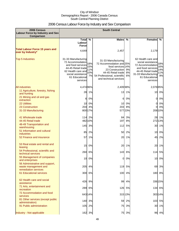## 2006 Census Labour Force by Industry and Sex Comparison

| 2006 Census<br>Labour Force by Industry and Sex<br><b>Comparison</b>           | <b>South Central</b>                                                                                                                                        |                                |                                                                                                                                                                        |                |                                                                                                                                                             |                                |
|--------------------------------------------------------------------------------|-------------------------------------------------------------------------------------------------------------------------------------------------------------|--------------------------------|------------------------------------------------------------------------------------------------------------------------------------------------------------------------|----------------|-------------------------------------------------------------------------------------------------------------------------------------------------------------|--------------------------------|
|                                                                                | Total %<br>Labour<br><b>Force</b>                                                                                                                           |                                | <b>Males</b>                                                                                                                                                           | $\%$           | <b>Females</b>                                                                                                                                              | ℅                              |
| <b>Total Labour Force 15 years and</b><br>over by Industry*                    | 4,649                                                                                                                                                       |                                | 2,457                                                                                                                                                                  |                | 2,179                                                                                                                                                       |                                |
| <b>Top 5 Industries</b>                                                        | 31-33 Manufacturing<br>72 Accommodation<br>and food services<br>44-45 Retail trade<br>62 Health care and<br>social assistance<br>61 Educational<br>services | 18%<br>15%<br>11%<br>10%<br>7% | 31-33 Manufacturing<br>72 Accommodation and 25%<br>food services 14%<br>23 Construction<br>44-45 Retail trade<br>54 Professional, scientific<br>and technical services | 9%<br>8%<br>6% | 62 Health care and<br>social assistance<br>72 Accommodation<br>and food services<br>44-45 Retail trade<br>31-33 Manufacturing<br>61 Educational<br>services | 18%<br>16%<br>14%<br>11%<br>9% |
| <b>All industries</b>                                                          | 4,474 96%                                                                                                                                                   |                                | 2,409 98%                                                                                                                                                              |                | 2,076 95%                                                                                                                                                   |                                |
| 11 Agriculture, forestry, fishing<br>and hunting                               | 28                                                                                                                                                          | 1%                             | 13                                                                                                                                                                     | 1%             |                                                                                                                                                             | 10 0%                          |
| 21 Mining and oil and gas<br>extraction                                        | 6                                                                                                                                                           | 0%                             | 6                                                                                                                                                                      | 0%             | 0                                                                                                                                                           | 0%                             |
| <b>22 Utilities</b>                                                            | 10                                                                                                                                                          | 0%                             | 10                                                                                                                                                                     | 0%             | 0                                                                                                                                                           | 0%                             |
| 23 Construction<br>31-33 Manufacturing                                         | 204                                                                                                                                                         | 4%<br>800 17%                  | 203                                                                                                                                                                    | 8%<br>577 23%  | $\Omega$                                                                                                                                                    | 0%<br>208 10%                  |
| 41 Wholesale trade<br>44-45 Retail trade                                       |                                                                                                                                                             | 114 2%<br>482 10%              | 84<br>197                                                                                                                                                              | 3%<br>8%       |                                                                                                                                                             | 28 1%<br>272 13%               |
| 48-49 Transportation and<br>warehousing                                        | 145                                                                                                                                                         | 3%                             | 112                                                                                                                                                                    | 5%             | 30                                                                                                                                                          | 1%                             |
| 51 Information and cultural<br><b>industries</b>                               | 85                                                                                                                                                          | 2%                             | 50                                                                                                                                                                     | 2%             | 10                                                                                                                                                          | 0%                             |
| 52 Finance and insurance                                                       | 57                                                                                                                                                          | 1%                             | 20                                                                                                                                                                     | 1%             | 45                                                                                                                                                          | 2%                             |
| 53 Real estate and rental and<br>leasing                                       | 15                                                                                                                                                          | 0%                             | 20                                                                                                                                                                     | 1%             | 20                                                                                                                                                          | 1%                             |
| 54 Professional, scientific and<br>technical services                          |                                                                                                                                                             | 260 6%                         |                                                                                                                                                                        | 143 6%         | 114                                                                                                                                                         | 5%                             |
| 55 Management of companies<br>and enterprises                                  |                                                                                                                                                             | 10 0%                          |                                                                                                                                                                        | $0\,0\%$       |                                                                                                                                                             | 10 0%                          |
| 56 Administrative and support,<br>waste management and<br>remediation services | 205                                                                                                                                                         | 4%                             |                                                                                                                                                                        | 119 5%         | 69                                                                                                                                                          | 3%                             |
| <b>61 Educational services</b>                                                 | 300                                                                                                                                                         | 6%                             |                                                                                                                                                                        | 100 4%         | 180                                                                                                                                                         | 8%                             |
| 62 Health care and social<br>assistance                                        | 426                                                                                                                                                         | 9%                             | 99                                                                                                                                                                     | 4%             |                                                                                                                                                             | 336 15%                        |
| 71 Arts, entertainment and<br>recreation                                       | 289                                                                                                                                                         | 6%                             | 126                                                                                                                                                                    | 5%             |                                                                                                                                                             | 134 6%                         |
| 72 Accommodation and food<br>services                                          |                                                                                                                                                             | 643 14%                        |                                                                                                                                                                        | 315 13%        |                                                                                                                                                             | 303 14%                        |
| 81 Other services (except public<br>administration)                            |                                                                                                                                                             | 140 3%                         | 59                                                                                                                                                                     | 2%             | 103                                                                                                                                                         | 5%                             |
| 91 Public administration                                                       |                                                                                                                                                             | 105 2%                         | 75                                                                                                                                                                     | 3%             |                                                                                                                                                             | 30 1%                          |
| Industry - Not applicable                                                      |                                                                                                                                                             | 162 3%                         |                                                                                                                                                                        | 75 3%          |                                                                                                                                                             | 96 4%                          |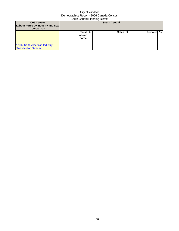| 2006 Census<br><b>Labour Force by Industry and Sex</b><br><b>Comparison</b> | <b>South Central</b>              |  |         |  |           |  |
|-----------------------------------------------------------------------------|-----------------------------------|--|---------|--|-----------|--|
| * 2002 North American Industry<br><b>Classification System</b>              | Total %<br>Labour<br><b>Force</b> |  | Males % |  | Females % |  |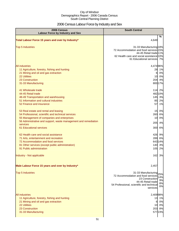## 2006 Census Labour Force by Industry and Sex

| 2006 Census<br><b>Labour Force by Industry and Sex</b>                      | <b>South Central</b>                                                                                                                                                  |
|-----------------------------------------------------------------------------|-----------------------------------------------------------------------------------------------------------------------------------------------------------------------|
| Total Labour Force 15 years and over by Industry*                           | %<br>4,649                                                                                                                                                            |
| <b>Top 5 Industries</b>                                                     | 31-33 Manufacturing 18%<br>72 Accommodation and food services 15%<br>44-45 Retail trade 11%<br>62 Health care and social assistance 10%<br>61 Educational services 7% |
| <b>All industries</b>                                                       | 4,474 96%                                                                                                                                                             |
| 11 Agriculture, forestry, fishing and hunting                               | 1%<br>28                                                                                                                                                              |
| 21 Mining and oil and gas extraction                                        | 0%<br>6                                                                                                                                                               |
| <b>22 Utilities</b>                                                         | 0%<br>10                                                                                                                                                              |
| 23 Construction                                                             | 204 4%                                                                                                                                                                |
| 31-33 Manufacturing                                                         | 800 17%                                                                                                                                                               |
| 41 Wholesale trade                                                          | 114 2%                                                                                                                                                                |
| 44-45 Retail trade                                                          | 482 10%                                                                                                                                                               |
| 48-49 Transportation and warehousing                                        | 145 3%                                                                                                                                                                |
| 51 Information and cultural industries<br>52 Finance and insurance          | 2%<br>85<br>1%<br>57                                                                                                                                                  |
|                                                                             |                                                                                                                                                                       |
| 53 Real estate and rental and leasing                                       | 15 0%                                                                                                                                                                 |
| 54 Professional, scientific and technical services                          | 260 6%                                                                                                                                                                |
| 55 Management of companies and enterprises                                  | 0%<br>10                                                                                                                                                              |
| 56 Administrative and support, waste management and remediation<br>services | 4%<br>205                                                                                                                                                             |
| 61 Educational services                                                     | 300<br>6%                                                                                                                                                             |
| 62 Health care and social assistance                                        | 426 9%                                                                                                                                                                |
| 71 Arts, entertainment and recreation                                       | 289<br>6%                                                                                                                                                             |
| 72 Accommodation and food services                                          | 643 14%                                                                                                                                                               |
| 81 Other services (except public administration)                            | 140 3%                                                                                                                                                                |
| 91 Public administration                                                    | 105<br>2%                                                                                                                                                             |
| Industry - Not applicable                                                   | 162<br>3%                                                                                                                                                             |
| Male Labour Force 15 years and over by Industry*                            | 2,457                                                                                                                                                                 |
| <b>Top 5 Industries</b>                                                     | 31-33 Manufacturing 25%<br>72 Accommodation and food services<br>14%<br>23 Construction                                                                               |
|                                                                             | 9%<br>44-45 Retail trade<br>8%<br>54 Professional, scientific and technical<br>6%<br>services                                                                         |
| <b>All industries</b>                                                       | 2,409 98%                                                                                                                                                             |
| 11 Agriculture, forestry, fishing and hunting                               | 13 1%                                                                                                                                                                 |
| 21 Mining and oil and gas extraction                                        | 0%<br>6                                                                                                                                                               |
| <b>22 Utilities</b>                                                         | 10 0%                                                                                                                                                                 |
| 23 Construction                                                             | 203 8%                                                                                                                                                                |
| 31-33 Manufacturing                                                         | 577 23%                                                                                                                                                               |
|                                                                             |                                                                                                                                                                       |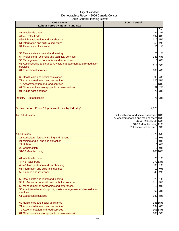| 2006 Census                                                     | <b>South Central</b>                              |
|-----------------------------------------------------------------|---------------------------------------------------|
| <b>Labour Force by Industry and Sex</b>                         |                                                   |
| 41 Wholesale trade                                              | %<br>84 3%                                        |
| 44-45 Retail trade                                              | 197 8%                                            |
| 48-49 Transportation and warehousing                            | 112 5%                                            |
| 51 Information and cultural industries                          | 50 2%                                             |
| 52 Finance and insurance                                        | 20 1%                                             |
|                                                                 |                                                   |
| 53 Real estate and rental and leasing                           | 20 1%                                             |
| 54 Professional, scientific and technical services              | 143 6%                                            |
| 55 Management of companies and enterprises                      | 0%<br>0                                           |
| 56 Administrative and support, waste management and remediation | 119<br>5%                                         |
| services                                                        |                                                   |
| 61 Educational services                                         | 4%<br>100                                         |
| 62 Health care and social assistance                            | 99 4%                                             |
| 71 Arts, entertainment and recreation                           | 126 5%                                            |
| 72 Accommodation and food services                              | 31513%                                            |
| 81 Other services (except public administration)                | 59 2%                                             |
| 91 Public administration                                        | 75 3%                                             |
| Industry - Not applicable                                       | 75 3%                                             |
|                                                                 |                                                   |
| Female Labour Force 15 years and over by Industry*              | 2,179                                             |
| <b>Top 5 Industries</b>                                         | 62 Health care and social assistance 18%          |
|                                                                 | 72 Accommodation and food services 16%            |
|                                                                 | 44-45 Retail trade 14%<br>31-33 Manufacturing 11% |
|                                                                 | 61 Educational services 9%                        |
|                                                                 |                                                   |
| <b>All industries</b>                                           | 2,07695%                                          |
| 11 Agriculture, forestry, fishing and hunting                   | 10 0%                                             |
| 21 Mining and oil and gas extraction                            | 0%<br>01                                          |
| <b>22 Utilities</b>                                             | 0%<br>0                                           |
| 23 Construction                                                 | 0%<br>01                                          |
| 31-33 Manufacturing                                             | 208 10%                                           |
| 41 Wholesale trade                                              | 28 1%                                             |
| 44-45 Retail trade                                              | 27213%                                            |
| 48-49 Transportation and warehousing                            | 30 1%                                             |
| 51 Information and cultural industries                          | 10 0%                                             |
| 52 Finance and insurance                                        | 45 2%                                             |
| 53 Real estate and rental and leasing                           | 20<br>1%                                          |
| 54 Professional, scientific and technical services              | 114 5%                                            |
| 55 Management of companies and enterprises                      | 10 0%                                             |
| 56 Administrative and support, waste management and remediation |                                                   |
| services                                                        | 3%<br>69                                          |
| 61 Educational services                                         | 180 8%                                            |
| 62 Health care and social assistance                            | 336 15%                                           |
| 71 Arts, entertainment and recreation                           | 134 6%                                            |
| 72 Accommodation and food services                              | 303 14%                                           |
| 81 Other services (except public administration)                | 103 5%                                            |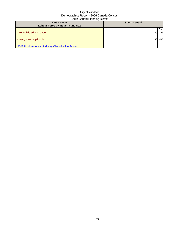| 2006 Census<br><b>Labour Force by Industry and Sex</b> | <b>South Central</b> |         |
|--------------------------------------------------------|----------------------|---------|
| 91 Public administration                               | 30I                  | %<br>1% |
| Industry - Not applicable                              | 96                   | 4%      |
| * 2002 North American Industry Classification System   |                      |         |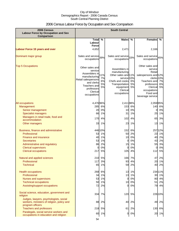## 2006 Census Labour Force by Occupation and Sex Comparison

| 2006 Census<br><b>Labour Force by Occupation and Sex</b><br>Comparison          | <b>South Central</b>                                                                                                                                       |                             |                                                                                                                                                   |                |                                                                                                                                                                     |                |
|---------------------------------------------------------------------------------|------------------------------------------------------------------------------------------------------------------------------------------------------------|-----------------------------|---------------------------------------------------------------------------------------------------------------------------------------------------|----------------|---------------------------------------------------------------------------------------------------------------------------------------------------------------------|----------------|
|                                                                                 | Total %                                                                                                                                                    |                             | <b>Males</b>                                                                                                                                      | $\%$           | <b>Females</b>                                                                                                                                                      | %              |
|                                                                                 | Labour                                                                                                                                                     |                             |                                                                                                                                                   |                |                                                                                                                                                                     |                |
|                                                                                 | <b>Force</b>                                                                                                                                               |                             |                                                                                                                                                   |                |                                                                                                                                                                     |                |
| <b>Labour Force 15 years and over</b>                                           | 4,652                                                                                                                                                      |                             | 2,471                                                                                                                                             |                | 2,166                                                                                                                                                               |                |
| Dominant major group                                                            | Sales and service 39%<br>occupations                                                                                                                       |                             | Sales and service 33%<br>occupations                                                                                                              |                | Sales and service 45%<br>occupations                                                                                                                                |                |
| <b>Top 5 Occupations</b>                                                        | Other sales and<br>service<br>Assemblers in<br>manufacturing<br>Retail salespersons<br>and clerks<br>Teachers and<br>professors<br>Clerical<br>occupations | 11%<br>7%<br>6%<br>5%<br>5% | Assemblers in<br>manufacturing<br>Other sales and 11%<br>service 10%<br>Chefs and cooks<br>Transportation<br>equipment<br>Clerical<br>occupations | 6%<br>5%<br>5% | Other sales and<br>service<br>Retail<br>salespersons and 12%<br>clerks 10%<br>Teachers and<br>professors<br>Clerical<br>occupations<br>Food and<br>beverage service | 7%<br>6%<br>5% |
| All occupations                                                                 | 4,47696%                                                                                                                                                   |                             | 2,411 98%                                                                                                                                         |                | 2,05995%                                                                                                                                                            |                |
| Management                                                                      | 285                                                                                                                                                        | 6%                          | 153                                                                                                                                               | 6%             | 140 6%                                                                                                                                                              |                |
| Senior management                                                               | 20                                                                                                                                                         | 0%                          | 10                                                                                                                                                | 0%             | 0                                                                                                                                                                   | 0%             |
| <b>Specialist managers</b>                                                      | 66                                                                                                                                                         | 1%                          | 31                                                                                                                                                | 1%             | 25                                                                                                                                                                  | 1%             |
| Managers in retail trade, food and                                              | 170                                                                                                                                                        | 4%                          | 102                                                                                                                                               | 4%             | 65                                                                                                                                                                  | 3%             |
| accommodation                                                                   |                                                                                                                                                            |                             |                                                                                                                                                   |                |                                                                                                                                                                     |                |
| Other managers                                                                  | 33                                                                                                                                                         | 1%                          | 23                                                                                                                                                | 1%             | 13                                                                                                                                                                  | 1%             |
| Business, finance and administrative                                            |                                                                                                                                                            | 446 10%                     | 152                                                                                                                                               | 6%             | 257 12%                                                                                                                                                             |                |
| Professional                                                                    | 53                                                                                                                                                         | 1%                          | 50                                                                                                                                                | 2%             | 23                                                                                                                                                                  | 1%             |
| <b>Finance and insurance</b>                                                    | 40                                                                                                                                                         | 1%                          | 10                                                                                                                                                | 0%             | 40                                                                                                                                                                  | 2%             |
| <b>Secretaries</b>                                                              | 53                                                                                                                                                         | 1%                          | 0                                                                                                                                                 | 0%             | 43                                                                                                                                                                  | 2%             |
| Administrative and regulatory                                                   | 86                                                                                                                                                         | 2%                          | 15                                                                                                                                                | 1%             | 55                                                                                                                                                                  | 3%             |
| <b>Clerical supervisors</b>                                                     | $\Omega$                                                                                                                                                   | 0%                          | $\Omega$                                                                                                                                          | 0%             | $\Omega$                                                                                                                                                            | 0%             |
| <b>Clerical occupations</b>                                                     | 217                                                                                                                                                        | 5%                          | 105                                                                                                                                               | 4%             | 112                                                                                                                                                                 | 5%             |
| Natural and applied sciences                                                    | 210                                                                                                                                                        | 5%                          | 166                                                                                                                                               | 7%             | 47 2%                                                                                                                                                               |                |
| Professional                                                                    | 117                                                                                                                                                        | 3%                          | 93                                                                                                                                                | 4%             | 20                                                                                                                                                                  | 1%             |
| <b>Technical</b>                                                                |                                                                                                                                                            | 65 1%                       | 59                                                                                                                                                | 2%             | 40                                                                                                                                                                  | 2%             |
|                                                                                 |                                                                                                                                                            | 268 6%                      | 13                                                                                                                                                | 1%             | 234 11%                                                                                                                                                             |                |
| <b>Health occupations</b><br>Professional                                       |                                                                                                                                                            | 34 1%                       | 13                                                                                                                                                | 1%             | 30                                                                                                                                                                  | 1%             |
| <b>Nurses and supervisors</b>                                                   |                                                                                                                                                            | 53 1%                       | 0                                                                                                                                                 | 0%             | 80 4%                                                                                                                                                               |                |
| <b>Technical occupations</b>                                                    |                                                                                                                                                            | 50 1%                       | 10                                                                                                                                                | 0%             | 51                                                                                                                                                                  | 2%             |
| Assisting/support occupations                                                   | 72                                                                                                                                                         | 2%                          | 0                                                                                                                                                 | 0%             | 79                                                                                                                                                                  | 4%             |
|                                                                                 |                                                                                                                                                            |                             |                                                                                                                                                   |                |                                                                                                                                                                     |                |
| Social science, education, government and<br>religion                           | 334                                                                                                                                                        | 7%                          | 120                                                                                                                                               | 5%             | 226 10%                                                                                                                                                             |                |
| Judges, lawyers, psychologists, social                                          |                                                                                                                                                            |                             |                                                                                                                                                   |                |                                                                                                                                                                     |                |
| workers, ministers of religion, policy and                                      | 88                                                                                                                                                         | 2%                          | 40                                                                                                                                                | 2%             | 49                                                                                                                                                                  | 2%             |
| program officers                                                                |                                                                                                                                                            |                             |                                                                                                                                                   |                |                                                                                                                                                                     |                |
| <b>Teachers and professors</b>                                                  |                                                                                                                                                            | 218 5%                      | 61                                                                                                                                                | 2%             | 130                                                                                                                                                                 | 6%             |
| Paralegals, social service workers and<br>occupations in education and religion | 60                                                                                                                                                         | 1%                          | 0                                                                                                                                                 | 0%             | 20                                                                                                                                                                  | 1%             |
|                                                                                 |                                                                                                                                                            |                             |                                                                                                                                                   |                |                                                                                                                                                                     |                |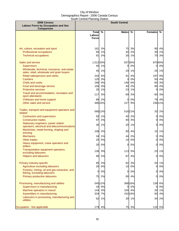| 2006 Census<br><b>Labour Force by Occupation and Sex</b><br>Comparison              | <b>South Central</b>   |          |              |          |                |          |
|-------------------------------------------------------------------------------------|------------------------|----------|--------------|----------|----------------|----------|
|                                                                                     | <b>Total</b>           | %        | <b>Males</b> | %        | <b>Females</b> | $\%$     |
|                                                                                     | Labour<br><b>Force</b> |          |              |          |                |          |
|                                                                                     |                        |          |              |          |                |          |
| Art, culture, recreation and sport                                                  | 161                    | 3%       | 75           | 3%       | 90             | 4%       |
| Professional occupations                                                            | 65                     | 1%       | 40           | 2%       | 30             | 1%       |
| <b>Technical occupations</b>                                                        | 91                     | 2%       | 30           | 1%       | 70             | 3%       |
| Sales and service                                                                   | 1,51233%               |          |              | 637 26%  |                | 87040%   |
| <b>Supervisors</b><br>Wholesale, technical, insurance, real estate                  | 40                     | 1%       | 0            | 0%       | 0              | 0%       |
| sales, retail, wholesale and grain buyers                                           | 45                     | 1%       | 20           | 1%       | 25             | 1%       |
| Retail salespersons and clerks                                                      | 242                    | 5%       | 91           | 4%       | 197            | 9%       |
| <b>Cashiers</b>                                                                     | 120                    | 3%       | 3            | 0%       | 93             | 4%       |
| Chefs and cooks<br>Food and beverage service                                        | 168<br>156             | 4%<br>3% | 148<br>40    | 6%<br>2% | 60<br>96       | 3%<br>4% |
| <b>Protective services</b>                                                          | 25                     | 1%       | 23           | 1%       | 0              | 0%       |
| Travel and accommodation, recreation and                                            | 117                    | 3%       | 69           | 3%       | 60             | 3%       |
| sport attendants                                                                    |                        |          |              |          |                |          |
| Childcare and home support<br>Other sales and service                               |                        | 89 2%    | 0<br>227     | 0%<br>9% | 79             | 4%       |
|                                                                                     |                        | 466 10%  |              |          |                | 23611%   |
| Trades, transport and equipment operators and<br>related                            |                        | 566 12%  |              | 51621%   | 33             | 2%       |
| <b>Contractors and supervisors</b>                                                  | 50                     | 1%       | 40           | 2%       | $\overline{0}$ | 0%       |
| <b>Construction trades</b>                                                          | 97                     | 2%       | 90           | 4%       | 0              | 0%       |
| Stationary engineers, power station<br>operators, electrical and telecommunications | 26                     | 1%       | 20           | 1%       | $\Omega$       | 0%       |
| Machinists, metal forming, shaping and<br>erecting                                  |                        | 108 2%   | 90           | 4%       | 15             | 1%       |
| <b>Mechanics</b>                                                                    | 34                     | 1%       | 44           | 2%       | 0              | 0%       |
| Other trades                                                                        | 20                     | 0%       | 10           | 0%       | 0              | 0%       |
| Heavy equipment, crane operators and<br>drillers                                    |                        | 20 0%    | 0            | 0%       | 0              | 0%       |
| Transportation equipment operators,<br>excluding labourers                          |                        | 136 3%   |              | 113 5%   |                | 23 1%    |
| <b>Helpers and labourers</b>                                                        | 90                     | 2%       | 87           | 4%       | 0              | 0%       |
| Primary industry-specific                                                           | 95                     | 2%       | 82           | 3%       | 20             | 1%       |
| Agriculture excluding labourers                                                     | 20                     | 0%       | 10           | 0%       | 0              | 0%       |
| Forestry, mining, oil and gas extraction, and<br>fishing, excluding labourers       | 0                      | 0%       | 0            | 0%       | 0              | 0%       |
| <b>Primary production labourers</b>                                                 | 75                     | 2%       | 90           | 4%       | 0              | 0%       |
| Processing, manufacturing and utilities                                             |                        | 545 12%  |              | 388 16%  | 139            | 6%       |
| Supervisors in manufacturing                                                        | 19                     | 0%       | 9            | 0%       | 0              | 0%       |
| Machine operators in manuf.                                                         |                        | 144 3%   |              | 100 4%   | 20             | 1%       |
| Assemblers in manufacturing                                                         |                        | 324 7%   |              | 242 10%  | 83             | 4%       |
| Labourers in processing, manufacturing and<br>utilities                             | 62                     | 1%       |              | 30 1%    | 34             | 2%       |
| Occupation - Not applicable                                                         |                        | 179 4%   |              | 75 3%    |                | 116 5%   |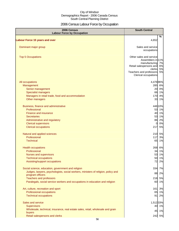## 2006 Census Labour Force by Occupation

| 2006 Census<br><b>Labour Force by Occupation</b>                                          | <b>South Central</b>                          |
|-------------------------------------------------------------------------------------------|-----------------------------------------------|
| <b>Labour Force 15 years and over</b>                                                     | $\%$<br>4,652                                 |
|                                                                                           |                                               |
| Dominant major group                                                                      | Sales and service<br>occupations              |
| <b>Top 5 Occupations</b>                                                                  | Other sales and service                       |
|                                                                                           | Assemblers in 11%<br>manufacturing 7%         |
|                                                                                           | Retail salespersons and 6%                    |
|                                                                                           | 5%<br>clerks<br>5%<br>Teachers and professors |
|                                                                                           | Clerical occupations                          |
| All occupations                                                                           | 4,47696%                                      |
| Management                                                                                | 285<br>6%                                     |
| Senior management                                                                         | 20 0%                                         |
| <b>Specialist managers</b><br>Managers in retail trade, food and accommodation            | 66 1%<br>170<br>4%                            |
| Other managers                                                                            | 33 1%                                         |
| Business, finance and administrative                                                      | 446 10%                                       |
| Professional                                                                              | 53 1%                                         |
| Finance and insurance                                                                     | 40 1%                                         |
| <b>Secretaries</b>                                                                        | 53 1%                                         |
| Administrative and regulatory                                                             | 86<br>2%                                      |
| <b>Clerical supervisors</b><br><b>Clerical occupations</b>                                | 0%<br>$\overline{O}$<br>217<br>5%             |
| Natural and applied sciences                                                              | 210 5%                                        |
| Professional                                                                              | 117<br>3%                                     |
| <b>Technical</b>                                                                          | 65<br>1%                                      |
| <b>Health occupations</b>                                                                 | 268 6%                                        |
| Professional                                                                              | 34 1%                                         |
| Nurses and supervisors                                                                    | 53<br>1%<br>50<br>1%                          |
| <b>Technical occupations</b><br>Assisting/support occupations                             | 72<br>2%                                      |
| Social science, education, government and religion                                        | 334<br>7%                                     |
| Judges, lawyers, psychologists, social workers, ministers of religion, policy and         | 88<br>2%                                      |
| program officers                                                                          |                                               |
| <b>Teachers and professors</b>                                                            | 218<br>5%<br>60 1%                            |
| Paralegals, social service workers and occupations in education and religion              |                                               |
| Art, culture, recreation and sport                                                        | 161 3%                                        |
| Professional occupations                                                                  | 65 1%                                         |
| <b>Technical occupations</b>                                                              | 91<br>2%                                      |
| Sales and service                                                                         | 1,512 33%                                     |
| <b>Supervisors</b>                                                                        | 40 1%                                         |
| Wholesale, technical, insurance, real estate sales, retail, wholesale and grain<br>buyers | 45 1%                                         |
| Retail salespersons and clerks                                                            | 242 5%                                        |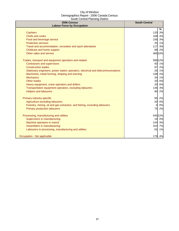| 2006 Census<br><b>Labour Force by Occupation</b>                                 | <b>South Central</b> |
|----------------------------------------------------------------------------------|----------------------|
|                                                                                  | %                    |
| Cashiers                                                                         | 120<br>3%            |
| Chefs and cooks                                                                  | 168 4%               |
| Food and beverage service                                                        | 156 3%               |
| <b>Protective services</b>                                                       | 1%<br>25             |
| Travel and accommodation, recreation and sport attendants                        | 117<br>3%            |
| Childcare and home support                                                       | 89<br>2%             |
| Other sales and service                                                          | 466 10%              |
| Trades, transport and equipment operators and related                            | 56612%               |
| Contractors and supervisors                                                      | 50<br>1%             |
| <b>Construction trades</b>                                                       | 97<br>2%             |
| Stationary engineers, power station operators, electrical and telecommunications | 26 1%                |
| Machinists, metal forming, shaping and erecting                                  | 108<br>2%            |
| <b>Mechanics</b>                                                                 | 34<br>1%             |
| <b>Other trades</b>                                                              | 0%<br>20             |
| Heavy equipment, crane operators and drillers                                    | 0%<br>20             |
| Transportation equipment operators, excluding labourers                          | 136<br>3%            |
| <b>Helpers and labourers</b>                                                     | 2%<br>90             |
| Primary industry-specific                                                        | 95 2%                |
| Agriculture excluding labourers                                                  | 20<br>0%             |
| Forestry, mining, oil and gas extraction, and fishing, excluding labourers       | 0%<br>$\Omega$       |
| Primary production labourers                                                     | 75<br>2%             |
| Processing, manufacturing and utilities                                          | 545 12%              |
| Supervisors in manufacturing                                                     | 19 0%                |
| Machine operators in manuf.                                                      | 144<br>3%            |
| Assemblers in manufacturing                                                      | 324<br>7%            |
| Labourers in processing, manufacturing and utilities                             | 62<br>1%             |
| Occupation - Not applicable                                                      | 179 4%               |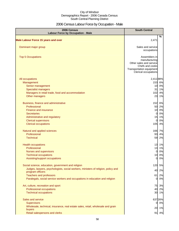## 2006 Census Labour Force by Occupation - Male

| 2006 Census<br><b>Labour Force by Occupation - Male</b>                                               | <b>South Central</b>                                                                                                             |    |
|-------------------------------------------------------------------------------------------------------|----------------------------------------------------------------------------------------------------------------------------------|----|
| <b>Male Labour Force 15 years and over</b>                                                            | %<br>2,471                                                                                                                       |    |
| Dominant major group                                                                                  | Sales and service                                                                                                                |    |
|                                                                                                       | occupations                                                                                                                      |    |
| <b>Top 5 Occupations</b>                                                                              | Assemblers in<br>manufacturing<br>Other sales and service<br>Chefs and cooks<br>Transportation equipment<br>Clerical occupations |    |
| All occupations                                                                                       | 2,411 98%                                                                                                                        |    |
| Management                                                                                            | 153 6%                                                                                                                           |    |
| Senior management                                                                                     | 0%<br>10                                                                                                                         |    |
| <b>Specialist managers</b>                                                                            | 31                                                                                                                               | 1% |
| Managers in retail trade, food and accommodation                                                      | 102                                                                                                                              | 4% |
| Other managers                                                                                        | 23                                                                                                                               | 1% |
| Business, finance and administrative                                                                  | 152 6%                                                                                                                           |    |
| Professional                                                                                          | 50 2%                                                                                                                            |    |
| Finance and insurance                                                                                 | 10<br>0%                                                                                                                         |    |
| <b>Secretaries</b>                                                                                    | <sub>0</sub>                                                                                                                     | 0% |
| Administrative and regulatory                                                                         | 1%<br>15                                                                                                                         |    |
| <b>Clerical supervisors</b>                                                                           | $\Omega$                                                                                                                         | 0% |
| <b>Clerical occupations</b>                                                                           | 4%<br>105                                                                                                                        |    |
| Natural and applied sciences                                                                          | 166 7%                                                                                                                           |    |
| Professional                                                                                          | 93                                                                                                                               | 4% |
| <b>Technical</b>                                                                                      | 59<br>2%                                                                                                                         |    |
| <b>Health occupations</b>                                                                             | 13 1%                                                                                                                            |    |
| Professional                                                                                          | 13 1%                                                                                                                            |    |
| Nurses and supervisors                                                                                | 0%<br>$\overline{O}$                                                                                                             |    |
| <b>Technical occupations</b>                                                                          | 10 0%                                                                                                                            |    |
| Assisting/support occupations                                                                         | 0 0%                                                                                                                             |    |
| Social science, education, government and religion                                                    | 120<br>5%                                                                                                                        |    |
| Judges, lawyers, psychologists, social workers, ministers of religion, policy and<br>program officers | 40<br>2%                                                                                                                         |    |
| <b>Teachers and professors</b>                                                                        | 61                                                                                                                               | 2% |
| Paralegals, social service workers and occupations in education and religion                          | 0                                                                                                                                | 0% |
| Art, culture, recreation and sport                                                                    | 75                                                                                                                               | 3% |
| Professional occupations                                                                              | 40                                                                                                                               | 2% |
| <b>Technical occupations</b>                                                                          | 30 1%                                                                                                                            |    |
| Sales and service                                                                                     | 637 26%                                                                                                                          |    |
| <b>Supervisors</b>                                                                                    | 0%<br>01                                                                                                                         |    |
| Wholesale, technical, insurance, real estate sales, retail, wholesale and grain                       |                                                                                                                                  |    |
| buyers                                                                                                | 20 1%                                                                                                                            |    |
| Retail salespersons and clerks                                                                        | 91 4%                                                                                                                            |    |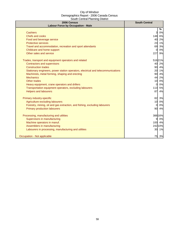| 2006 Census<br><b>Labour Force by Occupation - Male</b>                          | <b>South Central</b> |
|----------------------------------------------------------------------------------|----------------------|
|                                                                                  | %                    |
| <b>Cashiers</b>                                                                  | 3<br>0%              |
| Chefs and cooks                                                                  | 148 6%               |
| Food and beverage service                                                        | 2%<br>40             |
| <b>Protective services</b>                                                       | 23<br>1%             |
| Travel and accommodation, recreation and sport attendants                        | 69<br>3%             |
| Childcare and home support                                                       | 0%<br>$\Omega$       |
| Other sales and service                                                          | 227<br>9%            |
| Trades, transport and equipment operators and related                            | 51621%               |
| Contractors and supervisors                                                      | 40<br>2%             |
| <b>Construction trades</b>                                                       | 90<br>4%             |
| Stationary engineers, power station operators, electrical and telecommunications | 20<br>1%             |
| Machinists, metal forming, shaping and erecting                                  | 4%<br>90             |
| <b>Mechanics</b>                                                                 | 44<br>2%             |
| Other trades                                                                     | 10<br>0%             |
| Heavy equipment, crane operators and drillers                                    | 0%<br>$\Omega$       |
| Transportation equipment operators, excluding labourers                          | 113<br>5%            |
| <b>Helpers and labourers</b>                                                     | 87<br>4%             |
| Primary industry-specific                                                        | 82<br>3%             |
| Agriculture excluding labourers                                                  | 10<br>0%             |
| Forestry, mining, oil and gas extraction, and fishing, excluding labourers       | 0%<br>$\Omega$       |
| <b>Primary production labourers</b>                                              | 90<br>4%             |
| Processing, manufacturing and utilities                                          | 388 16%              |
| Supervisors in manufacturing                                                     | 0%<br>9              |
| Machine operators in manuf.                                                      | 100<br>4%            |
| Assemblers in manufacturing                                                      | 242 10%              |
| Labourers in processing, manufacturing and utilities                             | 30<br>1%             |
| Occupation - Not applicable                                                      | 75<br>3%             |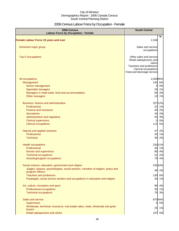## 2006 Census Labour Force by Occupation - Female

| 2006 Census<br><b>Labour Force by Occupation - Female</b>                                                                                                                                                                                                                     | <b>South Central</b>                                                                                                                         |                            |
|-------------------------------------------------------------------------------------------------------------------------------------------------------------------------------------------------------------------------------------------------------------------------------|----------------------------------------------------------------------------------------------------------------------------------------------|----------------------------|
| <b>Female Labour Force 15 years and over</b>                                                                                                                                                                                                                                  | 2,166                                                                                                                                        | $\frac{9}{6}$              |
| Dominant major group                                                                                                                                                                                                                                                          | Sales and service<br>occupations                                                                                                             |                            |
| <b>Top 5 Occupations</b>                                                                                                                                                                                                                                                      | Other sales and service<br>Retail salespersons and<br>clerks<br>Teachers and professors<br>Clerical occupations<br>Food and beverage service |                            |
| All occupations<br>Management<br>Senior management<br><b>Specialist managers</b><br>Managers in retail trade, food and accommodation                                                                                                                                          | 2,05995%<br>140 6%<br>$\overline{O}$<br>25<br>65                                                                                             | 0%<br>1%<br>3%             |
| Other managers<br>Business, finance and administrative<br>Professional<br><b>Finance and insurance</b><br><b>Secretaries</b>                                                                                                                                                  | 257 12%<br>40<br>43                                                                                                                          | 13 1%<br>23 1%<br>2%<br>2% |
| Administrative and regulatory<br><b>Clerical supervisors</b><br><b>Clerical occupations</b>                                                                                                                                                                                   | 55<br>$\Omega$<br>112                                                                                                                        | 3%<br>0%<br>5%             |
| Natural and applied sciences<br>Professional<br><b>Technical</b>                                                                                                                                                                                                              | 47<br>40                                                                                                                                     | 2%<br>20 1%<br>2%          |
| <b>Health occupations</b><br>Professional<br>Nurses and supervisors<br><b>Technical occupations</b><br>Assisting/support occupations                                                                                                                                          | 234 11%<br>51<br>79                                                                                                                          | 30 1%<br>80 4%<br>2%<br>4% |
| Social science, education, government and religion<br>Judges, lawyers, psychologists, social workers, ministers of religion, policy and<br>program officers<br><b>Teachers and professors</b><br>Paralegals, social service workers and occupations in education and religion | 226 10%<br>49<br>130<br>20                                                                                                                   | 2%<br>6%<br>1%             |
| Art, culture, recreation and sport<br>Professional occupations<br><b>Technical occupations</b>                                                                                                                                                                                | 90<br>30<br>70                                                                                                                               | 4%<br>1%<br>3%             |
| Sales and service<br><b>Supervisors</b><br>Wholesale, technical, insurance, real estate sales, retail, wholesale and grain<br>buyers<br>Retail salespersons and clerks                                                                                                        | 87040%<br>0<br>197 9%                                                                                                                        | 0%<br>25 1%                |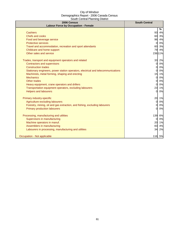| 2006 Census<br><b>Labour Force by Occupation - Female</b>                        | <b>South Central</b> |
|----------------------------------------------------------------------------------|----------------------|
|                                                                                  | %                    |
| <b>Cashiers</b>                                                                  | 93<br>4%             |
| <b>Chefs and cooks</b>                                                           | 60 3%                |
| Food and beverage service                                                        | 96<br>4%             |
| <b>Protective services</b>                                                       | 0%<br>$\overline{0}$ |
| Travel and accommodation, recreation and sport attendants                        | 60<br>3%             |
| Childcare and home support                                                       | 79<br>4%             |
| Other sales and service                                                          | 236 11%              |
| Trades, transport and equipment operators and related                            | 33<br>2%             |
| <b>Contractors and supervisors</b>                                               | 0%<br>0l             |
| <b>Construction trades</b>                                                       | 0%<br>01             |
| Stationary engineers, power station operators, electrical and telecommunications | 0%<br>$\mathbf{0}$   |
| Machinists, metal forming, shaping and erecting                                  | 15<br>1%             |
| <b>Mechanics</b>                                                                 | 0%<br><sub>0</sub>   |
| Other trades                                                                     | 0%<br>0              |
| Heavy equipment, crane operators and drillers                                    | 0%<br><sub>O</sub>   |
| Transportation equipment operators, excluding labourers                          | 23<br>1%             |
| <b>Helpers and labourers</b>                                                     | 0%<br>$\mathbf{0}$   |
| Primary industry-specific                                                        | 20<br>1%             |
| Agriculture excluding labourers                                                  | 0%<br>0              |
| Forestry, mining, oil and gas extraction, and fishing, excluding labourers       | 0%<br>0              |
| <b>Primary production labourers</b>                                              | 0%<br><sub>O</sub>   |
| Processing, manufacturing and utilities                                          | 139<br>6%            |
| Supervisors in manufacturing                                                     | 0%<br>$\mathbf{0}$   |
| Machine operators in manuf.                                                      | 20<br>1%             |
| Assemblers in manufacturing                                                      | 83<br>4%             |
| Labourers in processing, manufacturing and utilities                             | 34<br>2%             |
| Occupation - Not applicable                                                      | 116 5%               |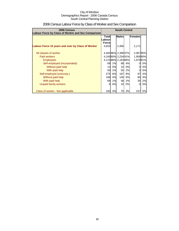| 2006 Census<br><b>Labour Force by Class of Worker and Sex Comparison</b> | <b>South Central</b>                    |    |                   |    |           |    |  |
|--------------------------------------------------------------------------|-----------------------------------------|----|-------------------|----|-----------|----|--|
|                                                                          | <b>Males</b><br>Females<br><b>Total</b> |    |                   |    |           |    |  |
|                                                                          | .abour<br><b>Force</b>                  |    |                   |    |           |    |  |
| Labour Force 15 years and over by Class of Worker                        | 4,653                                   |    | 2,466             |    | 2,171     |    |  |
| All classes of worker                                                    |                                         |    | 4,48296% 2,39697% |    | 2,06795%  |    |  |
| Paid workers                                                             |                                         |    | 4,16990% 2,23491% |    | 1,958 90% |    |  |
| <b>Employees</b>                                                         |                                         |    | 4,11588% 2,16388% |    | 1,97991%  |    |  |
| Self-employed (incorporated)                                             | 68                                      | 1% | 88                | 4% | 0         | 0% |  |
| Without paid help                                                        | 13                                      | 0% | 10 <sup>1</sup>   | 0% | 0         | 0% |  |
| With paid help                                                           | <b>50</b>                               | 1% | 55                | 2% | 0         | 0% |  |
| Self-employed (unincorp.)                                                | 275                                     | 6% | 187               | 8% | 97        | 4% |  |
| Without paid help                                                        | 198                                     | 4% | 146               | 6% | 80        | 4% |  |
| With paid help                                                           | 68                                      | 1% | 48                | 2% | 35        | 2% |  |
| Unpaid family workers                                                    | 0                                       | 0% | 10                | 0% | 0         | 0% |  |
| Class of worker - Not applicable                                         | 182                                     | 4% | 75                | 3% | 107       | 5% |  |

## 2006 Census Labour Force by Class of Worker and Sex Comparison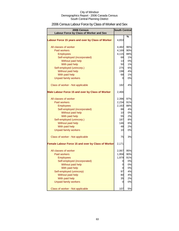## 2006 Census Labour Force by Class of Worker and Sex

| 2006 Census                                        | <b>South Central</b> |     |  |
|----------------------------------------------------|----------------------|-----|--|
| Labour Force by Class of Worker and Sex            |                      |     |  |
| Labour Force 15 years and over by Class of Worker  | 4,653                | %   |  |
| All classes of worker                              | 4,482                | 96% |  |
| <b>Paid workers</b>                                | 4,169                | 90% |  |
| <b>Employees</b>                                   | 4,115                | 88% |  |
| Self-employed (incorporated)                       | 68                   | 1%  |  |
| Without paid help                                  | 13                   | 0%  |  |
| With paid help                                     | 50                   | 1%  |  |
| Self-employed (unincorp.)                          | 275                  | 6%  |  |
| Without paid help                                  | 198                  | 4%  |  |
| With paid help                                     | 68                   | 1%  |  |
| <b>Unpaid family workers</b>                       | 0                    | 0%  |  |
| Class of worker - Not applicable                   | 182                  | 4%  |  |
| Male Labour Force 15 and over by Class of Worker   | 2,466                |     |  |
| All classes of worker                              | 2,396                | 97% |  |
| Paid workers                                       | 2,234                | 91% |  |
| <b>Employees</b>                                   | 2,163                | 88% |  |
| Self-employed (incorporated)                       | 88                   | 4%  |  |
| Without paid help                                  | 10                   | 0%  |  |
| With paid help                                     | 55                   | 2%  |  |
| Self-employed (unincorp.)                          | 187                  | 8%  |  |
| Without paid help                                  | 146                  | 6%  |  |
| With paid help                                     | 48                   | 2%  |  |
| <b>Unpaid family workers</b>                       | 10                   | 0%  |  |
| Class of worker - Not applicable                   | 75                   | 3%  |  |
| Female Labour Force 15 and over by Class of Worker | 2,171                |     |  |
| All classes of worker                              | 2,067                | 95% |  |
| <b>Paid workers</b>                                | 1,958                | 90% |  |
| <b>Employees</b>                                   | 1,979                | 91% |  |
| Self-employed (incorporated)                       | 0                    | 0%  |  |
| Without paid help                                  | 0                    | 0%  |  |
| With paid help                                     | 0                    | 0%  |  |
| Self-employed (unincorp)                           | 97                   | 4%  |  |
| Without paid help                                  | 80                   | 4%  |  |
| With paid help                                     | 35                   | 2%  |  |
| <b>Unpaid family workers</b>                       | 0                    | 0%  |  |
| Class of worker - Not applicable                   | 107                  | 5%  |  |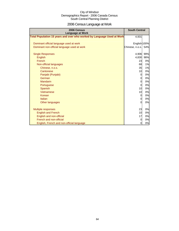## 2006 Census Language at Work

| 2006 Census<br><b>Language at Work</b>                                 | <b>South Central</b> |     |
|------------------------------------------------------------------------|----------------------|-----|
| Total Population 15 years and over who worked by Language Used at Work | 4,931                |     |
| Dominant official language used at work                                | English 100%         |     |
| Dominant non-official language used at work                            | Chinese, n.o.s.      | 54% |
| <b>Single Responses</b>                                                | 4,906                | 99% |
| English                                                                | 4,830                | 98% |
| French                                                                 | 23                   | 0%  |
| Non-official languages                                                 | 68                   | 1%  |
| Chinese, n.o.s.                                                        | 35                   | 1%  |
| Cantonese                                                              | 10                   | 0%  |
| Panjabi (Punjabi)                                                      | $\Omega$             | 0%  |
| German                                                                 | $\overline{O}$       | 0%  |
| <b>Mandarin</b>                                                        | $\overline{0}$       | 0%  |
| Portuguese                                                             | $\Omega$             | 0%  |
| Spanish                                                                | 10 <sup>1</sup>      | 0%  |
| Vietnamese                                                             | 10                   | 0%  |
| Korean                                                                 | $\overline{O}$       | 0%  |
| Italian                                                                | $\Omega$             | 0%  |
| Other languages                                                        | $\Omega$             | 0%  |
| <b>Multiple responses</b>                                              | 23                   | 0%  |
| <b>English and French</b>                                              | 10                   | 0%  |
| English and non-official                                               | 17                   | 0%  |
| French and non-official                                                | $\overline{0}$       | 0%  |
| English, French and non-official language                              | $\overline{0}$       | 0%  |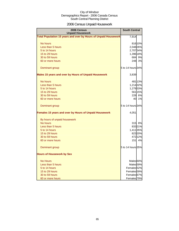## 2006 Census Unpaid Housework

| 2006 Census<br><b>Unpaid Housework</b>                                 | <b>South Central</b>   |         |
|------------------------------------------------------------------------|------------------------|---------|
| <b>Total Population 15 years and over by Hours of Unpaid Housework</b> | 7,914                  |         |
| No hours                                                               |                        | 816 10% |
| Less than 5 hours                                                      | 2,048 26%              |         |
| 5 to 14 hours                                                          | 2,707 34%              |         |
| 15 to 29 hours                                                         | 1,396 18%              |         |
| 30 to 59 hours                                                         | 684                    | 9%      |
| 60 or more hours                                                       | 248                    | 3%      |
| Dominant group                                                         | 5 to 14 hours 34%      |         |
| <b>Males 15 years and over by Hours of Unpaid Housework</b>            | 3,839                  |         |
| No hours                                                               |                        | 481 13% |
| Less than 5 hours                                                      | 1,214 32%              |         |
| 5 to 14 hours                                                          | 1,279 33%              |         |
| 15 to 29 hours                                                         |                        | 561 15% |
| 30 to 59 hours                                                         | 228                    | 6%      |
| 60 or more hours                                                       | 40                     | 1%      |
| Dominant group                                                         | 5 to 14 hours 34%      |         |
| Females 15 years and over by Hours of Unpaid Housework                 | 4,051                  |         |
| By hours of unpaid housework                                           |                        |         |
| No hours                                                               |                        | 315 8%  |
| Less than 5 hours                                                      |                        | 83321%  |
| 5 to 14 hours                                                          | 1,411 35%              |         |
| 15 to 29 hours                                                         |                        | 823 20% |
| 30 to 59 hours                                                         |                        | 472 12% |
| 60 or more hours                                                       | 151                    | 4%      |
| Dominant group                                                         | 5 to 14 hours 35%      |         |
| <b>Hours of Housework by Sex</b>                                       |                        |         |
| <b>No Hours</b>                                                        | Males 60%              |         |
| Less than 5 hours                                                      | Males <sub>59%</sub>   |         |
| 5 to 14 hours                                                          | Females 52%            |         |
| 15 to 29 hours                                                         | Females 59%            |         |
| 30 to 59 hours                                                         | Females <sup>67%</sup> |         |
| 60 or more hours                                                       | Females 79%            |         |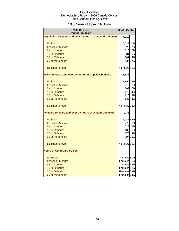## 2006 Census Unpaid Childcare

| 2006 Census<br><b>Unpaid Childcare</b>                    | <b>South Central</b> |           |
|-----------------------------------------------------------|----------------------|-----------|
| Population 15 years and over by hours of Unpaid Childcare | 7,912                |           |
| No hours                                                  | 5,632 71%            |           |
| Less than 5 hours                                         | 522                  | 7%        |
| 5 to 14 hours                                             | 520                  | 7%        |
| 15 to 29 hours                                            | 381                  | 5%        |
| 30 to 59 hours                                            | 307                  | 4%        |
| 60 or more hours                                          | <b>536</b>           | 7%        |
| Dominant group                                            | No hours 71%         |           |
| Males 15 years and over by hours of Unpaid Childcare      | 3,841                |           |
| No hours                                                  | 2,890 75%            |           |
| Less than 5 hours                                         | 218                  | 6%        |
| 5 to 14 hours                                             | 262                  | 7%        |
| 15 to 29 hours                                            | 170                  | 4%        |
| 30 to 59 hours                                            | 120                  | 3%        |
| 60 or more hours                                          | 137                  | 4%        |
| Dominant group                                            | No hours 76%         |           |
| Females 15 years and over by hours of Unpaid Childcare    | 4,046                |           |
| No hours                                                  | 2,745 68%            |           |
| Less than 5 hours                                         | 278                  | 7%        |
| 5 to 14 hours                                             |                      | 229 6%    |
| 15 to 29 hours                                            | 1831                 | <b>5%</b> |
| 30 to 59 hours                                            | 175                  | 4%        |
| 60 or more hours                                          |                      | 394 10%   |
| Dominant group                                            | No hours 69%         |           |
| <b>Hours of Child Care by Sex</b>                         |                      |           |
| <b>No Hours</b>                                           | Males 51%            |           |
| Less than 5 hours                                         | Females 56%          |           |
| 5 to 14 hours                                             | Males 53%            |           |
| 15 to 29 hours                                            | Females 52%          |           |
| 30 to 59 hours                                            | Females 59%          |           |
| 60 or more hours                                          | Females 74%          |           |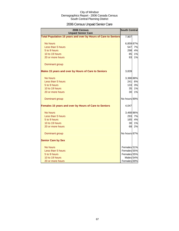## 2006 Census Unpaid Senior Care

| 2006 Census<br><b>Unpaid Senior Care</b>                       | <b>South Central</b>   |    |
|----------------------------------------------------------------|------------------------|----|
| Total Population 15 years and over by Hours of Care to Seniors | 7,907                  |    |
| No hours                                                       | 6,859 87%              |    |
| Less than 5 hours                                              | 547                    | 7% |
| 5 to 9 hours                                                   | 298                    | 4% |
| 10 to 19 hours                                                 | 85                     | 1% |
| 20 or more hours                                               | 93                     | 1% |
| Dominant group                                                 |                        |    |
| Males 15 years and over by Hours of Care to Seniors            | 3,839                  |    |
| No hours                                                       | 3,388 88%              |    |
| Less than 5 hours                                              | 241                    | 6% |
| 5 to 9 hours                                                   | 133                    | 3% |
| 10 to 19 hours                                                 | 35                     | 1% |
| 20 or more hours                                               | 30                     | 1% |
| Dominant group                                                 | No hours 89%           |    |
| Females 15 years and over by Hours of Care to Seniors          | 4,047                  |    |
| No hours                                                       | 3,468 86%              |    |
| Less than 5 hours                                              | 293                    | 7% |
| 5 to 9 hours                                                   | 165                    | 4% |
| 10 to 19 hours                                                 | 30                     | 1% |
| 20 or more hours                                               | 68                     | 2% |
| Dominant group                                                 | No hours 87%           |    |
| <b>Senior Care by Sex</b>                                      |                        |    |
| No hours                                                       | Females 51%            |    |
| Less than 5 hours                                              | Females 55%            |    |
| 5 to 9 hours                                                   | Females 55%            |    |
| 10 to 19 hours                                                 | Males 54%              |    |
| 20 or more hours                                               | Females <sup>69%</sup> |    |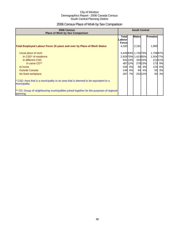## 2006 Census Place of Work by Sex Comparison

| 2006 Census<br><b>Place of Work by Sex Comparison</b>                                                 | <b>South Central</b>                     |         |                     |         |           |        |
|-------------------------------------------------------------------------------------------------------|------------------------------------------|---------|---------------------|---------|-----------|--------|
|                                                                                                       | <b>Total</b><br>Labourl<br><b>Forcel</b> |         | <b>Males</b>        |         | Females   |        |
| <b>Total Employed Labour Force 15 years and over by Place of Work Status</b>                          | 4,160                                    |         | 2,181               |         | 1,960     |        |
| Usual place of work                                                                                   |                                          |         | 3,44583% 1,72679%   |         | 1,70687%  |        |
| In CSD <sup>*</sup> of residence                                                                      |                                          |         | 2,928 70% 1,413 65% |         | 1,504 77% |        |
| In different CSD                                                                                      |                                          | 541 13% |                     | 33415%  |           | 21311% |
| In same CD**                                                                                          |                                          | 48712%  |                     | 278 13% | 173       | 9%     |
| At home                                                                                               |                                          | 226 5%  | 90                  | 4%      | 124       | 6%     |
| <b>Outside Canada</b>                                                                                 | 149                                      | 4%      | 94                  | 4%      | 55        | 3%     |
| No fixed workplace                                                                                    | 287                                      | 7%      |                     | 25212%  | 50        | 3%     |
| * CSD: Area that is a municipality or an area that is deemed to be equivalent to a<br>municipality.   |                                          |         |                     |         |           |        |
| ** CD: Group of neighbouring municipalities joined together for the purposes of regional<br>planning. |                                          |         |                     |         |           |        |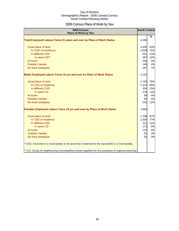## 2006 Census Place of Work by Sex

| 2006 Census<br><b>Place of Work by Sex</b>                                                         | <b>South Central</b> |               |
|----------------------------------------------------------------------------------------------------|----------------------|---------------|
| Total Employed Labour Force 15 years and over by Place of Work Status                              | 4,160                | $\frac{9}{6}$ |
|                                                                                                    |                      |               |
| Usual place of work                                                                                | 3,445                | 83%           |
| In CSD* of residence                                                                               | 2,928                | 70%           |
| In different CSD                                                                                   | 541                  | 13%           |
| In same CD**                                                                                       | 487                  | 12%           |
| At home                                                                                            | 226                  | 5%            |
| <b>Outside Canada</b>                                                                              | 149                  | 4%            |
| No fixed workplace                                                                                 | 287                  | 7%            |
| Males Employed Labour Force 15 yrs and over by Place of Work Status                                | 2,181                |               |
| Usual place of work                                                                                | 1,726                | 79%           |
| In CSD of residence                                                                                | 1,413                | 65%           |
| In different CSD                                                                                   | 334                  | 15%           |
| In same CD                                                                                         | 278                  | 13%           |
| At home                                                                                            | 90                   | 4%            |
| <b>Outside Canada</b>                                                                              | 94                   | 4%            |
| No fixed workplace                                                                                 | 252                  | 12%           |
| Females Employed Labour Force 15 yrs and over by Place of Work Status                              | 1,960                |               |
| Usual place of work                                                                                | 1,706                | 87%           |
| In CSD of residence                                                                                | 1,504                | 77%           |
| In different CSD                                                                                   | 213                  | 11%           |
| In same CD                                                                                         | 173                  | 9%            |
| At home                                                                                            | 124                  | 6%            |
| <b>Outside Canada</b>                                                                              | 55                   | 3%            |
| No fixed workplace                                                                                 | 50                   | 3%            |
| * CSD: Area that is a municipality or an area that is deemed to be equivalent to a municipality.   |                      |               |
| ** CD: Group of neighbouring municipalities joined together for the purposes of regional planning. |                      |               |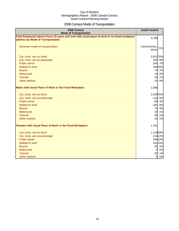## 2006 Census Mode of Transportation

| 2006 Census<br><b>Mode of Transportation</b>                                                                                      | <b>South Central</b>            |
|-----------------------------------------------------------------------------------------------------------------------------------|---------------------------------|
| Total Employed Labour Force 15 years and over with usual place of work or no fixed workplace<br>address by Mode of Transportation | 3,766                           |
| Dominant mode of transportation                                                                                                   | Car/truck/van-<br>71%<br>driver |
| Car, truck, van as driver                                                                                                         | 2,651 70%                       |
| Car, truck, van as passenger                                                                                                      | 343 9%                          |
| <b>Public transit</b>                                                                                                             | 264 7%                          |
| Walked to work                                                                                                                    | 359 10%                         |
| <b>Bicycle</b>                                                                                                                    | 74<br>2%                        |
| Motorcycle                                                                                                                        | 10 <sup>1</sup><br>0%           |
| <b>Taxicab</b>                                                                                                                    | 53<br>1%                        |
| Other method                                                                                                                      | 10 <sup>1</sup><br>0%           |
| <b>Males with Usual Place of Work or No Fixed Workplace</b>                                                                       | 1,985                           |
| Car, truck, van as driver                                                                                                         | 1,509 76%                       |
| Car, truck, van as passenger                                                                                                      | 116 6%                          |
| <b>Public transit</b>                                                                                                             | 69<br>3%                        |
| Walked to work                                                                                                                    | 164<br>8%                       |
| <b>Bicycle</b>                                                                                                                    | 75<br>4%                        |
| Motorcycle                                                                                                                        | 10 1%                           |
| <b>Taxicab</b>                                                                                                                    | 35 2%                           |
| Other method                                                                                                                      | 10<br>1%                        |
| <b>Females with Usual Place of Work or No Fixed Workplace</b>                                                                     | 1,761                           |
| Car, truck, van as driver                                                                                                         | 1,11863%                        |
| Car, truck, van as passenger                                                                                                      | 214 12%                         |
| <b>Public transit</b>                                                                                                             | 184 10%                         |
| Walked to work                                                                                                                    | 181 10%                         |
| <b>Bicycle</b>                                                                                                                    | 20 1%                           |
| Motorcycle                                                                                                                        | 0%<br>$\overline{0}$            |
| <b>Taxicab</b>                                                                                                                    | 20<br>1%                        |
| Other method                                                                                                                      | 0%<br>$\overline{O}$            |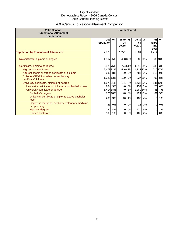## 2006 Census Educational Attainment Comparison

| 2006 Census<br><b>Educational Attainment</b><br>Comparison         | <b>South Central</b>              |               |                        |               |                        |           |                            |               |
|--------------------------------------------------------------------|-----------------------------------|---------------|------------------------|---------------|------------------------|-----------|----------------------------|---------------|
|                                                                    | <b>Total</b><br><b>Population</b> | $\frac{9}{6}$ | $15$ to<br>24<br>years | $\frac{9}{6}$ | $25$ to<br>64<br>years | $\%$      | 65<br>years<br>and<br>over | $\frac{9}{6}$ |
| <b>Population by Educational Attainment</b>                        | 7,870                             |               | 1,271                  |               | 5,384                  |           | 1,214                      |               |
| No certificate, diploma or degree                                  | 1,967 25%                         |               |                        | 49839%        |                        | 882 16%   |                            | 58648%        |
| Certificate, diploma or degree                                     | 5,929 75%                         |               |                        | 77461%        | 4,51684%               |           |                            | 63853%        |
| High school certificate                                            | 2,478 31%                         |               |                        | 54643%        | 1,722 32%              |           |                            | 21017%        |
| Apprenticeship or trades certificate or diploma                    |                                   | 632 8%        | <b>30</b>              | 2%            |                        | 486 9%    |                            | 115 9%        |
| College, CEGEP or other non-university<br>certificate/diploma      | 1,028 13%                         |               | 109                    | 9%            |                        | 827 15%   | 93                         | 8%            |
| University certificate, diploma or degree                          | 1,679 21%                         |               | 101                    | 8%            | 1,436 27%              |           |                            | 141 12%       |
| University certificate or diploma below bachelor level             | 264                               | 3%            | 40                     | 3%            |                        | 154 3%    | 70                         | 6%            |
| University certificate or degree                                   | 1,414 18%                         |               | 40                     | 3%            | 1,289 24%              |           | 85                         | 7%            |
| Bachelor's degree                                                  |                                   | 826 10%       | 40                     | 3%            |                        | 72413%    | 61                         | 5%            |
| University certificate or diploma above bachelor<br>level          | 209                               | 3%            | 10                     | 1%            | 189                    | 4%        | 10                         | 1%            |
| Degree in medicine, dentistry, veterinary medicine<br>or optometry | 23                                | 0%            | $\Omega$               | 0%            | 23                     | 0%        | $\overline{0}$             | 0%            |
| Master's degree                                                    | 280                               | 4%            | $\Omega$               | 0%            | 270                    | <b>5%</b> | 10                         | 1%            |
| <b>Earned doctorate</b>                                            | 105                               | 1%            | 0                      | 0%            |                        | 105 2%    | 0                          | 0%            |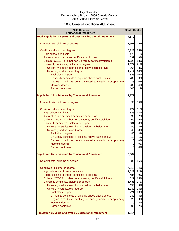### 2006 Census Educational Attainment

| 2006 Census<br><b>Educational Attainment</b>                        | <b>South Central</b> |     |
|---------------------------------------------------------------------|----------------------|-----|
| <b>Total Population 15 years and over by Educational Attainment</b> | 7,870                |     |
|                                                                     |                      |     |
| No certificate, diploma or degree                                   | 1,967                | 25% |
| Certificate, diploma or degree                                      | 5,929                | 75% |
| <b>High school certificate</b>                                      | 2,478                | 31% |
| Apprenticeship or trades certificate or diploma                     | 632                  | 8%  |
| College, CEGEP or other non-university certificate/diploma          | 1,028                | 13% |
| University certificate, diploma or degree                           | 1,679                | 21% |
| University certificate or diploma below bachelor level              | 264                  | 3%  |
| University certificate or degree                                    | 1,414                | 18% |
| Bachelor's degree                                                   | 826                  | 10% |
| University certificate or diploma above bachelor level              | 209                  | 3%  |
| Degree in medicine, dentistry, veterinary medicine or optometry     | 23                   | 0%  |
| Master's degree                                                     | 280                  | 4%  |
| <b>Earned doctorate</b>                                             | 105                  | 1%  |
| <b>Population 15 to 24 years by Educational Attainment</b>          | 1,271                |     |
| No certificate, diploma or degree                                   | 498                  | 39% |
| Certificate, diploma or degree                                      | 774I                 | 61% |
| <b>High school certificate</b>                                      | 546                  | 43% |
| Apprenticeship or trades certificate or diploma                     | 30                   | 2%  |
| College, CEGEP or other non-university certificate/diploma          | 109                  | 9%  |
| University certificate, diploma or degree                           | 101                  | 8%  |
| University certificate or diploma below bachelor level              | 40                   | 3%  |
| University certificate or degree                                    | 40                   | 3%  |
| Bachelor's degree                                                   | 40                   | 3%  |
| University certificate or diploma above bachelor level              | 10                   | 1%  |
| Degree in medicine, dentistry, veterinary medicine or optometry     | $\overline{0}$       | 0%  |
| Master's degree                                                     | $\overline{0}$       | 0%  |
| Earned doctorate                                                    | $\Omega$             | 0%  |
| <b>Population 25 to 64 years by Educational Attainment</b>          | 5,384                |     |
| No certificate, diploma or degree                                   | 882                  | 16% |
| Certificate, diploma or degree                                      | 4,516                | 84% |
| High school certificate or equivalent                               | 1,722                | 32% |
| Apprenticeship or trades certificate or diploma                     | 486                  | 9%  |
| College, CEGEP or other non-university certificate/diploma          | 827                  | 15% |
| University certificate, diploma or degree                           | 1,436                | 27% |
| University certificate or diploma below bachelor level              | 154                  | 3%  |
| University certificate or degree                                    | 1,289                | 24% |
| Bachelor's degree                                                   | 724                  | 13% |
| University certificate or diploma above bachelor level              | 189                  | 4%  |
| Degree in medicine, dentistry, veterinary medicine or optometry     | 23                   | 0%  |
| Master's degree                                                     | 270                  | 5%  |
| <b>Earned doctorate</b>                                             | 105                  | 2%  |
| Population 65 years and over by Educational Attainment              | 1,214                |     |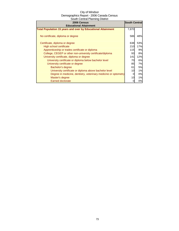| 2006 Census                                                         | <b>South Central</b> |     |
|---------------------------------------------------------------------|----------------------|-----|
| <b>Educational Attainment</b>                                       |                      |     |
| <b>Total Population 15 years and over by Educational Attainment</b> | 7,870                |     |
| No certificate, diploma or degree                                   | 586                  | 48% |
| Certificate, diploma or degree                                      | 638                  | 53% |
| High school certificate                                             | 210                  | 17% |
| Apprenticeship or trades certificate or diploma                     | 115                  | 9%  |
| College, CEGEP or other non-university certificate/diploma          | 93                   | 8%  |
| University certificate, diploma or degree                           | 141                  | 12% |
| University certificate or diploma below bachelor level              | 70                   | 6%  |
| University certificate or degree                                    | 85                   | 7%  |
| Bachelor's degree                                                   | 61                   | 5%  |
| University certificate or diploma above bachelor level              | 10                   | 1%  |
| Degree in medicine, dentistry, veterinary medicine or optometry     | 0                    | 0%  |
| Master's degree                                                     | 10                   | 1%  |
| Earned doctorate                                                    |                      | 0%  |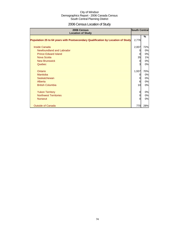# 2006 Census Location of Study

| 2006 Census<br><b>Location of Study</b>                                         | <b>South Central</b> |     |
|---------------------------------------------------------------------------------|----------------------|-----|
| Population 25 to 64 years with Postsecondary Qualification by Location of Study | 2,776                | %   |
| <b>Inside Canada</b>                                                            | 2,007                | 72% |
| Newfoundland and Labrador                                                       |                      | 0%  |
| <b>Prince Edward Island</b>                                                     | 0                    | 0%  |
| Nova Scotia                                                                     | 35                   | 1%  |
| <b>New Brunswick</b>                                                            | $\Omega$             | 0%  |
| Quebec                                                                          | 3                    | 0%  |
|                                                                                 |                      |     |
| Ontario                                                                         | 1,937                | 70% |
| Manitoba                                                                        |                      | 0%  |
| Saskatchewan                                                                    | 0                    | 0%  |
| Alberta                                                                         | 6                    | 0%  |
| <b>British Columbia</b>                                                         | 10                   | 0%  |
|                                                                                 |                      |     |
| <b>Yukon Territory</b>                                                          | 0                    | 0%  |
| <b>Northwest Territories</b>                                                    | 0                    | 0%  |
| <b>Nunavut</b>                                                                  | $\Omega$             | 0%  |
| <b>Outside of Canada</b>                                                        | 770                  | 28% |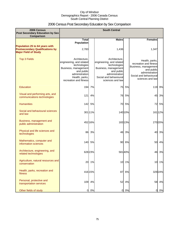# 2006 Census Post Secondary Education by Sex Comparison

| 2006 Census<br><b>Post Secondary Education by Sex</b>                    |                                                                                                                                                               |         | <b>South Central</b>                                                                                                                                            |         |                                                                                                                                                |         |
|--------------------------------------------------------------------------|---------------------------------------------------------------------------------------------------------------------------------------------------------------|---------|-----------------------------------------------------------------------------------------------------------------------------------------------------------------|---------|------------------------------------------------------------------------------------------------------------------------------------------------|---------|
| Comparison                                                               | <b>Total</b>                                                                                                                                                  |         | <b>Males</b>                                                                                                                                                    |         | <b>Females</b>                                                                                                                                 |         |
| Population 25 to 64 years with<br><b>Postsecondary Qualifications by</b> | <b>Population</b><br>2,783                                                                                                                                    |         | 1,436                                                                                                                                                           |         | 1,347                                                                                                                                          |         |
| <b>Major Field of Study</b>                                              |                                                                                                                                                               |         |                                                                                                                                                                 |         |                                                                                                                                                |         |
| <b>Top 3 Fields</b>                                                      | Architecture.<br>engineering, and related<br>technologies<br>Business, management<br>and public<br>administration<br>Health, parks,<br>recreation and fitness |         | Architecture.<br>engineering, and related<br>technologies<br>Business, management<br>and public<br>administration<br>Social and behavioural<br>sciences and law |         | Health, parks,<br>recreation and fitness<br>Business, management<br>and public<br>administration<br>Social and behavioural<br>sciences and law |         |
| Education                                                                | 194                                                                                                                                                           | 7%      | 75                                                                                                                                                              | 5%      | 119                                                                                                                                            | 9%      |
| Visual and performing arts, and<br>communications technologies           | $121$                                                                                                                                                         | 4%      | 76                                                                                                                                                              | 5%      | 45                                                                                                                                             | 3%      |
| <b>Humanities</b>                                                        |                                                                                                                                                               | 142 5%  | 70                                                                                                                                                              | 5%      | 72                                                                                                                                             | 5%      |
| Social and behavioural sciences<br>and law                               |                                                                                                                                                               | 301 11% |                                                                                                                                                                 | 140 10% |                                                                                                                                                | 161 12% |
| Business, management and<br>public administration                        |                                                                                                                                                               | 452 16% |                                                                                                                                                                 | 18313%  |                                                                                                                                                | 270 20% |
| Physical and life sciences and<br>technologies                           | 86                                                                                                                                                            | 3%      | 46                                                                                                                                                              | 3%      | 40                                                                                                                                             | 3%      |
| Mathematics, computer and<br>information sciences                        | 140                                                                                                                                                           | 5%      | 90                                                                                                                                                              | 6%      | 50                                                                                                                                             | 4%      |
| Architecture, engineering, and<br>related technologies                   |                                                                                                                                                               | 628 23% |                                                                                                                                                                 | 58140%  | 46                                                                                                                                             | 3%      |
| Agriculture, natural resources and<br>conservation                       | 20                                                                                                                                                            | 1%      | 10                                                                                                                                                              | 1%      | 10                                                                                                                                             | 1%      |
| Health, parks, recreation and<br>fitness                                 |                                                                                                                                                               | 416 15% | 87                                                                                                                                                              | 6%      |                                                                                                                                                | 329 24% |
| Personal, protective and<br>transportation services                      | 109                                                                                                                                                           | 4%      | 52                                                                                                                                                              | 4%      | 58                                                                                                                                             | 4%      |
| Other fields of study                                                    | 0                                                                                                                                                             | 0%      | $\overline{0}$                                                                                                                                                  | 0%      | 0                                                                                                                                              | 0%      |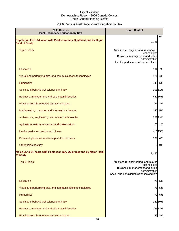# 2006 Census Post Secondary Education by Sex

| 2006 Census<br><b>Post Secondary Education by Sex</b>                                         | <b>South Central</b>                                                                                                                                   |  |
|-----------------------------------------------------------------------------------------------|--------------------------------------------------------------------------------------------------------------------------------------------------------|--|
| Population 25 to 64 years with Postsecondary Qualifications by Major<br><b>Field of Study</b> | %<br>2,783                                                                                                                                             |  |
| <b>Top 3 Fields</b>                                                                           | Architecture, engineering, and related<br>technologies<br>Business, management and public<br>administration<br>Health, parks, recreation and fitness   |  |
| <b>Education</b>                                                                              | 7%<br>194                                                                                                                                              |  |
| Visual and performing arts, and communications technologies                                   | 121<br>4%                                                                                                                                              |  |
| <b>Humanities</b>                                                                             | 142 5%                                                                                                                                                 |  |
| Social and behavioural sciences and law                                                       | 301 11%                                                                                                                                                |  |
| Business, management and public administration                                                | 452 16%                                                                                                                                                |  |
| Physical and life sciences and technologies                                                   | 86 3%                                                                                                                                                  |  |
| Mathematics, computer and information sciences                                                | 140 5%                                                                                                                                                 |  |
| Architecture, engineering, and related technologies                                           | 628 23%                                                                                                                                                |  |
| Agriculture, natural resources and conservation                                               | 20 1%                                                                                                                                                  |  |
| Health, parks, recreation and fitness                                                         | 41615%                                                                                                                                                 |  |
| Personal, protective and transportation services                                              | 109 4%                                                                                                                                                 |  |
| Other fields of study                                                                         | 0%<br>$\mathbf{0}$                                                                                                                                     |  |
| Males 25 to 64 Years with Postsecondary Qualifications by Major Field<br>of Study             | 1,436                                                                                                                                                  |  |
| <b>Top 3 Fields</b>                                                                           | Architecture, engineering, and related<br>technologies<br>Business, management and public<br>administration<br>Social and behavioural sciences and law |  |
| Education                                                                                     | 5%<br>75                                                                                                                                               |  |
| Visual and performing arts, and communications technologies                                   | 76 5%                                                                                                                                                  |  |
| <b>Humanities</b>                                                                             | 70 5%                                                                                                                                                  |  |
| Social and behavioural sciences and law                                                       | 14010%                                                                                                                                                 |  |
| Business, management and public administration                                                | 18313%                                                                                                                                                 |  |
| Physical and life sciences and technologies                                                   | 46 3%                                                                                                                                                  |  |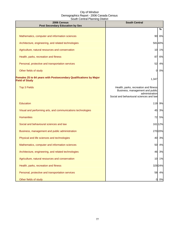| 2006 Census<br><b>Post Secondary Education by Sex</b>                                      | <b>South Central</b>                                                                                                                  |
|--------------------------------------------------------------------------------------------|---------------------------------------------------------------------------------------------------------------------------------------|
|                                                                                            | %                                                                                                                                     |
| Mathematics, computer and information sciences                                             | 90<br>6%                                                                                                                              |
| Architecture, engineering, and related technologies                                        | 58140%                                                                                                                                |
| Agriculture, natural resources and conservation                                            | 1%<br>10                                                                                                                              |
| Health, parks, recreation and fitness                                                      | 6%<br>87                                                                                                                              |
| Personal, protective and transportation services                                           | 52<br>4%                                                                                                                              |
| Other fields of study                                                                      | 0%<br>0                                                                                                                               |
| Females 25 to 64 years with Postsecondary Qualifications by Major<br><b>Field of Study</b> | 1,347                                                                                                                                 |
| <b>Top 3 Fields</b>                                                                        | Health, parks, recreation and fitness<br>Business, management and public<br>administration<br>Social and behavioural sciences and law |
| Education                                                                                  | 119<br>9%                                                                                                                             |
| Visual and performing arts, and communications technologies                                | 45<br>3%                                                                                                                              |
| <b>Humanities</b>                                                                          | 72<br>5%                                                                                                                              |
| Social and behavioural sciences and law                                                    | 161 12%                                                                                                                               |
| Business, management and public administration                                             | 27020%                                                                                                                                |
| Physical and life sciences and technologies                                                | 40 3%                                                                                                                                 |
| Mathematics, computer and information sciences                                             | 50 4%                                                                                                                                 |
| Architecture, engineering, and related technologies                                        | 3%<br>46                                                                                                                              |
| Agriculture, natural resources and conservation                                            | 1%<br>10                                                                                                                              |
| Health, parks, recreation and fitness                                                      | 329 24%                                                                                                                               |
| Personal, protective and transportation services                                           | 4%<br>58                                                                                                                              |
| Other fields of study                                                                      | 0%<br>0                                                                                                                               |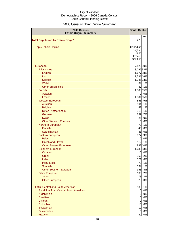# 2006 Census Ethnic Origin - Summary

| 2006 Census<br><b>Ethnic Origin - Summary</b> | <b>South Central</b> |         |
|-----------------------------------------------|----------------------|---------|
|                                               |                      | %       |
| <b>Total Population by Ethnic Origin*</b>     | 9,279                |         |
| <b>Top 5 Ethnic Origins</b>                   | Canadian             |         |
|                                               | English              |         |
|                                               | Irish                |         |
|                                               | French               |         |
|                                               | Scottish             |         |
| European                                      | 7,425 80%            |         |
| <b>British Isles</b>                          | 3,096 33%            |         |
| English                                       | 1,677 18%            |         |
| <b>Irish</b>                                  | 1,531 16%            |         |
| <b>Scottish</b>                               | 1,245 13%            |         |
| Welsh                                         | 89                   | 1%      |
| <b>Other British Isles</b>                    | 87                   | 1%      |
| French                                        | 1,388 15%            |         |
| Acadian                                       | 0                    | 0%      |
| French                                        | 1,381 15%            |         |
| <b>Western European</b>                       | 866                  | 9%      |
| <b>Austrian</b>                               | 104                  | 1%      |
| <b>Belgian</b>                                | 47                   | 1%      |
| Dutch (Netherlands)                           | 118                  | 1%      |
| German                                        | 632                  | 7%      |
| <b>Swiss</b>                                  | 25                   | 0%      |
| <b>Other Western European</b>                 | $\overline{0}$       | 0%      |
| Northern European                             | 79                   | 1%      |
| Finnish                                       | 43                   | 0%      |
| Scandinavian                                  | 38                   | 0%      |
| Eastern European                              | 827                  | 9%      |
| <b>Baltic</b>                                 | $\overline{0}$       | 0%      |
| <b>Czech and Slovak</b>                       | 112                  | 1%      |
| <b>Other Eastern European</b>                 |                      | 887 10% |
| Southern European                             | 1,230 13%            |         |
| Croatian                                      | 10                   | 0%      |
| Greek                                         | 152                  | 2%      |
| Italian                                       | 571                  | 6%      |
| Portuguese                                    | 78                   | 1%      |
| Spanish                                       | 139                  | 1%      |
| <b>Other Southern European</b>                | 355                  | 4%      |
| <b>Other European</b>                         | 188                  | 2%      |
| <b>Jewish</b>                                 | 173                  | 2%      |
| <b>Other European</b>                         | 23                   | 0%      |
| Latin, Central and South American             | 139                  | 1%      |
| Aboriginal from Central/South American        | $\mathbf 0$          | 0%      |
| Argentinian                                   | $\mathbf 0$          | 0%      |
| <b>Brazilian</b>                              | $\overline{0}$       | 0%      |
| Chilean                                       | $\overline{0}$       | 0%      |
| Colombian                                     | 10                   | 0%      |
| Ecuadorian                                    | 10                   | 0%      |
| Guatemalan                                    | $\overline{0}$       | 0%      |
| Mexican                                       | 40                   | 0%      |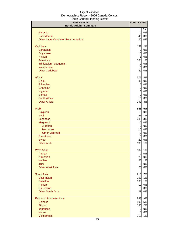| 2006 Census<br><b>Ethnic Origin - Summary</b> | <b>South Central</b>    |    |
|-----------------------------------------------|-------------------------|----|
|                                               |                         | %  |
| Peruvian                                      | $\overline{0}$          | 0% |
| Salvadorean                                   | 40                      | 0% |
| Other Latin, Central or South American        | 20                      | 0% |
| Caribbean                                     | 157                     | 2% |
| <b>Barbadian</b>                              | $\overline{0}$          | 0% |
| Guyanese                                      | 10                      | 0% |
| <b>Haitian</b>                                | $\overline{\mathbf{3}}$ | 0% |
| Jamaican                                      | 108                     | 1% |
| Trinidadian/Tobagonian                        | $\overline{0}$          | 0% |
| <b>West Indian</b>                            | $\overline{0}$          | 0% |
| <b>Other Caribbean</b>                        | 30                      | 0% |
| African                                       | 376                     | 4% |
| <b>Black</b>                                  | 35                      | 0% |
| Ethiopian                                     | $6 \mid$                | 0% |
| Ghanaian                                      | $\overline{0}$          | 0% |
| Nigerian                                      | $\overline{0}$          | 0% |
| Somali                                        | $\overline{0}$          | 0% |
| South African                                 | 10                      | 0% |
| <b>Other African</b>                          | 292                     | 3% |
| Arab                                          | 525                     | 6% |
| Egyptian                                      | 0                       | 0% |
| Iraqi                                         | 53                      | 1% |
| Lebanese                                      | 289                     | 3% |
| Maghrebi                                      | 15                      | 0% |
| Algerian                                      | $\overline{0}$          | 0% |
| Moroccan                                      | 15                      | 0% |
| <b>Other Maghrebi</b>                         | $\overline{0}$          | 0% |
| Palestinian                                   | $\overline{0}$          | 0% |
| Syrian                                        | 20                      | 0% |
| <b>Other Arab</b>                             | 136                     | 1% |
| <b>West Asian</b>                             | 132                     | 1% |
| Afghan                                        | $\overline{0}$          | 0% |
| Armenian                                      | 25                      | 0% |
| <b>Iranian</b>                                | 65                      | 1% |
| <b>Turk</b>                                   | $5\overline{)}$         | 0% |
| <b>Other West Asian</b>                       | 25                      | 0% |
| <b>South Asian</b>                            | 216                     | 2% |
| East Indian                                   | 102                     | 1% |
| Pakistani                                     | 106                     | 1% |
| Punjabi                                       | 10                      | 0% |
| Sri Lankan                                    | $\overline{0}$          | 0% |
| <b>Other South Asian</b>                      | 23                      | 0% |
| <b>East and Southeast Asian</b>               | 848                     | 9% |
| <b>Chinese</b>                                | 502                     | 5% |
| Filipino                                      | 180                     | 2% |
| Japanese                                      | $\overline{0}$          | 0% |
| <b>Korean</b>                                 | $\overline{3}$          | 0% |
| Vietnamese                                    | 119                     | 1% |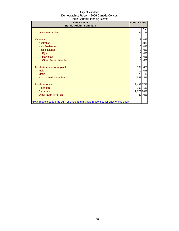| 2006 Census<br><b>Ethnic Origin - Summary</b>                                        | <b>South Central</b> |         |
|--------------------------------------------------------------------------------------|----------------------|---------|
| <b>Other East Asian</b>                                                              | 49                   | %<br>1% |
| Oceania                                                                              | 13                   | 0%      |
| Australian                                                                           | 0                    | 0%      |
| <b>New Zealander</b>                                                                 | 0                    | 0%      |
| <b>Pacific Islands</b>                                                               | 0                    | 0%      |
| Fijian                                                                               | 0                    | 0%      |
| Hawaiian                                                                             | 0                    | 0%      |
| <b>Other Pacific Islander</b>                                                        | 0                    | 0%      |
| North American Aboriginal                                                            | 389                  | 4%      |
| Inuit                                                                                | 10                   | 0%      |
| <b>Métis</b>                                                                         | 75                   | 1%      |
| North American Indian                                                                | 348                  | 4%      |
| <b>North American</b>                                                                | 2,488 27%            |         |
| American                                                                             | 103                  | 1%      |
| Canadian                                                                             | 2,378 26%            |         |
| <b>Other North American</b>                                                          | 30                   | 0%      |
| *Total responses are the sum of single and multiple responses for each ethnic origin |                      |         |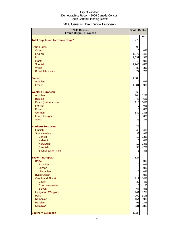# 2006 Census Ethnic Origin - European

| 2006 Census<br><b>Ethnic Origin - European</b> |                | <b>South Central</b> |
|------------------------------------------------|----------------|----------------------|
| <b>Total Population by Ethnic Origin*</b>      | 9,279          | %                    |
| <b>British Isles</b>                           | 3,096          |                      |
| Cornish                                        | $\overline{0}$ | 0%                   |
| English                                        | 1,677          | 54%                  |
| Irish                                          | 1,531          | 49%                  |
| <b>Manx</b>                                    | 10             | 0%                   |
| <b>Scottish</b>                                | 1,245          | 40%                  |
| Welsh                                          | 89             | 3%                   |
| British Isles, n.i.e.                          | 77             | 2%                   |
| <b>French</b>                                  | 1,388          |                      |
| Acadian                                        | 0              | 0%                   |
| French                                         | 1,381          | 99%                  |
| <b>Western European</b>                        | 866            |                      |
| Austrian                                       | 104            | 12%                  |
| <b>Belgian</b>                                 | 47             | 5%                   |
| Dutch (Netherlands)                            | 118            | 14%                  |
| Flemish                                        | $\overline{0}$ | 0%                   |
| Frisian                                        | 0              | 0%                   |
| German                                         | 632            | 73%                  |
| Luxembourger                                   | $\overline{0}$ | 0%                   |
| <b>Swiss</b>                                   | 25             | 3%                   |
| <b>Northern European</b>                       | 79             |                      |
| <b>Finnish</b>                                 | 43             | 54%                  |
| Scandinavian                                   | 38             | 48%                  |
| <b>Danish</b>                                  | 10             | 13%                  |
| Icelandic                                      | $\overline{0}$ | 0%                   |
| Norwegian                                      | 10             | 13%                  |
| Swedish                                        | 33             | 42%                  |
| Scandinavian, n.i.e.                           | 3              | 3%                   |
| <b>Eastern European</b>                        | 827            |                      |
| <b>Baltic</b>                                  | $\overline{0}$ | 0%                   |
| Estonian                                       | $\overline{0}$ | 0%                   |
| Latvian                                        | $\overline{O}$ | 0%                   |
| Lithuanian                                     | $\overline{O}$ | 0%                   |
| <b>Byelorussian</b>                            | 0              | 0%                   |
| <b>Czech and Slovak</b>                        | 112            | 14%                  |
| <b>Czech</b>                                   | 30             | 4%                   |
| Czechoslovakian                                | 10             | 1%                   |
| <b>Slovak</b>                                  | 67             | 8%                   |
| Hungarian (Magyar)                             | 144            | 17%                  |
| Polish                                         | 260            | 31%                  |
| Romanian                                       | 154            | 19%                  |
| Russian<br><b>Ukrainian</b>                    | 98<br>231      | 12%<br>28%           |
|                                                |                |                      |
| <b>Southern European</b>                       | 1,230          |                      |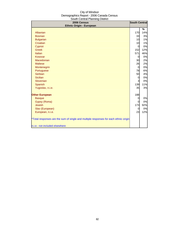| oodul ochtuar Flahling District<br>2006 Census                                       |                | <b>South Central</b> |
|--------------------------------------------------------------------------------------|----------------|----------------------|
| <b>Ethnic Origin - European</b>                                                      |                |                      |
|                                                                                      |                | %                    |
| Albanian                                                                             | <b>170</b>     | 14%                  |
| <b>Bosnian</b>                                                                       | 33             | 3%                   |
| <b>Bulgarian</b>                                                                     | 10             | 1%                   |
| Croatian                                                                             | 10             | 1%                   |
| Cypriot                                                                              | $\overline{0}$ | 0%                   |
| <b>Greek</b>                                                                         | 152            | 12%                  |
| Italian                                                                              | 571            | 46%                  |
| Kosovar                                                                              | $\overline{0}$ | 0%                   |
| Macedonian                                                                           | 30             | 2%                   |
| <b>Maltese</b>                                                                       | 26             | 2%                   |
| Montenegrin                                                                          | $\overline{0}$ | 0%                   |
| Portuguese                                                                           | 78             | 6%                   |
| Serbian                                                                              | 50             | 4%                   |
| <b>Sicilian</b>                                                                      | $\overline{0}$ | 0%                   |
| Slovenian                                                                            | 3              | 0%                   |
| Spanish                                                                              | 139            | 11%                  |
| Yugoslav, n.i.e.                                                                     | 35             | 3%                   |
| <b>Other European</b>                                                                | 188            |                      |
| <b>Basque</b>                                                                        | $\overline{0}$ | 0%                   |
| Gypsy (Roma)                                                                         | 0              | 0%                   |
| <b>Jewish</b>                                                                        | 173            | 92%                  |
| Slav (European)                                                                      | $\Omega$       | 0%                   |
| European, n.i.e.                                                                     | 23             | 12%                  |
| *Total responses are the sum of single and multiple responses for each ethnic origin |                |                      |
| n.i.e.: not included elsewhere                                                       |                |                      |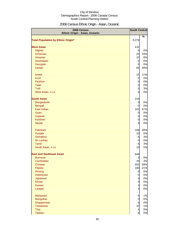# 2006 Census Ethnic Origin - Asian, Oceanic

| 2006 Census<br>Ethnic Origin - Asian, Oceanic |                 | <b>South Central</b> |
|-----------------------------------------------|-----------------|----------------------|
|                                               |                 | $\%$                 |
| <b>Total Population by Ethnic Origin*</b>     | 9,279           |                      |
| <b>West Asian</b>                             | 132             |                      |
| Afghan                                        | $\overline{0}$  | 0%                   |
| Armenian                                      | 25              | 19%                  |
| Assyrian                                      | 10              | 8%                   |
| Azerbaijani                                   | $\overline{0}$  | 0%                   |
| Georgian                                      | $\overline{O}$  | 0%                   |
| Iranian                                       | 65              | 49%                  |
| <b>Israeli</b>                                | 15              | 11%                  |
| <b>Kurd</b>                                   | $\mathbf 0$     | 0%                   |
| Pashtun                                       | $\overline{0}$  | 0%                   |
| <b>Tatar</b>                                  | $\overline{0}$  | 0%                   |
| <b>Turk</b>                                   | $5\overline{a}$ | 3%                   |
| West Asian, n.i.e.                            | $\mathbf 0$     | 0%                   |
| <b>South Asian</b>                            | 216             |                      |
| Bangladeshi                                   | $\overline{0}$  | 0%                   |
| Bengali                                       | $\overline{0}$  | 0%                   |
| East Indian                                   | 102             | 47%                  |
| Goan                                          | $\mathbf 0$     | 0%                   |
| Gujarati                                      | $\overline{0}$  | 0%                   |
| Kashmiri                                      | $\mathbf 0$     | 0%                   |
| Nepali                                        | $\overline{0}$  | 0%                   |
| Pakistani                                     | 106             | 49%                  |
| Punjabi                                       | 10              | 5%                   |
| <b>Sinhalese</b>                              | 6               | 3%                   |
| Sri Lankan                                    | $\mathbf 0$     | 0%                   |
| Tamil                                         | $6\phantom{.}6$ | 3%                   |
| South Asian, n.i.e.                           | 10              | 5%                   |
| <b>East and Southeast Asian</b>               | 848             |                      |
| <b>Burmese</b>                                | $\overline{0}$  | 0%                   |
| Cambodian                                     | 25              | 3%                   |
| <b>Chinese</b>                                | 502             | 59%                  |
| Filipino                                      | 180             | 21%                  |
| Hmong                                         | $\overline{O}$  | 0%                   |
| Indonesian                                    | $\overline{O}$  | 0%                   |
| Japanese                                      | $\overline{O}$  | 0%                   |
| <b>Khmer</b>                                  | $\mathbf 0$     | 0%                   |
| Korean                                        | $\overline{3}$  | 0%                   |
| Laotian                                       | $\overline{4}$  | 0%                   |
| Malaysian                                     | 6               | 1%                   |
| Mongolian                                     | $\mathbf 0$     | 0%                   |
| Singaporean                                   | $\mathbf 0$     | 0%                   |
| <b>Taiwanese</b>                              | 10              | 1%                   |
| Thai                                          | $\overline{4}$  | 0%                   |
| Tibetan                                       | $\mathbf 0$     | 0%                   |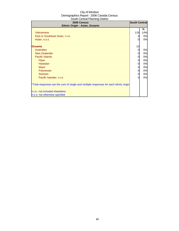| 2006 Census<br>Ethnic Origin - Asian, Oceanic                                        | <b>South Central</b> |     |
|--------------------------------------------------------------------------------------|----------------------|-----|
|                                                                                      |                      | ℅   |
| <b>Vietnamese</b>                                                                    | 119                  | 14% |
| East or Southeast Asian, n.i.e.                                                      | 0                    | 0%  |
| Asian, n.o.s.                                                                        | 0                    | 0%  |
|                                                                                      |                      |     |
| <b>Oceania</b>                                                                       | 13                   |     |
| Australian                                                                           | 0                    | 0%  |
| New Zealander                                                                        | 0                    | 0%  |
| <b>Pacific Islands</b>                                                               | 0                    | 0%  |
| Fijian                                                                               | 0                    | 0%  |
| <b>Hawaiian</b>                                                                      | 0                    | 0%  |
| Maori                                                                                | 0                    | 0%  |
| Polynesian                                                                           | 0                    | 0%  |
| Samoan                                                                               | 0                    | 0%  |
| Pacific Islander, n.i.e.                                                             |                      | 0%  |
|                                                                                      |                      |     |
| *Total responses are the sum of single and multiple responses for each ethnic origin |                      |     |
| n.i.e.: not included elsewhere                                                       |                      |     |
| n.o.s: not otherwise specfied                                                        |                      |     |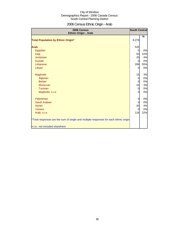# 2006 Census Ethnic Origin - Arab

| 2006 Census<br>Ethnic Origin - Arab                                                  | <b>South Central</b>             |          |
|--------------------------------------------------------------------------------------|----------------------------------|----------|
| <b>Total Population by Ethnic Origin*</b>                                            | 9,279                            | %        |
|                                                                                      |                                  |          |
| <b>Arab</b>                                                                          | 525                              |          |
| Egyptian                                                                             | $\Omega$                         | 0%       |
| Iraqi                                                                                | 53                               | 10%      |
| Jordanian                                                                            | 20                               | 4%       |
| Kuwaiti                                                                              | $\overline{0}$                   | 0%       |
| Lebanese                                                                             | 289                              | 55%      |
| Libyan                                                                               | $\Omega$                         | 0%       |
|                                                                                      |                                  |          |
| Maghrebi                                                                             | 15                               | 3%       |
| Algerian<br><b>Berber</b>                                                            | $\overline{0}$<br>$\overline{0}$ | 0%<br>0% |
| Moroccan                                                                             | 15                               | 3%       |
| Tunisian                                                                             | $\overline{0}$                   | 0%       |
| Maghrebi, n.i.e.                                                                     | $\overline{0}$                   | 0%       |
|                                                                                      |                                  |          |
| Palestinian                                                                          | $\overline{0}$                   | 0%       |
| Saudi Arabian                                                                        | $\overline{0}$                   | 0%       |
| <b>Syrian</b>                                                                        | 20                               | 4%       |
| Yemeni                                                                               | 0                                | 0%       |
| Arab, n.i.e.                                                                         | 116                              | 22%      |
| *Total responses are the sum of single and multiple responses for each ethnic origin |                                  |          |
| n.i.e.: not included elsewhere                                                       |                                  |          |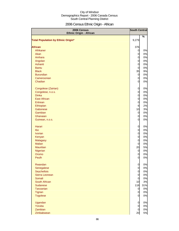# 2006 Census Ethnic Origin - African

| 2006 Census<br><b>Ethnic Origin - African</b> | <b>South Central</b>             |           |
|-----------------------------------------------|----------------------------------|-----------|
|                                               |                                  | %         |
| Total Population by Ethnic Origin*            | 9,279                            |           |
| <b>African</b>                                | 376                              |           |
| Afrikaner                                     | $\overline{0}$                   | 0%        |
| Akan                                          | $\overline{0}$                   | 0%        |
| Amhara                                        | $\overline{0}$                   | 0%        |
| Angolan                                       | $\overline{0}$                   | 0%        |
| Ashanti                                       | $\overline{0}$                   | 0%        |
| <b>Bantu</b>                                  | $\overline{0}$                   | 0%        |
| <b>Black</b>                                  | 35                               | 9%        |
| <b>Burundian</b>                              | $\mathbf 0$                      | 0%        |
| Cameroonian                                   | $\overline{0}$                   | 0%        |
| Chadian                                       | $\overline{0}$                   | 0%        |
|                                               |                                  |           |
| Congolese (Zairian)                           | $\mathbf 0$                      | 0%        |
| Congolese, n.o.s.                             | $\mathbf 0$                      | 0%        |
| <b>Dinka</b>                                  | $\overline{O}$                   | 0%        |
| <b>East African</b>                           | $\mathbf 0$                      | 0%        |
| Eritrean                                      | $\mathbf 0$                      | 0%        |
| Ethiopian                                     | $6\phantom{.0}$                  | 2%        |
| Gabonese                                      | 10                               | 3%        |
| Gambian                                       | $\overline{O}$                   | 0%        |
| Ghanaian                                      | $\mathbf 0$                      | 0%        |
| Guinean, n.o.s.                               | $\overline{0}$                   | 0%        |
|                                               |                                  |           |
| Harari                                        | $\overline{0}$                   | 0%        |
| Ibo                                           | $\mathbf 0$                      | 0%        |
| <b>Ivorian</b>                                | $\mathbf 0$                      | 0%        |
| Kenyan                                        | $\mathbf 0$                      | 0%        |
| Malagasy                                      | $\mathbf 0$                      | 0%        |
| <b>Malian</b>                                 | $\mathbf 0$                      | 0%        |
| <b>Mauritian</b>                              | 20                               | 5%        |
| Nigerian                                      | $\overline{0}$                   | 0%        |
| Oromo                                         | $\overline{0}$                   | 0%        |
| Peulh                                         | $\overline{0}$                   | 0%        |
| Rwandan                                       |                                  | 0%        |
| Senegalese                                    | $\mathbf 0$<br>$\overline{0}$    | 0%        |
| Seychellois                                   | $\overline{0}$                   | 0%        |
|                                               | $\overline{O}$                   |           |
| Sierra Leonean<br>Somali                      | $\overline{0}$                   | 0%<br>0%  |
| South African                                 |                                  |           |
| <b>Sudanese</b>                               | 10<br>118                        | 3%<br>31% |
| Tanzanian                                     |                                  | 0%        |
|                                               | $\overline{0}$<br>$\overline{0}$ | 0%        |
| <b>Tigrian</b><br><b>Togolese</b>             | $\overline{0}$                   | 0%        |
|                                               |                                  |           |
| Ugandan                                       | $\overline{0}$                   | 0%        |
| Yoruba                                        | $\mathbf 0$                      | 0%        |
| Zambian                                       | $\overline{0}$                   | 0%        |
| Zimbabwean                                    | 20                               | 5%        |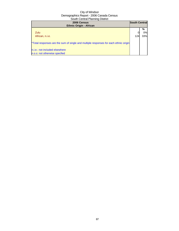| 2006 Census<br><b>Ethnic Origin - African</b>                                        | <b>South Central</b> |     |
|--------------------------------------------------------------------------------------|----------------------|-----|
|                                                                                      |                      | %   |
| Zulu                                                                                 |                      | 0%  |
| African, n.i.e.                                                                      | 124                  | 33% |
| *Total responses are the sum of single and multiple responses for each ethnic origin |                      |     |
| n.i.e.: not included elsewhere                                                       |                      |     |
| n.o.s: not otherwise specfied                                                        |                      |     |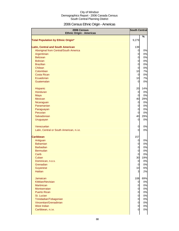# 2006 Census Ethnic Origin - Americas

| 2006 Census<br><b>Ethnic Origin - Americas</b> | <b>South Central</b> |     |
|------------------------------------------------|----------------------|-----|
|                                                |                      | %   |
| <b>Total Population by Ethnic Origin*</b>      | 9,279                |     |
| <b>Latin, Central and South American</b>       | 139                  |     |
| Aboriginal from Central/South America          | $\overline{0}$       | 0%  |
| Argentinian                                    | $\overline{O}$       | 0%  |
| <b>Belizean</b>                                | $\overline{0}$       | 0%  |
| <b>Bolivian</b>                                | $\overline{0}$       | 0%  |
| <b>Brazilian</b>                               | $\overline{0}$       | 0%  |
| Chilean                                        | $\mathbf 0$          | 0%  |
| Colombian                                      | 10                   | 7%  |
| <b>Costa Rican</b>                             | $\overline{0}$       | 0%  |
| Ecuadorian                                     | 10                   | 7%  |
| Guatemalan                                     | $\overline{0}$       | 0%  |
|                                                |                      |     |
| Hispanic                                       | 20                   | 14% |
| <b>Honduran</b>                                | $\overline{0}$       | 0%  |
| Maya                                           | $\mathbf 0$          | 0%  |
| <b>Mexican</b>                                 | 40                   | 29% |
| Nicaraguan                                     | $\overline{O}$       | 0%  |
| Panamanian                                     | $\mathbf 0$          | 0%  |
| Paraguayan                                     | $\mathbf 0$          | 0%  |
| Peruvian                                       | $\mathbf 0$          | 0%  |
| Salvadorean                                    | 40                   | 29% |
| Uruguayan                                      | $\mathbf 0$          | 0%  |
| Venezuelan                                     | $\mathbf 0$          | 0%  |
| Latin, Central or South American, n.i.e.       | 0                    | 0%  |
|                                                |                      |     |
| <b>Caribbean</b>                               | 157                  |     |
| Antiguan                                       | $\overline{0}$       | 0%  |
| <b>Bahamian</b>                                | $\mathbf 0$          | 0%  |
| <b>Barbadian</b>                               | $\mathbf 0$          | 0%  |
| <b>Bermudan</b>                                | $\mathbf 0$          | 0%  |
| Carib                                          | $\mathbf 0$          | 0%  |
| Cuban                                          | 30                   | 19% |
| Dominican, n.o.s.                              | $\overline{O}$       | 0%  |
| Grenadian                                      | $\mathbf 0$          | 0%  |
| Guyanese                                       | 10                   | 6%  |
| <b>Haitian</b>                                 | 3                    | 2%  |
| Jamaican                                       | 108                  | 69% |
| Kittitian/Nevisian                             | $\overline{0}$       | 0%  |
| <b>Martinican</b>                              | $\overline{O}$       | 0%  |
| Montserratan                                   | $\overline{O}$       | 0%  |
| <b>Puerto Rican</b>                            | $\overline{O}$       | 0%  |
| St. Lucian                                     | $\overline{0}$       | 0%  |
| Trinidadian/Tobagonian                         | $\overline{0}$       | 0%  |
| Vincentian/Grenadinian                         | $\overline{0}$       | 0%  |
| West Indian                                    | $\mathbf 0$          | 0%  |
| Caribbean, n.i.e.                              | 0                    | 0%  |
|                                                |                      |     |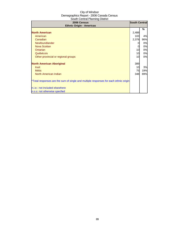| 2006 Census<br><b>Ethnic Origin - Americas</b>                                       | <b>South Central</b> |     |
|--------------------------------------------------------------------------------------|----------------------|-----|
|                                                                                      |                      | %   |
| <b>North American</b>                                                                | 2,488                |     |
| American                                                                             | 103                  | 4%  |
| Canadian                                                                             | 2,378                | 96% |
| Newfoundlander                                                                       |                      | 0%  |
| <b>Nova Scotian</b>                                                                  | 0                    | 0%  |
| Ontarian                                                                             | 10                   | 0%  |
| Québécois                                                                            | 10                   | 0%  |
| Other provincial or regional groups                                                  | 10                   | 0%  |
| <b>North American Aboriginal</b>                                                     | 389                  |     |
| <b>Inuit</b>                                                                         | 10                   | 3%  |
| <b>Métis</b>                                                                         | 75                   | 19% |
| North American Indian                                                                | 348                  | 89% |
| *Total responses are the sum of single and multiple responses for each ethnic origin |                      |     |
| n.i.e.: not included elsewhere                                                       |                      |     |
| n.o.s: not otherwise specfied                                                        |                      |     |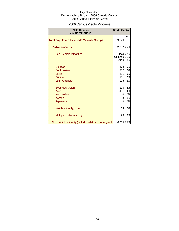### 2006 Census Visible Minorities

| 2006 Census<br><b>Visible Minorities</b>               | <b>South Central</b>     |          |
|--------------------------------------------------------|--------------------------|----------|
| <b>Total Population by Visible Minority Groups</b>     | 9,276                    | %        |
| <b>Visible minorities</b>                              | 2,297                    | 25%      |
| Top 3 visible minorities                               | Black 22%<br>Chinese 21% | Arab 18% |
| <b>Chinese</b>                                         | 479                      | 5%       |
| South Asian                                            | 207                      | 2%       |
| <b>Black</b>                                           | 501                      | 5%       |
| Filipino                                               | 181                      | 2%       |
| <b>Latin American</b>                                  | 228                      | 2%       |
| <b>Southeast Asian</b>                                 | 193                      | 2%       |
| Arab                                                   | 401                      | 4%       |
| <b>West Asian</b>                                      | 40                       | 0%       |
| Korean                                                 | 13                       | 0%       |
| Japanese                                               | 0                        | 0%       |
| Visible minority, n.i.e.                               | 13                       | 0%       |
| Multiple visible minority                              | 23                       | 0%       |
| Not a visible minority (includes white and aboriginal) | 6,965 75%                |          |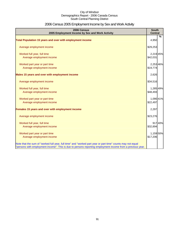# 2006 Census 2005 Employment Income by Sex and Work Activity

| 2006 Census<br>2005 Employment Income by Sex and Work Activity                                              | <b>South</b><br><b>Central</b> |               |
|-------------------------------------------------------------------------------------------------------------|--------------------------------|---------------|
|                                                                                                             |                                | $\frac{9}{6}$ |
| Total Population 15 years and over with employment income                                                   | 4,950                          |               |
| Average employment income                                                                                   | \$29,253                       |               |
| Worked full year, full time                                                                                 | 2,219 45%                      |               |
| Average employment income                                                                                   | \$42,031                       |               |
| Worked part year or part time                                                                               | 2,253 46%                      |               |
| Average employment income                                                                                   | \$19,774                       |               |
| Males 15 years and over with employment income                                                              | 2,626                          |               |
| Average employment income                                                                                   | \$34,516                       |               |
| Worked full year, full time                                                                                 | 1,285 49%                      |               |
| Average employment income                                                                                   | \$48,493                       |               |
| Worked part year or part time                                                                               | 1,090 41%                      |               |
| Average employment income                                                                                   | \$22,497                       |               |
| Females 15 years and over with employment income                                                            | 2,297                          |               |
| Average employment income                                                                                   | \$23,276                       |               |
| Worked full year, full time                                                                                 |                                | 917 40%       |
| Average employment income                                                                                   | \$32,894                       |               |
| Worked part year or part time                                                                               | 1,159 50%                      |               |
| Average employment income                                                                                   | \$17,206                       |               |
| Note that the sum of "worked full year, full time" and "worked part year or part time" counts may not equal |                                |               |
| "persons with employment income". This is due to persons reporting employment income from a previous year.  |                                |               |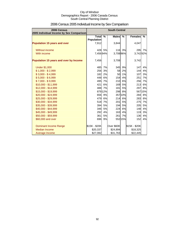| 2006 Census<br>2005 Individual Income by Sex Comparison | <b>South Central</b>         |         |              |               |                |         |
|---------------------------------------------------------|------------------------------|---------|--------------|---------------|----------------|---------|
|                                                         | Total %<br><b>Population</b> |         | <b>Males</b> | $\frac{9}{6}$ | <b>Females</b> | %       |
| <b>Population 15 years and over</b>                     | 7,912                        |         | 3,844        |               | 4,047          |         |
| Without income                                          |                              | 428 5%  |              | 116 3%        | 295            | 7%      |
| With income                                             | 7,456 94%                    |         | 3,708 96%    |               | 3,74292%       |         |
| Population 15 years and over by Income                  | 7,456                        |         | 3,708        |               | 3,742          |         |
| <b>Under \$1,000</b>                                    | 485                          | 7%      | 345          | 9%            | 147            | 4%      |
| $$1,000 - $2,999$                                       | 256                          | 3%      | 58           | 2%            | 144            | 4%      |
| $$3,000 - $4,999$                                       | 182                          | 2%      | 50           | 1%            | 107            | 3%      |
| $$5,000 - $6,999$                                       | 448                          | 6%      | 154          | 4%            | 251            | 7%      |
| $$7,000 - $9,999$                                       | 495                          | 7%      | 210          | 6%            | 256            | 7%      |
| \$10,000 - \$11,999                                     | 421                          | 6%      | 169          | 5%            | 213            | 6%      |
| \$12,000 - \$14,999                                     | 488                          | 7%      | <b>181</b>   | 5%            | 297            | 8%      |
| \$15,000 - \$19,999                                     |                              | 879 12% | 298          | 8%            |                | 567 15% |
| \$20,000 - \$24,999                                     | 656                          | 9%      |              | 357 10%       | 284            | 8%      |
| \$25,000 - \$29,999                                     | 479                          | 6%      | 214          | 6%            | 283            | 8%      |
| \$30,000 - \$34,999                                     | 518                          | 7%      | 201          | 5%            | 275            | 7%      |
| \$35,000 - \$39,999                                     | 394                          | 5%      | 194          | 5%            | 205            | 5%      |
| \$40,000 - \$44,999                                     | 346                          | 5%      | 224          | 6%            | 148            | 4%      |
| \$45,000 - \$49,999                                     | 292                          | 4%      | 163          | 4%            | 119            | 3%      |
| \$50,000 - \$59,999                                     | 361                          | 5%      | 261          | 7%            | 136            | 4%      |
| \$60,000 and over                                       | 696                          | 9%      |              | 552 15%       | 152            | 4%      |
| Dominant Income Range                                   | \$15K - \$20K                |         | Over \$60K   |               | \$15K - \$20K  |         |
| Median Income                                           | \$20,337                     |         | \$24,894     |               | \$18,325       |         |
| Average Income                                          | \$27,082                     |         | \$31,763     |               | \$22,445       |         |

# 2006 Census 2005 Individual Income by Sex Comparison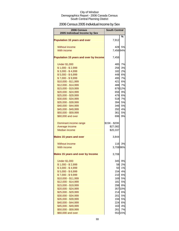# 2006 Census 2005 Individual Income by Sex

| 2006 Census<br>2005 Individual Income by Sex | <b>South Central</b> |              |
|----------------------------------------------|----------------------|--------------|
| <b>Population 15 years and over</b>          | 7,912                | %            |
| Without income                               | 428                  | 5%           |
| With income                                  | 7,456 94%            |              |
|                                              |                      |              |
| Population 15 years and over by Income       | 7,456                |              |
| <b>Under \$1,000</b>                         | 485                  | 7%           |
| $$1,000 - $2,999$                            | 256                  | 3%           |
| $$3,000 - $4,999$                            | 182                  | 2%           |
| $$5,000 - $6,999$                            | 448                  | 6%           |
| $$7,000 - $9,999$                            | 495                  | 7%           |
| \$10,000 - \$11,999                          | 421                  | 6%           |
| \$12,000 - \$14,999                          | 488                  | 7%           |
| \$15,000 - \$19,999                          | 656                  | 87912%<br>9% |
| \$20,000 - \$24,999<br>\$25,000 - \$29,999   | 479                  | 6%           |
| \$30,000 - \$34,999                          | 518                  | 7%           |
| \$35,000 - \$39,999                          | 394                  | 5%           |
| \$40,000 - \$44,999                          | 346                  | 5%           |
| \$45,000 - \$49,999                          | 292                  | 4%           |
| \$50,000 - \$59,999                          | 361                  | 5%           |
| \$60,000 and over                            | 696                  | 9%           |
|                                              |                      |              |
| Dominant income range                        | \$15K - \$20K        |              |
| Average income                               | \$27,082             |              |
| <b>Median income</b>                         | \$20,337             |              |
| <b>Males 15 years and over</b>               | 3,844                |              |
| Without income                               | 116                  | 3%           |
| With income                                  | 3,70896%             |              |
| <b>Males 15 years and over by Income</b>     | 3,708                |              |
| <b>Under \$1,000</b>                         | 345                  | 9%           |
| $$1,000 - $2,999$                            | 58                   | 2%           |
| $$3,000 - $4,999$                            | 50                   | 1%           |
| $$5,000 - $6,999$                            | 154                  | 4%           |
| $$7,000 - $9,999$                            | 210                  | 6%           |
| \$10,000 - \$11,999                          | 169                  | 5%           |
| \$12,000 - \$14,999                          | 181                  | 5%           |
| \$15,000 - \$19,999                          | 298                  | 8%           |
| \$20,000 - \$24,999                          |                      | 35710%       |
| \$25,000 - \$29,999                          | 214                  | 6%           |
| \$30,000 - \$34,999                          | 201                  | 5%           |
| \$35,000 - \$39,999                          | 194                  | 5%           |
| \$40,000 - \$44,999                          | 224                  | 6%           |
| \$45,000 - \$49,999                          | 163                  | 4%           |
| \$50,000 - \$59,999                          | 261                  | 7%           |
| \$60,000 and over                            |                      | 552 15%      |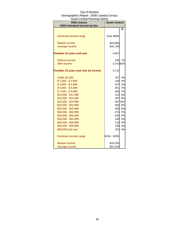| יוויטוש אָוויוויוויש וויטע                   |                      |          |  |
|----------------------------------------------|----------------------|----------|--|
| 2006 Census<br>2005 Individual Income by Sex | <b>South Central</b> |          |  |
|                                              |                      | %        |  |
|                                              |                      |          |  |
| Dominant income range                        | Over \$60K           |          |  |
|                                              |                      |          |  |
| <b>Median income</b>                         | \$24,894             |          |  |
| Average income                               | \$31,763             |          |  |
| <b>Females 15 years and over</b>             | 4,047                |          |  |
|                                              |                      |          |  |
| Without income                               | 295                  | 7%       |  |
| With income                                  | 3,74292%             |          |  |
|                                              |                      |          |  |
| Females 15 years and over by Income          | 3,742                |          |  |
|                                              |                      |          |  |
| <b>Under \$1,000</b>                         | 147                  | 4%<br>4% |  |
| $$1,000 - $2,999$<br>$$3,000 - $4,999$       | 144<br>107           | 3%       |  |
| $$5,000 - $6,999$                            | 251                  | 7%       |  |
| $$7,000 - $9,999$                            | 256                  | 7%       |  |
| \$10,000 - \$11,999                          | 213                  | 6%       |  |
| \$12,000 - \$14,999                          | 297                  | 8%       |  |
| \$15,000 - \$19,999                          |                      | 567 15%  |  |
| \$20,000 - \$24,999                          | 284                  | 8%       |  |
| \$25,000 - \$29,999                          | 283                  | 8%       |  |
| \$30,000 - \$34,999                          | 275                  | 7%       |  |
| \$35,000 - \$39,999                          | 205                  | 5%       |  |
| \$40,000 - \$44,999                          | 148                  | 4%       |  |
| \$45,000 - \$49,999                          | 119                  | 3%       |  |
| \$50,000 - \$59,999                          | 136                  | 4%       |  |
| \$60,000 and over                            | 152                  | 4%       |  |
| Dominant income range                        | \$15K - \$20K        |          |  |
|                                              |                      |          |  |
| Median income                                | \$18,325             |          |  |
| Average income                               | \$22,445             |          |  |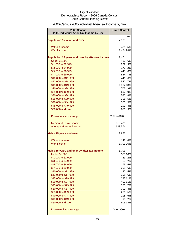# 2006 Census 2005 Individual After-Tax Income by Sex

| 2006 Census                                      | <b>South Central</b> |         |
|--------------------------------------------------|----------------------|---------|
| 2005 Individual After-Tax Income by Sex          |                      | %       |
| <b>Population 15 years and over</b>              | 7,909                |         |
| Without income                                   | 431                  | 5%      |
| With income                                      | 7,464 94%            |         |
| Population 15 years and over by after-tax income | 7,464                |         |
| <b>Under \$1,000</b>                             | 467                  | 6%      |
| \$1,000 to \$2,999                               | 222                  | 3%      |
| \$3,000 to \$4,999                               | 173                  | 2%      |
| \$5,000 to \$6,999                               | 443                  | 6%      |
| \$7,000 to \$9,999                               |                      | 534 7%  |
| \$10,000 to \$11,999                             | 441                  | 6%      |
| \$12,000 to \$14,999                             | 542                  | 7%      |
| \$15,000 to \$19,999                             | 1,002 13%            |         |
| \$20,000 to \$24,999                             | 703                  | 9%      |
| \$25,000 to \$29,999                             | 692                  | 9%      |
| \$30,000 to \$34,999                             | 580                  | 8%      |
| \$35,000 to \$39,999                             | 395                  | 5%      |
| \$40,000 to \$44,999                             | 350                  | 5%      |
| \$45,000 to \$49,999                             | 199                  | 3%      |
| \$50,000 and over                                | 671                  | 9%      |
| Dominant income range                            | \$15K to \$20K       |         |
| Median after-tax income                          | \$19,420             |         |
| Average after-tax income                         | \$23,574             |         |
| <b>Males 15 years and over</b>                   | 3,852                |         |
| Without income                                   | 148                  | 4%      |
| With income                                      | 3,70396%             |         |
| Males 15 years and over by after-tax income      | 3,703                |         |
| <b>Under \$1,000</b>                             |                      | 355 10% |
| \$1,000 to \$2,999                               | 89                   | 2%      |
| \$3,000 to \$4,999                               |                      | 60 2%   |
| \$5,000 to \$6,999                               |                      | 179 5%  |
| \$7,000 to \$9,999                               |                      | 205 6%  |
| \$10,000 to \$11,999                             |                      | 190 5%  |
| \$12,000 to \$14,999                             |                      | 208 6%  |
| \$15,000 to \$19,999                             |                      | 397 11% |
| \$20,000 to \$24,999                             |                      | 403 11% |
| \$25,000 to \$29,999                             | 273                  | 7%      |
| \$30,000 to \$34,999                             |                      | 302 8%  |
| \$35,000 to \$39,999                             | 201                  | 5%      |
| \$40,000 to \$44,999                             |                      | 215 6%  |
| \$45,000 to \$49,999                             | 91                   | 2%      |
| \$50,000 and over                                |                      | 505 14% |
| Dominant income range                            | Over \$50K           |         |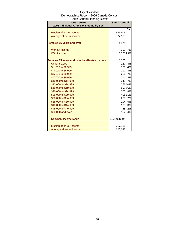| City of Windsor                          |
|------------------------------------------|
| Demographics Report - 2006 Canada Census |
| South Central Planning District          |

| 2006 Census<br>2005 Individual After-Tax Income by Sex | <b>South Central</b> |           |
|--------------------------------------------------------|----------------------|-----------|
|                                                        |                      | %         |
| Median after-tax income                                | \$21,906             |           |
| Average after-tax income                               | \$27,183             |           |
| <b>Females 15 years and over</b>                       | 4,071                |           |
| Without income                                         | 301                  | <b>7%</b> |
| With income                                            | 3,76693%             |           |
| Females 15 years and over by after-tax income          | 3,766                |           |
| <b>Under \$1,000</b>                                   | 127                  | 3%        |
| \$1,000 to \$2,999                                     | 160                  | 4%        |
| \$3,000 to \$4,999                                     | 117                  | 3%        |
| \$5,000 to \$6,999                                     | 256                  | 7%        |
| \$7,000 to \$9,999                                     | 311                  | 8%        |
| \$10,000 to \$11,999                                   |                      | 249 7%    |
| \$12,000 to \$14,999                                   |                      | 366 10%   |
| \$15,000 to \$19,999                                   |                      | 591 16%   |
| \$20,000 to \$24,999                                   |                      | 305 8%    |
| \$25,000 to \$29,999                                   |                      | 408 11%   |
| \$30,000 to \$34,999                                   | 270                  | 7%        |
| \$35,000 to \$39,999                                   |                      | 204 5%    |
| \$40,000 to \$44,999                                   | 100                  | 3%        |
| \$45,000 to \$49,999                                   | 58                   | 2%        |
| \$50,000 and over                                      | 152                  | 4%        |
| Dominant income range                                  | \$15K to \$20K       |           |
| Median after-tax income                                | \$17,118             |           |
| Average after-tax income                               | \$20,033             |           |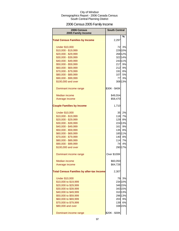# 2006 Census 2005 Family Income

| 2006 Census<br>2005 Family Income                | <b>South Central</b> |         |
|--------------------------------------------------|----------------------|---------|
|                                                  |                      | %       |
| <b>Total Census Families by Income</b>           | 2,297                |         |
| <b>Under \$10,000</b>                            | 72                   | 3%      |
| \$10,000 - \$19,999                              |                      | 229 10% |
| \$20,000 - \$29,999                              |                      | 268 12% |
| \$30,000 - \$39,999                              |                      | 322 14% |
| \$40,000 - \$49,999                              |                      | 24311%  |
| \$50,000 - \$59,999                              | 217                  | 9%      |
| \$60,000 - \$69,999                              | 212                  | 9%      |
| \$70,000 - \$79,999                              | 191                  | 8%      |
| \$80,000 - \$89,999                              | 107                  | 5%      |
| \$90,000 - \$99,999                              | 77                   | 3%      |
| \$100,000 and over                               |                      | 308 13% |
| Dominant income range                            | \$30K - \$40K        |         |
| <b>Median income</b>                             | \$49,554             |         |
| Average income                                   | \$58,470             |         |
|                                                  |                      |         |
| <b>Couple Families by Income</b>                 | 1,710                |         |
| <b>Under \$10,000</b>                            | 35                   | 2%      |
| \$10,000 - \$19,999                              | 118                  | 7%      |
| \$20,000 - \$29,999                              | 129                  | 8%      |
| \$30,000 - \$39,999                              |                      | 224 13% |
| \$40,000 - \$49,999                              | 161                  | 9%      |
| \$50,000 - \$59,999                              | 135                  | 8%      |
| \$60,000 - \$69,999                              |                      | 185 11% |
| \$70,000 - \$79,999                              | 140                  | 8%      |
| \$80,000 - \$89,999                              | 114                  | 7%      |
| \$90,000 - \$99,999                              | 74                   | 4%      |
| \$100,000 and over                               |                      | 29017%  |
| Dominant income range                            | <b>Over \$100K</b>   |         |
| Median income                                    | \$60,050             |         |
| Average income                                   | \$64,726             |         |
| <b>Total Census Families by after-tax Income</b> | 2,307                |         |
| <b>Under \$10,000</b>                            | 79                   | 3%      |
| \$10,000 to \$19,999                             |                      | 234 10% |
| \$20,000 to \$29,999                             |                      | 346 15% |
| \$30,000 to \$39,999                             |                      | 343 15% |
| \$40,000 to \$49,999                             |                      | 31013%  |
| \$50,000 to \$59,999                             |                      | 296 13% |
| \$60,000 to \$69,999                             | 203                  | 9%      |
| \$70,000 to \$79,999                             | 139                  | 6%      |
| \$80,000 and over                                |                      | 338 15% |
| Dominant income range                            | \$20K - \$30K        |         |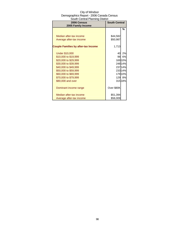| <b>OOUUTOCHUAH TAHIING DISUICL</b><br>2006 Census | <b>South Central</b> |         |
|---------------------------------------------------|----------------------|---------|
| 2005 Family Income                                |                      |         |
|                                                   |                      | %       |
|                                                   |                      |         |
| Median after-tax income                           | \$44,582             |         |
| Average after-tax income                          | \$50,987             |         |
| <b>Couple Families by after-tax Income</b>        | 1,713                |         |
| <b>Under \$10,000</b>                             | 40                   | 2%      |
| \$10,000 to \$19,999                              | 98                   | 6%      |
| \$20,000 to \$29,999                              |                      | 169 10% |
| \$30,000 to \$39,999                              |                      | 248 14% |
| \$40,000 to \$49,999                              |                      | 23714%  |
| \$50,000 to \$59,999                              |                      | 233 14% |
| \$60,000 to \$69,999                              |                      | 179 10% |
| \$70,000 to \$79,999                              | 129                  | 8%      |
| \$80,000 and over                                 |                      | 315 18% |
|                                                   |                      |         |
| Dominant income range                             | Over \$80K           |         |
| Median after-tax income                           | \$51,394             |         |
| Average after-tax income                          | \$56,009             |         |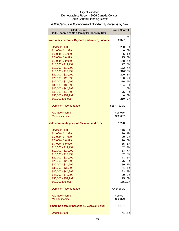# 2006 Census 2005 Income of Non-family Persons by Sex

| 2006 Census<br>2005 Income of Non-family Persons by Sex | <b>South Central</b> |         |
|---------------------------------------------------------|----------------------|---------|
| Non-family persons 15 years and over by Income          | 2,377                | %       |
| <b>Under \$1,000</b>                                    | 200                  | 8%      |
| $$1,000 - $2,999$                                       | 0l                   | 0%      |
| $$3,000 - $4,999$                                       | 35                   | 1%      |
| $$5,000 - $6,999$                                       | 75                   | 3%      |
| $$7,000 - $9,999$                                       | 168                  | 7%      |
| \$10,000 - \$11,999                                     | 127                  | 5%      |
| \$12,000 - \$14,999                                     | 172                  | 7%      |
| \$15,000 - \$19,999                                     |                      | 316 13% |
| \$20,000 - \$24,999                                     | 200                  | 8%      |
| \$25,000 - \$29,999                                     |                      | 160 7%  |
| \$30,000 - \$34,999                                     | 216                  | 9%      |
| \$35,000 - \$39,999                                     | 154                  | 6%      |
| \$40,000 - \$44,999                                     | 142                  | 6%      |
| \$45,000 - \$49,999                                     | 75                   | 3%      |
| \$50,000 - \$59,999                                     | 146                  | 6%      |
| \$60,000 and over                                       | 210                  | 9%      |
| Dominant income range                                   | \$15K - \$20K        |         |
| Average income                                          | \$28,075             |         |
| <b>Median income</b>                                    | \$22,637             |         |
| Male non-family persons 15 years and over               | 1,228                |         |
| <b>Under \$1,000</b>                                    | 116                  | 9%      |
| $$1,000 - $2,999$                                       | 10                   | 1%      |
| $$3,000 - $4,999$                                       | 20                   | 2%      |
| $$5,000 - $6,999$                                       | 70                   | 6%      |
| $$7,000 - $9,999$                                       | 65                   | 5%      |
| \$10,000 - \$11,999                                     | 82                   | 7%      |
| \$12,000 - \$14,999                                     | 83                   | 7%      |
| \$15,000 - \$19,999                                     | 102                  | 8%      |
| \$20,000 - \$24,999                                     | 73                   | 6%      |
| \$25,000 - \$29,999                                     | 75                   | 6%      |
| \$30,000 - \$34,999                                     | 80                   | 7%      |
| \$35,000 - \$39,999                                     | 51                   | 4%      |
| \$40,000 - \$44,999                                     | 93                   | 8%      |
| \$45,000 - \$49,999                                     | 20                   | 2%      |
| \$50,000 - \$59,999                                     | 75                   | 6%      |
| \$60,000 and over                                       |                      | 165 13% |
| Dominant income range                                   | Over \$60K           |         |
| Average income                                          | \$29,527             |         |
| <b>Median income</b>                                    | \$22,879             |         |
| Female non-family persons 15 years and over             | 1,157                |         |
| <b>Under \$1,000</b>                                    | 41                   | 4%      |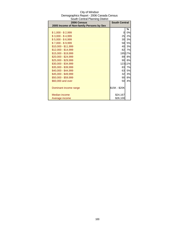| South Central Planning District          |                      |         |
|------------------------------------------|----------------------|---------|
| 2006 Census                              | <b>South Central</b> |         |
| 2005 Income of Non-family Persons by Sex |                      |         |
|                                          |                      | %       |
| $$1,000 - $2,999$                        | 0                    | 0%      |
| $$3,000 - $4,999$                        | 25                   | 2%      |
| $$5,000 - $6,999$                        | 30                   | 3%      |
| $$7,000 - $9,999$                        | 58                   | 5%      |
| \$10,000 - \$11,999                      | 40                   | 3%      |
| \$12,000 - \$14,999                      | 82                   | 7%      |
| \$15,000 - \$19,999                      |                      | 195 17% |
| \$20,000 - \$24,999                      | 89                   | 8%      |
| \$25,000 - \$29,999                      | 90                   | 8%      |
| \$30,000 - \$34,999                      |                      | 123 11% |
| \$35,000 - \$39,999                      | 83                   | 7%      |
| \$40,000 - \$44,999                      | 63                   | 5%      |
| \$45,000 - \$49,999                      | 32                   | 3%      |
| \$50,000 - \$59,999                      | 90                   | 8%      |
| \$60,000 and over                        | 50                   | 4%      |
|                                          |                      |         |
| Dominant income range                    | \$15K - \$20K        |         |
|                                          |                      |         |
| Median income                            | \$24,167             |         |
| Average income                           | \$26,100             |         |

# City of Windsor Demographics Report - 2006 Canada Census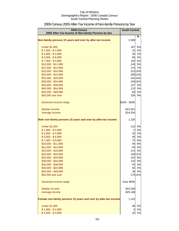| <b>2006 Census</b><br>2005 After-Tax Income of Non-family Persons by Sex | <b>South Central</b> |         |
|--------------------------------------------------------------------------|----------------------|---------|
|                                                                          |                      | $\%$    |
| Non-family persons 15 years and over by after-tax income                 | 2,388                |         |
| <b>Under \$1,000</b>                                                     | 187                  | 8%      |
| $$1,000 - $2,999$                                                        | 10                   | 0%      |
| $$3,000 - $4,999$                                                        | 40                   | 2%      |
| $$5,000 - $6,999$                                                        | 85                   | 4%      |
| $$7,000 - $9,999$                                                        | $133$                | 6%      |
| \$10,000 - \$11,999                                                      | 149                  | 6%      |
| \$12,000 - \$14,999                                                      | 175                  | 7%      |
| \$15,000 - \$19,999                                                      |                      | 313 13% |
| \$20,000 - \$24,999                                                      |                      | 280 12% |
| \$25,000 - \$29,999                                                      |                      | 241 10% |
| \$30,000 - \$34,999                                                      |                      | 229 10% |
| \$35,000 - \$39,999                                                      | 137                  | 6%      |
| \$40,000 - \$44,999                                                      | 115                  | 5%      |
| \$45,000 - \$49,999                                                      | 80                   | 3%      |
| \$50,000 and over                                                        | 226                  | 9%      |
| Dominant income range                                                    | \$15K - \$20K        |         |
| Median income                                                            | \$21,931             |         |
| Average income                                                           | \$24,354             |         |
|                                                                          |                      |         |
| Male non-family persons 15 years and over by after-tax income            | 1,235                |         |
| <b>Under \$1,000</b>                                                     | 115                  | 9%      |
| $$1,000 - $2,999$                                                        | $\overline{0}$       | 0%      |
| $$3,000 - $4,999$                                                        | 20                   | 2%      |
| $$5,000 - $6,999$                                                        | 40                   | 3%      |
| $$7,000 - $9,999$                                                        | 75                   | 6%      |
| \$10,000 - \$11,999                                                      | 94                   | 8%      |
| \$12,000 - \$14,999                                                      | 59                   | 5%      |
| \$15,000 - \$19,999                                                      | 114                  | 9%      |
| \$20,000 - \$24,999                                                      |                      | 140 11% |
| \$25,000 - \$29,999                                                      |                      | 103 8%  |
| \$30,000 - \$34,999                                                      | 110                  | 9%      |
| \$35,000 - \$39,999                                                      | 43                   | 3%      |
| \$40,000 - \$44,999                                                      | 50                   | 4%      |
| \$45,000 - \$49,999                                                      | 39                   | 3%      |
| \$50,000 and over                                                        |                      | 175 14% |
| Dominant income range                                                    | Over \$50K           |         |
| Median income                                                            | \$22,548             |         |
| Average income                                                           | \$25,188             |         |
| Female non-family persons 15 years and over by after-tax income          | 1,142                |         |
| <b>Under \$1,000</b>                                                     | 58                   | 5%      |
| $$1,000 - $2,999$                                                        | 0                    | 0%      |
| $$3,000 - $4,999$                                                        | 20                   | 2%      |

# 2006 Census 2005 After-Tax Income of Non-family Persons by Sex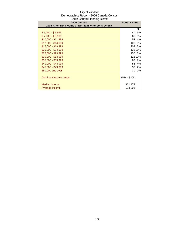| 2006 Census                                        | <b>South Central</b> |           |
|----------------------------------------------------|----------------------|-----------|
| 2005 After-Tax Income of Non-family Persons by Sex |                      |           |
|                                                    |                      | ℅         |
| $$5,000 - $6,999$                                  | 40                   | 3%        |
| $$7,000 - $9,999$                                  | 68                   | <b>5%</b> |
| \$10,000 - \$11,999                                | 53                   | 4%        |
| $$12,000 - $14,999$                                | 108                  | 9%        |
| \$15,000 - \$19,999                                |                      | 204 17%   |
| \$20,000 - \$24,999                                |                      | 138 11%   |
| \$25,000 - \$29,999                                |                      | 15713%    |
| \$30,000 - \$34,999                                |                      | 123 10%   |
| \$35,000 - \$39,999                                | 82                   | 7%        |
| \$40,000 - \$44,999                                | 55                   | 4%        |
| \$45,000 - \$49,999                                | 30                   | 2%        |
| \$50,000 and over                                  | 30                   | 2%        |
|                                                    |                      |           |
| Dominant income range                              | \$15K - \$20K        |           |
|                                                    |                      |           |
| Median income                                      | \$21,179             |           |
| Average income                                     | \$23,296             |           |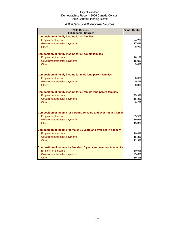### 2006 Census 2005 Income: Sources

| 2006 Census<br>2005 Income: Sources                                     | <b>South Central</b> |
|-------------------------------------------------------------------------|----------------------|
| <b>Composition of family income for all families</b>                    |                      |
| <b>Employment income</b>                                                | 74.2%                |
| Government transfer payments                                            | 17.0%                |
| Other                                                                   | 9.2%                 |
| <b>Composition of family income for all couple families</b>             |                      |
| <b>Employment income</b>                                                | 76.1%                |
| Government transfer payments                                            | 15.0%                |
| Other                                                                   | 9.4%                 |
| <b>Composition of family income for male lone-parent families</b>       |                      |
| <b>Employment income</b>                                                | 0.6%                 |
| Government transfer payments                                            | 0.2%                 |
| Other                                                                   | 0.0%                 |
| <b>Composition of family income for all female lone-parent families</b> |                      |
| <b>Employment income</b>                                                | 35.9%                |
| Government transfer payments                                            | 15.3%                |
| Other                                                                   | 6.2%                 |
| Composition of income for persons 15 years and over not in a family     |                      |
| <b>Employment income</b>                                                | 65.5%                |
| Government transfer payments                                            | 19.6%                |
| Other                                                                   | 15.3%                |
| Composition of income for males 15 years and over not in a family       |                      |
| <b>Employment income</b>                                                | 70.4%                |
| Government transfer payments                                            | 15.3%                |
| Other                                                                   | 12.3%                |
| Composition of income for females 15 years and over not in a family     |                      |
| <b>Employment income</b>                                                | 50.5%                |
| Government transfer payments                                            | 25.6%                |
| Other                                                                   | 19.3%                |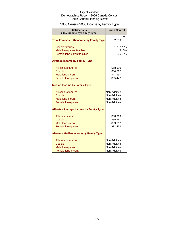# 2006 Census 2005 Income by Family Type

| 2006 Census<br>2005 Income by Family Type        | <b>South Central</b>         |         |
|--------------------------------------------------|------------------------------|---------|
| <b>Total Families with Income by Family Type</b> | 2,299                        | %       |
| <b>Couple families</b>                           | 1,73275%                     |         |
| Male lone-parent families                        | 5                            | 0%      |
| Female lone-parent families                      |                              | 296 13% |
| <b>Average Income by Family Type</b>             |                              |         |
| All census families                              | \$58,510                     |         |
| Couple                                           | \$64,667                     |         |
| Male lone-parent                                 | \$47,997                     |         |
| Female lone-parent                               | \$35,442                     |         |
| <b>Median Income by Family Type</b>              |                              |         |
| All census families                              | Non-Additive                 |         |
| Couple                                           | Non-Additive                 |         |
| Male lone-parent                                 | Non-Additive<br>Non-Additive |         |
| Female lone-parent                               |                              |         |
| <b>After-tax Average Income by Family Type</b>   |                              |         |
| All census families                              | \$50,969                     |         |
| Couple                                           | \$55,957                     |         |
| Male lone-parent                                 | \$39,612                     |         |
| Female lone-parent                               | \$32,432                     |         |
| <b>After-tax Median Income by Family Type</b>    |                              |         |
| All census families                              | Non-Additive                 |         |
| Couple                                           | Non-Additive                 |         |
| Male lone-parent                                 | Non-Additive                 |         |
| Female lone-parent                               | Non-Additive                 |         |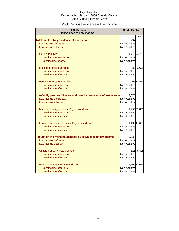### 2006 Census Prevalence of Low Income

| 2006 Census<br><b>Prevalence of Low Income</b>                   | <b>South Central</b> |             |
|------------------------------------------------------------------|----------------------|-------------|
|                                                                  |                      | %           |
| Total families by prevalence of low income                       | 2,297                |             |
| Low income before tax                                            | Non-Additive         |             |
| Low income after tax                                             | Non-Additive         |             |
|                                                                  |                      |             |
| <b>Couple families</b>                                           |                      | 1,715 74.7% |
| Low income before tax                                            | Non-Additive         |             |
| Low income after tax                                             | Non-Additive         |             |
|                                                                  |                      |             |
| Male lone-parent families                                        | 83                   | 3.6%        |
| Low income before tax                                            | Non-Additive         |             |
| Low income after tax                                             | Non-Additive         |             |
|                                                                  |                      |             |
| Female lone-parent families                                      |                      | 409 17.8%   |
| Low income before tax                                            | Non-Additive         |             |
| Low income after tax                                             | Non-Additive         |             |
|                                                                  |                      |             |
| Non-family persons 15 years and over by prevalence of low income | 2,375                |             |
| Low income before tax                                            | Non-Additive         |             |
| Low income after tax                                             | Non-Additive         |             |
| Male non-family persons 15 years and over                        |                      | 1,23051.8%  |
| Low income before tax                                            | Non-Additive         |             |
| Low income after tax                                             | Non-Additive         |             |
|                                                                  |                      |             |
| Female non-family persons 15 years and over                      |                      | 1,13047.6%  |
| Low income before tax                                            | Non-Additive         |             |
| Low income after tax                                             | Non-Additive         |             |
|                                                                  |                      |             |
| Population in private households by prevalence of low income     | 9,233                |             |
| Low income before tax                                            | Non-Additive         |             |
| Low income after tax                                             | Non-Additive         |             |
| Children under 6 years of age                                    | 625                  | 6.8%        |
| Low income before tax                                            | Non-Additive         |             |
| Low income after tax                                             | Non-Additive         |             |
|                                                                  |                      |             |
| Persons 65 years of age and over                                 |                      | 1,205 13.0% |
| Low income before tax                                            | Non-Additive         |             |
| Low income after tax                                             | Non-Additive         |             |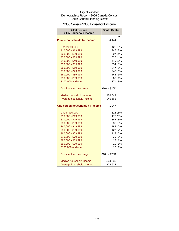### 2006 Census 2005 Household Income

| 2006 Census<br>2005 Household Income | <b>South Central</b> |         |
|--------------------------------------|----------------------|---------|
|                                      |                      | %       |
| <b>Private households by income</b>  | 4,444                |         |
| <b>Under \$10,000</b>                |                      | 426 10% |
| \$10,000 - \$19,999                  |                      | 745 17% |
| \$20,000 - \$29,999                  |                      | 607 14% |
| \$30,000 - \$39,999                  |                      | 625 14% |
| \$40,000 - \$49,999                  |                      | 449 10% |
| \$50,000 - \$59,999                  |                      | 354 8%  |
| \$60,000 - \$69,999                  |                      | 347 8%  |
| \$70,000 - \$79,999                  | 246                  | 6%      |
| \$80,000 - \$89,999                  | 143                  | 3%      |
| \$90,000 - \$99,999                  | 62                   | 1%      |
| \$100,000 and over                   | 371                  | 8%      |
| Dominant income range                | \$10K - \$20K        |         |
| Median household income              | \$36,549             |         |
| Average household income             | \$45,668             |         |
| One person households by income      | 1,947                |         |
| <b>Under \$10,000</b>                |                      | 316 16% |
| \$10,000 - \$19,999                  |                      | 478 25% |
| \$20,000 - \$29,999                  |                      | 352 18% |
| \$30,000 - \$39,999                  |                      | 286 15% |
| \$40,000 - \$49,999                  |                      | 189 10% |
| \$50,000 - \$59,999                  | 127                  | 7%      |
| \$60,000 - \$69,999                  | 118                  | 6%      |
| \$70,000 - \$79,999                  | 30                   | 2%      |
| \$80,000 - \$89,999                  | 12                   | 1%      |
| \$90,000 - \$99,999                  | 10                   | 1%      |
| \$100,000 and over                   | 10                   | 1%      |
| Dominant income range                | \$10K - \$20K        |         |
| Median household income              | \$24,830             |         |
| Average household income             | \$28,623             |         |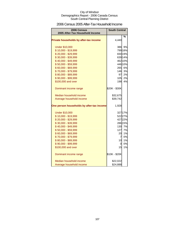# 2006 Census 2005 After-Tax Household Income

| 2006 Census<br>2005 After-Tax Household Income | <b>South Central</b> |         |
|------------------------------------------------|----------------------|---------|
|                                                |                      | %       |
| Private households by after-tax income         | 4,440                |         |
| <b>Under \$10,000</b>                          | 386                  | 9%      |
| \$10,000 - \$19,999                            |                      | 799 18% |
| \$20,000 - \$29,999                            |                      | 830 19% |
| \$30,000 - \$39,999                            |                      | 639 14% |
| \$40,000 - \$49,999                            |                      | 462 10% |
| \$50,000 - \$59,999                            |                      | 446 10% |
| \$60,000 - \$69,999                            |                      | 265 6%  |
| \$70,000 - \$79,999                            |                      | 146 3%  |
| \$80,000 - \$89,999                            | 97                   | 2%      |
| \$90,000 - \$99,999                            | 105                  | 2%      |
| \$100,000 and over                             | 198                  | 4%      |
| Dominant income range                          | \$20K - \$30K        |         |
| Median household income                        | \$32,675             |         |
| Average household income                       | \$39,742             |         |
| One person households by after-tax income      | 1,928                |         |
| <b>Under \$10,000</b>                          |                      | 327 17% |
| \$10,000 - \$19,999                            |                      | 52227%  |
| \$20,000 - \$29,999                            |                      | 42722%  |
| \$30,000 - \$39,999                            |                      | 286 15% |
| \$40,000 - \$49,999                            |                      | 130 7%  |
| \$50,000 - \$59,999                            | 127                  | 7%      |
| \$60,000 - \$69,999                            | 20                   | 1%      |
| \$70,000 - \$79,999                            | $\overline{7}$       | 0%      |
| \$80,000 - \$89,999                            | 10                   | 1%      |
| \$90,000 - \$99,999                            | 0                    | 0%      |
| \$100,000 and over                             | 15                   | 1%      |
| Dominant income range                          | \$10K - \$20K        |         |
| Median household income                        | \$22,022             |         |
| Average household income                       | \$24,888             |         |